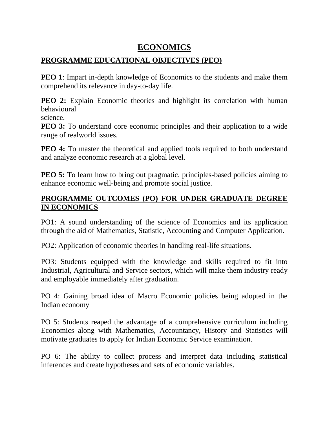#### **ECONOMICS**

#### **PROGRAMME EDUCATIONAL OBJECTIVES (PEO)**

**PEO 1**: Impart in-depth knowledge of Economics to the students and make them comprehend its relevance in day-to-day life.

**PEO 2:** Explain Economic theories and highlight its correlation with human behavioural

science.

**PEO 3:** To understand core economic principles and their application to a wide range of realworld issues.

**PEO 4:** To master the theoretical and applied tools required to both understand and analyze economic research at a global level.

**PEO 5:** To learn how to bring out pragmatic, principles-based policies aiming to enhance economic well-being and promote social justice.

#### **PROGRAMME OUTCOMES (PO) FOR UNDER GRADUATE DEGREE IN ECONOMICS**

PO1: A sound understanding of the science of Economics and its application through the aid of Mathematics, Statistic, Accounting and Computer Application.

PO2: Application of economic theories in handling real-life situations.

PO3: Students equipped with the knowledge and skills required to fit into Industrial, Agricultural and Service sectors, which will make them industry ready and employable immediately after graduation.

PO 4: Gaining broad idea of Macro Economic policies being adopted in the Indian economy

PO 5: Students reaped the advantage of a comprehensive curriculum including Economics along with Mathematics, Accountancy, History and Statistics will motivate graduates to apply for Indian Economic Service examination.

PO 6: The ability to collect process and interpret data including statistical inferences and create hypotheses and sets of economic variables.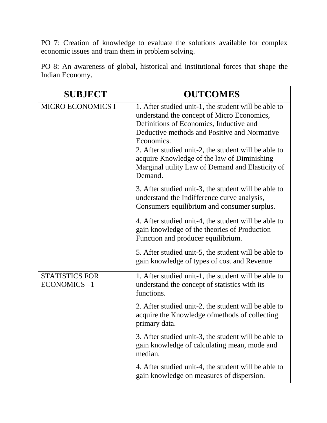PO 7: Creation of knowledge to evaluate the solutions available for complex economic issues and train them in problem solving.

| PO 8: An awareness of global, historical and institutional forces that shape the |  |  |  |  |
|----------------------------------------------------------------------------------|--|--|--|--|
| Indian Economy.                                                                  |  |  |  |  |

| <b>SUBJECT</b>                       | <b>OUTCOMES</b>                                                                                                                                                                                                                                                                                                                                                                   |
|--------------------------------------|-----------------------------------------------------------------------------------------------------------------------------------------------------------------------------------------------------------------------------------------------------------------------------------------------------------------------------------------------------------------------------------|
| <b>MICRO ECONOMICS I</b>             | 1. After studied unit-1, the student will be able to<br>understand the concept of Micro Economics,<br>Definitions of Economics, Inductive and<br>Deductive methods and Positive and Normative<br>Economics.<br>2. After studied unit-2, the student will be able to<br>acquire Knowledge of the law of Diminishing<br>Marginal utility Law of Demand and Elasticity of<br>Demand. |
|                                      | 3. After studied unit-3, the student will be able to<br>understand the Indifference curve analysis,<br>Consumers equilibrium and consumer surplus.                                                                                                                                                                                                                                |
|                                      | 4. After studied unit-4, the student will be able to<br>gain knowledge of the theories of Production<br>Function and producer equilibrium.                                                                                                                                                                                                                                        |
|                                      | 5. After studied unit-5, the student will be able to<br>gain knowledge of types of cost and Revenue                                                                                                                                                                                                                                                                               |
| <b>STATISTICS FOR</b><br>ECONOMICS-1 | 1. After studied unit-1, the student will be able to<br>understand the concept of statistics with its<br>functions.                                                                                                                                                                                                                                                               |
|                                      | 2. After studied unit-2, the student will be able to<br>acquire the Knowledge of methods of collecting<br>primary data.                                                                                                                                                                                                                                                           |
|                                      | 3. After studied unit-3, the student will be able to<br>gain knowledge of calculating mean, mode and<br>median.                                                                                                                                                                                                                                                                   |
|                                      | 4. After studied unit-4, the student will be able to<br>gain knowledge on measures of dispersion.                                                                                                                                                                                                                                                                                 |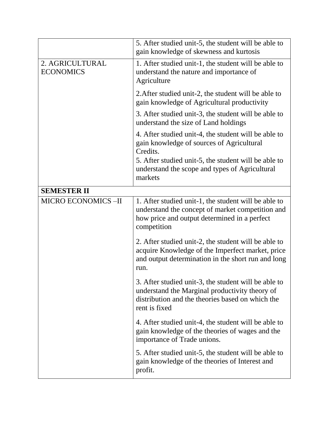|                                     | 5. After studied unit-5, the student will be able to<br>gain knowledge of skewness and kurtosis                                                                             |
|-------------------------------------|-----------------------------------------------------------------------------------------------------------------------------------------------------------------------------|
| 2. AGRICULTURAL<br><b>ECONOMICS</b> | 1. After studied unit-1, the student will be able to<br>understand the nature and importance of<br>Agriculture                                                              |
|                                     | 2. After studied unit-2, the student will be able to<br>gain knowledge of Agricultural productivity                                                                         |
|                                     | 3. After studied unit-3, the student will be able to<br>understand the size of Land holdings                                                                                |
|                                     | 4. After studied unit-4, the student will be able to<br>gain knowledge of sources of Agricultural<br>Credits.                                                               |
|                                     | 5. After studied unit-5, the student will be able to<br>understand the scope and types of Agricultural<br>markets                                                           |
| <b>SEMESTER II</b>                  |                                                                                                                                                                             |
| <b>MICRO ECONOMICS-II</b>           | 1. After studied unit-1, the student will be able to<br>understand the concept of market competition and<br>how price and output determined in a perfect<br>competition     |
|                                     | 2. After studied unit-2, the student will be able to<br>acquire Knowledge of the Imperfect market, price<br>and output determination in the short run and long<br>run.      |
|                                     | 3. After studied unit-3, the student will be able to<br>understand the Marginal productivity theory of<br>distribution and the theories based on which the<br>rent is fixed |
|                                     | 4. After studied unit-4, the student will be able to<br>gain knowledge of the theories of wages and the<br>importance of Trade unions.                                      |
|                                     | 5. After studied unit-5, the student will be able to<br>gain knowledge of the theories of Interest and<br>profit.                                                           |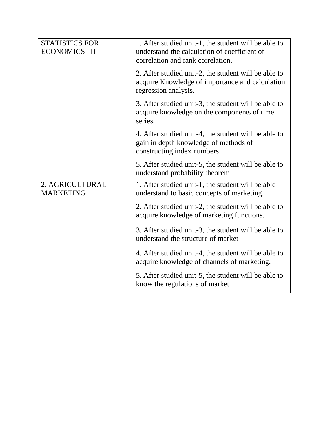| <b>STATISTICS FOR</b><br><b>ECONOMICS-II</b> | 1. After studied unit-1, the student will be able to<br>understand the calculation of coefficient of<br>correlation and rank correlation. |
|----------------------------------------------|-------------------------------------------------------------------------------------------------------------------------------------------|
|                                              | 2. After studied unit-2, the student will be able to<br>acquire Knowledge of importance and calculation<br>regression analysis.           |
|                                              | 3. After studied unit-3, the student will be able to<br>acquire knowledge on the components of time<br>series.                            |
|                                              | 4. After studied unit-4, the student will be able to<br>gain in depth knowledge of methods of<br>constructing index numbers.              |
|                                              | 5. After studied unit-5, the student will be able to<br>understand probability theorem                                                    |
| 2. AGRICULTURAL<br><b>MARKETING</b>          | 1. After studied unit-1, the student will be able<br>understand to basic concepts of marketing.                                           |
|                                              | 2. After studied unit-2, the student will be able to<br>acquire knowledge of marketing functions.                                         |
|                                              | 3. After studied unit-3, the student will be able to<br>understand the structure of market                                                |
|                                              | 4. After studied unit-4, the student will be able to<br>acquire knowledge of channels of marketing.                                       |
|                                              | 5. After studied unit-5, the student will be able to<br>know the regulations of market                                                    |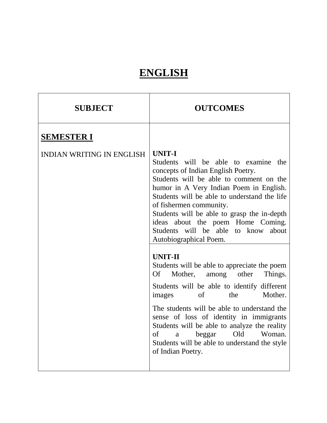# **ENGLISH**

| <b>SUBJECT</b>                   | <b>OUTCOMES</b>                                                                                                                                                                                                                                                                                                                                                                                                                                                                                                                                                                                                                                                                                                                                                                                                                                                          |
|----------------------------------|--------------------------------------------------------------------------------------------------------------------------------------------------------------------------------------------------------------------------------------------------------------------------------------------------------------------------------------------------------------------------------------------------------------------------------------------------------------------------------------------------------------------------------------------------------------------------------------------------------------------------------------------------------------------------------------------------------------------------------------------------------------------------------------------------------------------------------------------------------------------------|
| <b>SEMESTER I</b>                |                                                                                                                                                                                                                                                                                                                                                                                                                                                                                                                                                                                                                                                                                                                                                                                                                                                                          |
| <b>INDIAN WRITING IN ENGLISH</b> | <b>UNIT-I</b><br>Students will be able to examine the<br>concepts of Indian English Poetry.<br>Students will be able to comment on the<br>humor in A Very Indian Poem in English.<br>Students will be able to understand the life<br>of fishermen community.<br>Students will be able to grasp the in-depth<br>ideas about the poem Home Coming.<br>Students will be able to know about<br>Autobiographical Poem.<br><b>UNIT-II</b><br>Students will be able to appreciate the poem<br>Mother,<br>Of<br>other<br>Things.<br>among<br>Students will be able to identify different<br>Mother.<br>the<br>of<br>images<br>The students will be able to understand the<br>sense of loss of identity in immigrants<br>Students will be able to analyze the reality<br>Old<br>Woman.<br>of<br>beggar<br>a<br>Students will be able to understand the style<br>of Indian Poetry. |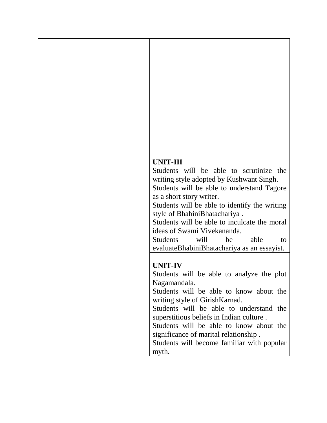#### **UNIT-III**

Students will be able to scrutinize the writing style adopted by Kushwant Singh. Students will be able to understand Tagore

as a short story writer. Students will be able to identify the writing style of BhabiniBhatachariya .

Students will be able to inculcate the moral ideas of Swami Vivekananda.

Students will be able to evaluateBhabiniBhatachariya as an essayist.

#### **UNIT-IV**

Students will be able to analyze the plot Nagamandala.

Students will be able to know about the writing style of GirishKarnad.

Students will be able to understand the superstitious beliefs in Indian culture .

Students will be able to know about the significance of marital relationship .

Students will become familiar with popular myth.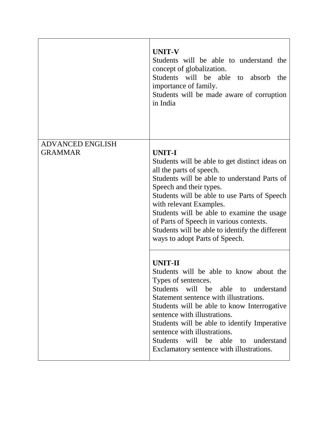|                         | <b>UNIT-V</b><br>Students will be able to understand the<br>concept of globalization.<br>Students will be able to absorb<br>the<br>importance of family.<br>Students will be made aware of corruption<br>in India                                                                                                                                                                                                               |
|-------------------------|---------------------------------------------------------------------------------------------------------------------------------------------------------------------------------------------------------------------------------------------------------------------------------------------------------------------------------------------------------------------------------------------------------------------------------|
| <b>ADVANCED ENGLISH</b> |                                                                                                                                                                                                                                                                                                                                                                                                                                 |
| <b>GRAMMAR</b>          | <b>UNIT-I</b><br>Students will be able to get distinct ideas on<br>all the parts of speech.<br>Students will be able to understand Parts of<br>Speech and their types.<br>Students will be able to use Parts of Speech<br>with relevant Examples.<br>Students will be able to examine the usage<br>of Parts of Speech in various contexts.<br>Students will be able to identify the different<br>ways to adopt Parts of Speech. |
|                         | <b>UNIT-II</b><br>Students will be able to know about the<br>Types of sentences.<br>Students will be able to understand<br>Statement sentence with illustrations.<br>Students will be able to know Interrogative<br>sentence with illustrations.<br>Students will be able to identify Imperative<br>sentence with illustrations.<br>Students will be able to understand<br>Exclamatory sentence with illustrations.             |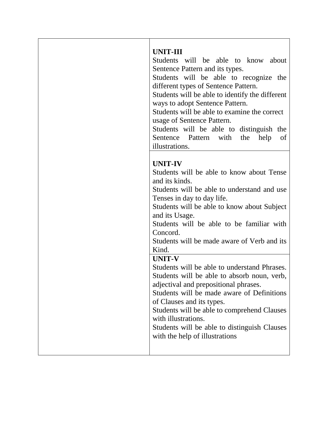| <b>UNIT-III</b><br>Students will be able to know about<br>Sentence Pattern and its types.<br>Students will be able to recognize the<br>different types of Sentence Pattern.<br>Students will be able to identify the different<br>ways to adopt Sentence Pattern.<br>Students will be able to examine the correct<br>usage of Sentence Pattern.<br>Students will be able to distinguish the<br>Sentence Pattern with the<br>help<br>of<br>illustrations. |
|----------------------------------------------------------------------------------------------------------------------------------------------------------------------------------------------------------------------------------------------------------------------------------------------------------------------------------------------------------------------------------------------------------------------------------------------------------|
| <b>UNIT-IV</b><br>Students will be able to know about Tense<br>and its kinds.<br>Students will be able to understand and use<br>Tenses in day to day life.<br>Students will be able to know about Subject<br>and its Usage.<br>Students will be able to be familiar with<br>Concord.<br>Students will be made aware of Verb and its<br>Kind.                                                                                                             |
| <b>UNIT-V</b><br>Students will be able to understand Phrases.<br>Students will be able to absorb noun, verb,<br>adjectival and prepositional phrases.<br>Students will be made aware of Definitions<br>of Clauses and its types.<br>Students will be able to comprehend Clauses<br>with illustrations.<br>Students will be able to distinguish Clauses<br>with the help of illustrations                                                                 |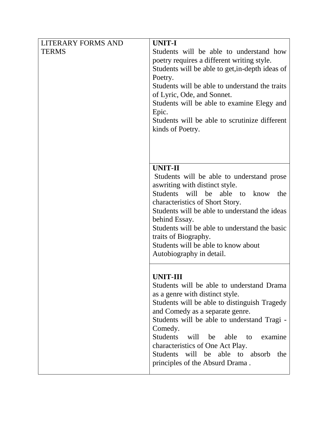| <b>LITERARY FORMS AND</b> | UNIT-I                                                                                |
|---------------------------|---------------------------------------------------------------------------------------|
| <b>TERMS</b>              | Students will be able to understand how<br>poetry requires a different writing style. |
|                           | Students will be able to get, in-depth ideas of<br>Poetry.                            |
|                           | Students will be able to understand the traits                                        |
|                           | of Lyric, Ode, and Sonnet.                                                            |
|                           | Students will be able to examine Elegy and                                            |
|                           | Epic.                                                                                 |
|                           | Students will be able to scrutinize different                                         |
|                           | kinds of Poetry.                                                                      |
|                           |                                                                                       |
|                           |                                                                                       |
|                           | <b>UNIT-II</b>                                                                        |
|                           | Students will be able to understand prose                                             |
|                           | as writing with distinct style.                                                       |
|                           | Students will<br>be<br>able to<br>know<br>the                                         |
|                           | characteristics of Short Story.                                                       |
|                           | Students will be able to understand the ideas<br>behind Essay.                        |
|                           | Students will be able to understand the basic                                         |
|                           | traits of Biography.                                                                  |
|                           | Students will be able to know about                                                   |
|                           | Autobiography in detail.                                                              |
|                           |                                                                                       |
|                           | UNIT-III                                                                              |
|                           | Students will be able to understand Drama                                             |
|                           | as a genre with distinct style.                                                       |
|                           | Students will be able to distinguish Tragedy                                          |
|                           | and Comedy as a separate genre.<br>Students will be able to understand Tragi -        |
|                           | Comedy.                                                                               |
|                           | <b>Students</b><br>will<br>be<br>able<br>to<br>examine                                |
|                           | characteristics of One Act Play.                                                      |
|                           | Students will be able to absorb<br>the                                                |
|                           | principles of the Absurd Drama.                                                       |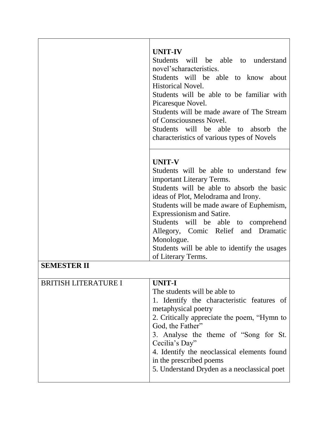|                             | <b>UNIT-IV</b><br>Students will be able to understand<br>novel'scharacteristics.<br>Students will be able to know about<br><b>Historical Novel.</b><br>Students will be able to be familiar with<br>Picaresque Novel.<br>Students will be made aware of The Stream<br>of Consciousness Novel.<br>Students will be able to absorb<br>the<br>characteristics of various types of Novels                                 |
|-----------------------------|-----------------------------------------------------------------------------------------------------------------------------------------------------------------------------------------------------------------------------------------------------------------------------------------------------------------------------------------------------------------------------------------------------------------------|
|                             | <b>UNIT-V</b><br>Students will be able to understand few<br>important Literary Terms.<br>Students will be able to absorb the basic<br>ideas of Plot, Melodrama and Irony.<br>Students will be made aware of Euphemism,<br>Expressionism and Satire.<br>Students will be able to comprehend<br>Allegory, Comic Relief and Dramatic<br>Monologue.<br>Students will be able to identify the usages<br>of Literary Terms. |
| <b>SEMESTER II</b>          |                                                                                                                                                                                                                                                                                                                                                                                                                       |
| <b>BRITISH LITERATURE I</b> | UNIT-I<br>The students will be able to<br>1. Identify the characteristic features of<br>metaphysical poetry<br>2. Critically appreciate the poem, "Hymn to<br>God, the Father"<br>3. Analyse the theme of "Song for St.<br>Cecilia's Day"<br>4. Identify the neoclassical elements found<br>in the prescribed poems<br>5. Understand Dryden as a neoclassical poet                                                    |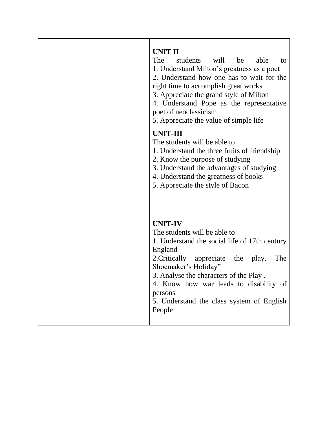| UNIT II<br>The<br>students will<br>be<br>able<br>to<br>1. Understand Milton's greatness as a poet<br>2. Understand how one has to wait for the<br>right time to accomplish great works<br>3. Appreciate the grand style of Milton<br>4. Understand Pope as the representative<br>poet of neoclassicism<br>5. Appreciate the value of simple life |
|--------------------------------------------------------------------------------------------------------------------------------------------------------------------------------------------------------------------------------------------------------------------------------------------------------------------------------------------------|
| <b>UNIT-III</b><br>The students will be able to<br>1. Understand the three fruits of friendship<br>2. Know the purpose of studying<br>3. Understand the advantages of studying<br>4. Understand the greatness of books<br>5. Appreciate the style of Bacon                                                                                       |
| <b>UNIT-IV</b><br>The students will be able to<br>1. Understand the social life of 17th century<br>England<br>The<br>2. Critically<br>appreciate the play,<br>Shoemaker's Holiday"<br>3. Analyse the characters of the Play.<br>4. Know how war leads to disability of<br>persons<br>5. Understand the class system of English<br>People         |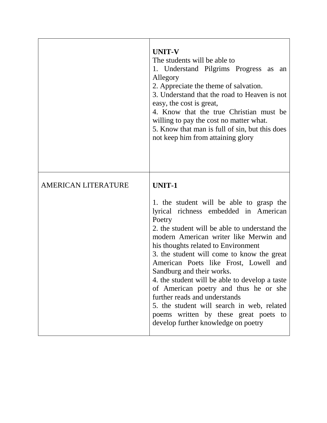|                            | <b>UNIT-V</b><br>The students will be able to<br>1. Understand Pilgrims Progress as<br>an<br>Allegory<br>2. Appreciate the theme of salvation.<br>3. Understand that the road to Heaven is not<br>easy, the cost is great,<br>4. Know that the true Christian must be<br>willing to pay the cost no matter what.<br>5. Know that man is full of sin, but this does<br>not keep him from attaining glory                                                                                                                                                                                                                      |
|----------------------------|------------------------------------------------------------------------------------------------------------------------------------------------------------------------------------------------------------------------------------------------------------------------------------------------------------------------------------------------------------------------------------------------------------------------------------------------------------------------------------------------------------------------------------------------------------------------------------------------------------------------------|
| <b>AMERICAN LITERATURE</b> | <b>UNIT-1</b><br>1. the student will be able to grasp the<br>lyrical richness embedded in American<br>Poetry<br>2. the student will be able to understand the<br>modern American writer like Merwin and<br>his thoughts related to Environment<br>3. the student will come to know the great<br>American Poets like Frost, Lowell and<br>Sandburg and their works.<br>4. the student will be able to develop a taste<br>of American poetry and thus he or she<br>further reads and understands<br>5. the student will search in web, related<br>poems written by these great poets to<br>develop further knowledge on poetry |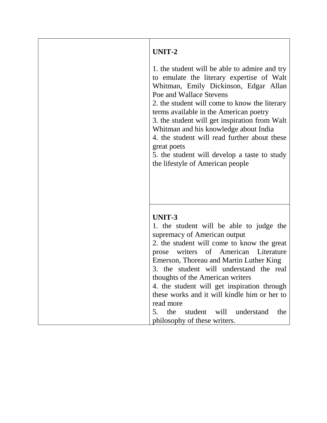| UNIT-2                                                                                                                                                                                                                                                                                                                                                                                                                                                                                                 |
|--------------------------------------------------------------------------------------------------------------------------------------------------------------------------------------------------------------------------------------------------------------------------------------------------------------------------------------------------------------------------------------------------------------------------------------------------------------------------------------------------------|
| 1. the student will be able to admire and try<br>to emulate the literary expertise of Walt<br>Whitman, Emily Dickinson, Edgar Allan<br>Poe and Wallace Stevens<br>2. the student will come to know the literary<br>terms available in the American poetry<br>3. the student will get inspiration from Walt<br>Whitman and his knowledge about India<br>4. the student will read further about these<br>great poets<br>5. the student will develop a taste to study<br>the lifestyle of American people |
|                                                                                                                                                                                                                                                                                                                                                                                                                                                                                                        |
| UNIT-3                                                                                                                                                                                                                                                                                                                                                                                                                                                                                                 |
| 1. the student will be able to judge the                                                                                                                                                                                                                                                                                                                                                                                                                                                               |
| supremacy of American output                                                                                                                                                                                                                                                                                                                                                                                                                                                                           |
| 2. the student will come to know the great                                                                                                                                                                                                                                                                                                                                                                                                                                                             |
| prose writers of American Literature                                                                                                                                                                                                                                                                                                                                                                                                                                                                   |
| Emerson, Thoreau and Martin Luther King                                                                                                                                                                                                                                                                                                                                                                                                                                                                |
| 3. the student will understand the real                                                                                                                                                                                                                                                                                                                                                                                                                                                                |
| thoughts of the American writers                                                                                                                                                                                                                                                                                                                                                                                                                                                                       |
| 4. the student will get inspiration through                                                                                                                                                                                                                                                                                                                                                                                                                                                            |
| these works and it will kindle him or her to                                                                                                                                                                                                                                                                                                                                                                                                                                                           |
| read more                                                                                                                                                                                                                                                                                                                                                                                                                                                                                              |
| the<br>student<br>will<br>5.<br>understand<br>the                                                                                                                                                                                                                                                                                                                                                                                                                                                      |
| philosophy of these writers.                                                                                                                                                                                                                                                                                                                                                                                                                                                                           |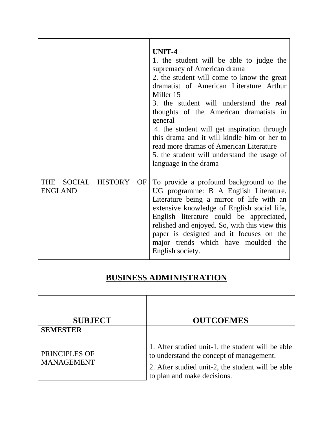|                                         | UNIT-4<br>1. the student will be able to judge the<br>supremacy of American drama<br>2. the student will come to know the great<br>dramatist of American Literature Arthur<br>Miller 15<br>3. the student will understand the real<br>thoughts of the American dramatists in<br>general<br>4. the student will get inspiration through<br>this drama and it will kindle him or her to<br>read more dramas of American Literature<br>5. the student will understand the usage of<br>language in the drama |
|-----------------------------------------|----------------------------------------------------------------------------------------------------------------------------------------------------------------------------------------------------------------------------------------------------------------------------------------------------------------------------------------------------------------------------------------------------------------------------------------------------------------------------------------------------------|
| THE SOCIAL HISTORY OF<br><b>ENGLAND</b> | To provide a profound background to the<br>UG programme: B A English Literature.<br>Literature being a mirror of life with an<br>extensive knowledge of English social life,<br>English literature could be appreciated,<br>relished and enjoyed. So, with this view this<br>paper is designed and it focuses on the<br>major trends which have moulded the<br>English society.                                                                                                                          |

## **BUSINESS ADMINISTRATION**

| <b>SUBJECT</b><br><b>SEMESTER</b>  | <b>OUTCOEMES</b>                                                                                                                                                                  |
|------------------------------------|-----------------------------------------------------------------------------------------------------------------------------------------------------------------------------------|
| PRINCIPLES OF<br><b>MANAGEMENT</b> | 1. After studied unit-1, the student will be able<br>to understand the concept of management.<br>2. After studied unit-2, the student will be able<br>to plan and make decisions. |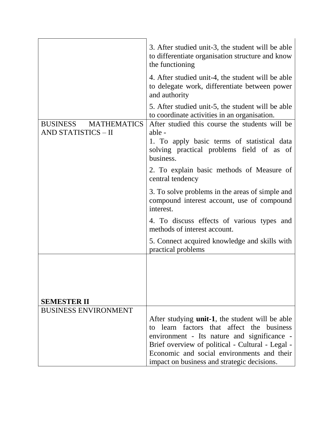|                                                                     | 3. After studied unit-3, the student will be able<br>to differentiate organisation structure and know<br>the functioning |
|---------------------------------------------------------------------|--------------------------------------------------------------------------------------------------------------------------|
|                                                                     | 4. After studied unit-4, the student will be able<br>to delegate work, differentiate between power<br>and authority      |
|                                                                     | 5. After studied unit-5, the student will be able<br>to coordinate activities in an organisation.                        |
| <b>MATHEMATICS</b><br><b>BUSINESS</b><br><b>AND STATISTICS - II</b> | After studied this course the students will be<br>able -                                                                 |
|                                                                     | 1. To apply basic terms of statistical data<br>solving practical problems field of as of<br>business.                    |
|                                                                     | 2. To explain basic methods of Measure of<br>central tendency                                                            |
|                                                                     | 3. To solve problems in the areas of simple and<br>compound interest account, use of compound<br>interest.               |
|                                                                     | 4. To discuss effects of various types and<br>methods of interest account.                                               |
|                                                                     | 5. Connect acquired knowledge and skills with<br>practical problems                                                      |
|                                                                     |                                                                                                                          |
|                                                                     |                                                                                                                          |
| <b>SEMESTER II</b>                                                  |                                                                                                                          |
| <b>BUSINESS ENVIRONMENT</b>                                         |                                                                                                                          |
|                                                                     | After studying <b>unit-1</b> , the student will be able<br>to learn factors that affect the business                     |
|                                                                     | environment - Its nature and significance -                                                                              |
|                                                                     | Brief overview of political - Cultural - Legal -                                                                         |
|                                                                     | Economic and social environments and their<br>impact on business and strategic decisions.                                |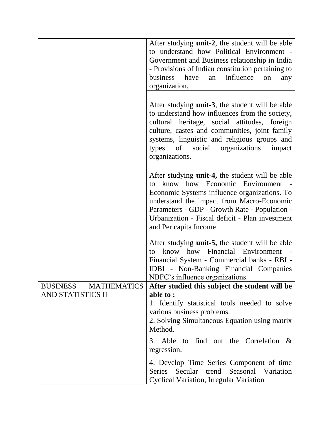|                                                                   | After studying <b>unit-2</b> , the student will be able<br>to understand how Political Environment -<br>Government and Business relationship in India<br>- Provisions of Indian constitution pertaining to<br>business have<br>influence<br>an<br>on<br>any<br>organization.                                            |
|-------------------------------------------------------------------|-------------------------------------------------------------------------------------------------------------------------------------------------------------------------------------------------------------------------------------------------------------------------------------------------------------------------|
|                                                                   | After studying <b>unit-3</b> , the student will be able<br>to understand how influences from the society,<br>cultural heritage, social attitudes, foreign<br>culture, castes and communities, joint family<br>systems, linguistic and religious groups and<br>types of social organizations<br>impact<br>organizations. |
|                                                                   | After studying <b>unit-4</b> , the student will be able<br>to know how Economic Environment -<br>Economic Systems influence organizations. To<br>understand the impact from Macro-Economic<br>Parameters - GDP - Growth Rate - Population -<br>Urbanization - Fiscal deficit - Plan investment<br>and Per capita Income |
|                                                                   | After studying <b>unit-5</b> , the student will be able<br>know how Financial Environment -<br>tΩ<br>Financial System - Commercial banks - RBI -<br><b>IDBI</b> - Non-Banking Financial Companies<br>NBFC's influence organizations.                                                                                    |
| <b>MATHEMATICS</b><br><b>BUSINESS</b><br><b>AND STATISTICS II</b> | After studied this subject the student will be<br>able to:<br>1. Identify statistical tools needed to solve<br>various business problems.<br>2. Solving Simultaneous Equation using matrix<br>Method.                                                                                                                   |
|                                                                   | 3. Able to find out the Correlation $\&$<br>regression.                                                                                                                                                                                                                                                                 |
|                                                                   | 4. Develop Time Series Component of time<br>Secular<br>trend Seasonal Variation<br><b>Series</b><br><b>Cyclical Variation, Irregular Variation</b>                                                                                                                                                                      |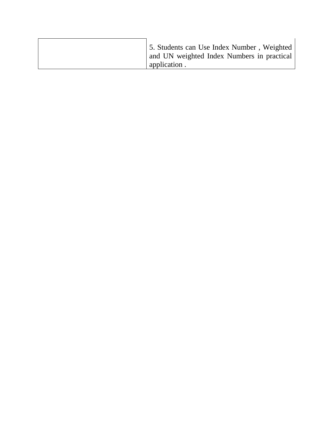| and UN weighted Index Numbers in practical<br>application. | 5. Students can Use Index Number, Weighted |
|------------------------------------------------------------|--------------------------------------------|
|                                                            |                                            |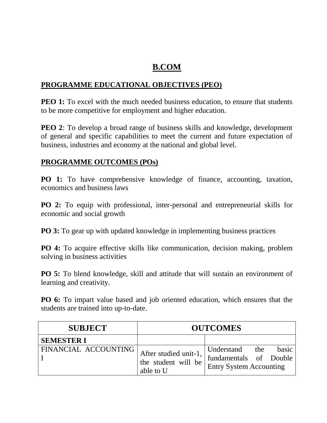## **B.COM**

#### **PROGRAMME EDUCATIONAL OBJECTIVES (PEO)**

**PEO 1:** To excel with the much needed business education, to ensure that students to be more competitive for employment and higher education.

**PEO 2**: To develop a broad range of business skills and knowledge, development of general and specific capabilities to meet the current and future expectation of business, industries and economy at the national and global level.

#### **PROGRAMME OUTCOMES (POs)**

**PO 1:** To have comprehensive knowledge of finance, accounting, taxation, economics and business laws

**PO 2:** To equip with professional, inter-personal and entrepreneurial skills for economic and social growth

**PO 3:** To gear up with updated knowledge in implementing business practices

**PO 4:** To acquire effective skills like communication, decision making, problem solving in business activities

**PO 5:** To blend knowledge, skill and attitude that will sustain an environment of learning and creativity.

**PO 6:** To impart value based and job oriented education, which ensures that the students are trained into up-to-date.

| <b>SUBJECT</b>                |                                                           | <b>OUTCOMES</b>                                                        |     |       |
|-------------------------------|-----------------------------------------------------------|------------------------------------------------------------------------|-----|-------|
| <b>SEMESTER I</b>             |                                                           |                                                                        |     |       |
| <b>FINANCIAL ACCOUNTING  </b> | After studied unit-1,<br>the student will be<br>able to U | Understand<br>fundamentals of Double<br><b>Entry System Accounting</b> | the | basic |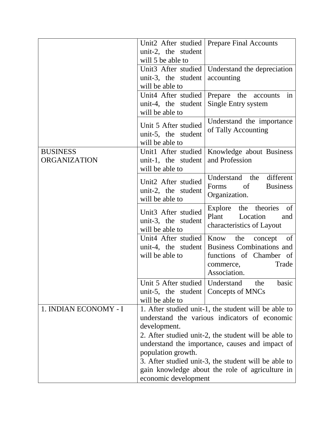| unit-2, the student<br>will 5 be able to                                                             |                                                                                                                                                                                                                                                                                                                             |
|------------------------------------------------------------------------------------------------------|-----------------------------------------------------------------------------------------------------------------------------------------------------------------------------------------------------------------------------------------------------------------------------------------------------------------------------|
|                                                                                                      |                                                                                                                                                                                                                                                                                                                             |
| Unit3 After studied<br>unit-3, the student<br>will be able to                                        | Understand the depreciation<br>accounting                                                                                                                                                                                                                                                                                   |
| Unit4 After studied<br>unit-4, the student<br>will be able to                                        | Prepare the<br>in<br>accounts<br>Single Entry system                                                                                                                                                                                                                                                                        |
| Unit 5 After studied<br>unit-5, the student<br>will be able to                                       | Understand the importance<br>of Tally Accounting                                                                                                                                                                                                                                                                            |
| Unit1 After studied<br>unit-1, the student<br>will be able to                                        | Knowledge about Business<br>and Profession                                                                                                                                                                                                                                                                                  |
| Unit2 After studied<br>unit-2, the student<br>will be able to                                        | different<br>Understand the<br><sub>of</sub><br><b>Business</b><br>Forms<br>Organization.                                                                                                                                                                                                                                   |
| Unit3 After studied<br>unit-3, the student<br>will be able to                                        | Explore<br>the theories<br>of<br>Plant<br>Location<br>and<br>characteristics of Layout                                                                                                                                                                                                                                      |
| Unit4 After studied<br>unit-4, the student<br>will be able to                                        | Know the<br>of<br>concept<br><b>Business Combinations and</b><br>functions of Chamber of<br>Trade<br>commerce,<br>Association.                                                                                                                                                                                              |
| Unit 5 After studied   Understand<br>unit-5, the student $\vert$ Concepts of MNCs<br>will be able to | basic<br>the                                                                                                                                                                                                                                                                                                                |
| development.<br>population growth.                                                                   | 1. After studied unit-1, the student will be able to<br>understand the various indicators of economic<br>2. After studied unit-2, the student will be able to<br>understand the importance, causes and impact of<br>3. After studied unit-3, the student will be able to<br>gain knowledge about the role of agriculture in |
|                                                                                                      | economic development                                                                                                                                                                                                                                                                                                        |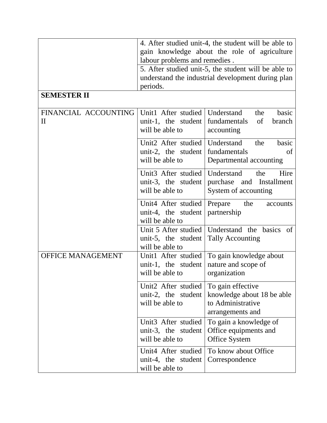| <b>SEMESTER II</b>               | 4. After studied unit-4, the student will be able to<br>gain knowledge about the role of agriculture<br>labour problems and remedies.<br>5. After studied unit-5, the student will be able to<br>understand the industrial development during plan<br>periods. |                                                                                          |  |
|----------------------------------|----------------------------------------------------------------------------------------------------------------------------------------------------------------------------------------------------------------------------------------------------------------|------------------------------------------------------------------------------------------|--|
| FINANCIAL ACCOUNTING<br>$\rm II$ | Unit1 After studied<br>unit-1, the student<br>will be able to                                                                                                                                                                                                  | Understand<br>the<br>basic<br>fundamentals<br>of<br>branch<br>accounting                 |  |
|                                  | Unit2 After studied<br>unit-2, the student<br>will be able to                                                                                                                                                                                                  | basic<br>Understand<br>the<br>fundamentals<br>of<br>Departmental accounting              |  |
|                                  | Unit <sub>3</sub> After studied<br>unit-3, the student<br>will be able to                                                                                                                                                                                      | Understand<br>the<br>Hire<br>purchase and Installment<br>System of accounting            |  |
|                                  | Unit4 After studied<br>unit-4, the student<br>will be able to                                                                                                                                                                                                  | Prepare<br>the<br>accounts<br>partnership                                                |  |
|                                  | Unit 5 After studied<br>unit-5, the student<br>will be able to                                                                                                                                                                                                 | Understand the<br>basics<br>of<br><b>Tally Accounting</b>                                |  |
| <b>OFFICE MANAGEMENT</b>         | Unit1 After studied<br>unit-1, the student<br>will be able to                                                                                                                                                                                                  | To gain knowledge about<br>nature and scope of<br>organization                           |  |
|                                  | Unit2 After studied<br>unit-2, the student<br>will be able to                                                                                                                                                                                                  | To gain effective<br>knowledge about 18 be able<br>to Administrative<br>arrangements and |  |
|                                  | Unit <sub>3</sub> After studied<br>unit-3, the student<br>will be able to                                                                                                                                                                                      | To gain a knowledge of<br>Office equipments and<br>Office System                         |  |
|                                  | Unit4 After studied<br>unit-4, the student<br>will be able to                                                                                                                                                                                                  | To know about Office<br>Correspondence                                                   |  |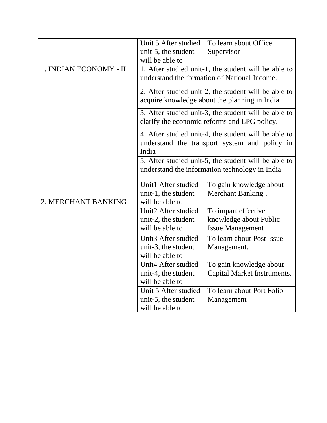|                        | Unit 5 After studied | To learn about Office                                                                                 |
|------------------------|----------------------|-------------------------------------------------------------------------------------------------------|
|                        | unit-5, the student  | Supervisor                                                                                            |
|                        | will be able to      |                                                                                                       |
| 1. INDIAN ECONOMY - II |                      | 1. After studied unit-1, the student will be able to                                                  |
|                        |                      | understand the formation of National Income.                                                          |
|                        |                      | 2. After studied unit-2, the student will be able to<br>acquire knowledge about the planning in India |
|                        |                      | 3. After studied unit-3, the student will be able to<br>clarify the economic reforms and LPG policy.  |
|                        | India                | 4. After studied unit-4, the student will be able to<br>understand the transport system and policy in |
|                        |                      | 5. After studied unit-5, the student will be able to                                                  |
|                        |                      | understand the information technology in India                                                        |
|                        | Unit1 After studied  | To gain knowledge about                                                                               |
|                        | unit-1, the student  | Merchant Banking.                                                                                     |
| 2. MERCHANT BANKING    | will be able to      |                                                                                                       |
|                        | Unit2 After studied  | To impart effective                                                                                   |
|                        | unit-2, the student  | knowledge about Public                                                                                |
|                        | will be able to      | <b>Issue Management</b>                                                                               |
|                        | Unit3 After studied  | To learn about Post Issue                                                                             |
|                        | unit-3, the student  | Management.                                                                                           |
|                        | will be able to      |                                                                                                       |
|                        | Unit4 After studied  | To gain knowledge about                                                                               |
|                        | unit-4, the student  | Capital Market Instruments.                                                                           |
|                        | will be able to      |                                                                                                       |
|                        | Unit 5 After studied | To learn about Port Folio                                                                             |
|                        | unit-5, the student  | Management                                                                                            |
|                        | will be able to      |                                                                                                       |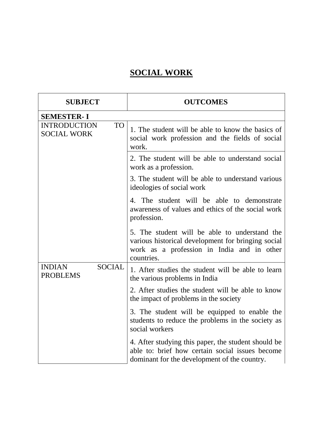## **SOCIAL WORK**

| <b>SUBJECT</b>                                         | <b>OUTCOMES</b>                                                                                                                                                 |
|--------------------------------------------------------|-----------------------------------------------------------------------------------------------------------------------------------------------------------------|
| <b>SEMESTER-I</b>                                      |                                                                                                                                                                 |
| <b>INTRODUCTION</b><br><b>TO</b><br><b>SOCIAL WORK</b> | 1. The student will be able to know the basics of<br>social work profession and the fields of social<br>work.                                                   |
|                                                        | 2. The student will be able to understand social<br>work as a profession.                                                                                       |
|                                                        | 3. The student will be able to understand various<br>ideologies of social work                                                                                  |
|                                                        | 4. The student will be able to demonstrate<br>awareness of values and ethics of the social work<br>profession.                                                  |
|                                                        | 5. The student will be able to understand the<br>various historical development for bringing social<br>work as a profession in India and in other<br>countries. |
| <b>SOCIAL</b><br><b>INDIAN</b><br><b>PROBLEMS</b>      | 1. After studies the student will be able to learn<br>the various problems in India                                                                             |
|                                                        | 2. After studies the student will be able to know<br>the impact of problems in the society                                                                      |
|                                                        | 3. The student will be equipped to enable the<br>students to reduce the problems in the society as<br>social workers                                            |
|                                                        | 4. After studying this paper, the student should be<br>able to: brief how certain social issues become<br>dominant for the development of the country.          |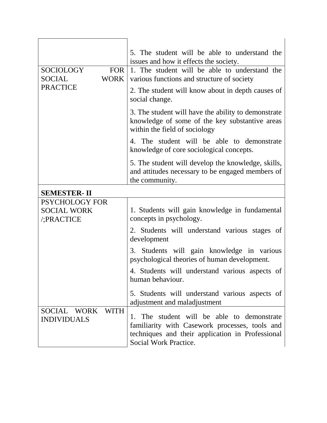|                                   |               | 5. The student will be able to understand the<br>issues and how it effects the society.                                                                                   |
|-----------------------------------|---------------|---------------------------------------------------------------------------------------------------------------------------------------------------------------------------|
| <b>SOCIOLOGY</b><br><b>SOCIAL</b> | FOR  <br>WORK | 1. The student will be able to understand the<br>various functions and structure of society                                                                               |
| <b>PRACTICE</b>                   |               | 2. The student will know about in depth causes of<br>social change.                                                                                                       |
|                                   |               | 3. The student will have the ability to demonstrate<br>knowledge of some of the key substantive areas<br>within the field of sociology                                    |
|                                   |               | 4. The student will be able to demonstrate<br>knowledge of core sociological concepts.                                                                                    |
|                                   |               | 5. The student will develop the knowledge, skills,<br>and attitudes necessary to be engaged members of<br>the community.                                                  |
| <b>SEMESTER-II</b>                |               |                                                                                                                                                                           |
| <b>PSYCHOLOGY FOR</b>             |               |                                                                                                                                                                           |
| <b>SOCIAL WORK</b><br>/;PRACTICE  |               | 1. Students will gain knowledge in fundamental<br>concepts in psychology.                                                                                                 |
|                                   |               | 2. Students will understand various stages of<br>development                                                                                                              |
|                                   |               | 3. Students will gain knowledge in various<br>psychological theories of human development.                                                                                |
|                                   |               | 4. Students will understand various aspects of<br>human behaviour.                                                                                                        |
|                                   |               | 5. Students will understand various aspects of<br>adjustment and maladjustment                                                                                            |
| SOCIAL WORK<br><b>INDIVIDUALS</b> | <b>WITH</b>   | 1. The student will be able to demonstrate<br>familiarity with Casework processes, tools and<br>techniques and their application in Professional<br>Social Work Practice. |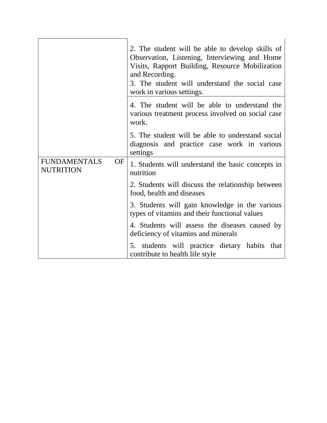|                                               | 2. The student will be able to develop skills of<br>Observation, Listening, Interviewing and Home<br>Visits, Rapport Building, Resource Mobilization<br>and Recording.<br>3. The student will understand the social case<br>work in various settings. |
|-----------------------------------------------|-------------------------------------------------------------------------------------------------------------------------------------------------------------------------------------------------------------------------------------------------------|
|                                               | 4. The student will be able to understand the<br>various treatment process involved on social case<br>work.                                                                                                                                           |
|                                               | 5. The student will be able to understand social<br>diagnosis and practice case work in various<br>settings                                                                                                                                           |
| <b>FUNDAMENTALS</b><br>OF<br><b>NUTRITION</b> | 1. Students will understand the basic concepts in<br>nutrition                                                                                                                                                                                        |
|                                               | 2. Students will discuss the relationship between<br>food, health and diseases                                                                                                                                                                        |
|                                               | 3. Students will gain knowledge in the various<br>types of vitamins and their functional values                                                                                                                                                       |
|                                               | 4. Students will assess the diseases caused by<br>deficiency of vitamins and minerals                                                                                                                                                                 |
|                                               | 5. students will practice dietary habits<br>that<br>contribute to health life style                                                                                                                                                                   |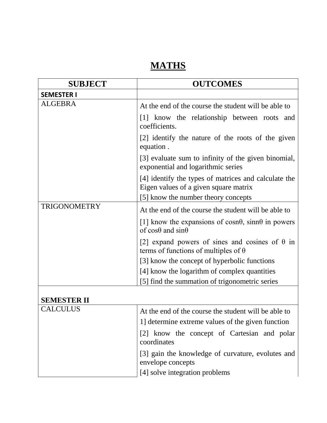## **MATHS**

| <b>SUBJECT</b>      | <b>OUTCOMES</b>                                                                                        |
|---------------------|--------------------------------------------------------------------------------------------------------|
| <b>SEMESTER I</b>   |                                                                                                        |
| <b>ALGEBRA</b>      | At the end of the course the student will be able to                                                   |
|                     | [1] know the relationship between roots and<br>coefficients.                                           |
|                     | [2] identify the nature of the roots of the given<br>equation.                                         |
|                     | [3] evaluate sum to infinity of the given binomial,<br>exponential and logarithmic series              |
|                     | [4] identify the types of matrices and calculate the<br>Eigen values of a given square matrix          |
|                     | [5] know the number theory concepts                                                                    |
| <b>TRIGONOMETRY</b> | At the end of the course the student will be able to                                                   |
|                     | [1] know the expansions of cosn $\theta$ , sinn $\theta$ in powers<br>of $\cos\theta$ and $\sin\theta$ |
|                     | [2] expand powers of sines and cosines of $\theta$ in<br>terms of functions of multiples of $\theta$   |
|                     | [3] know the concept of hyperbolic functions                                                           |
|                     | [4] know the logarithm of complex quantities                                                           |
|                     | [5] find the summation of trigonometric series                                                         |
| <b>SEMESTER II</b>  |                                                                                                        |

| <b>SEMESTER II</b> |  |
|--------------------|--|
| ---------          |  |

| <b>CALCULUS</b> | At the end of the course the student will be able to                   |
|-----------------|------------------------------------------------------------------------|
|                 | 1] determine extreme values of the given function                      |
|                 | [2] know the concept of Cartesian and polar<br>coordinates             |
|                 | [3] gain the knowledge of curvature, evolutes and<br>envelope concepts |
|                 | [4] solve integration problems                                         |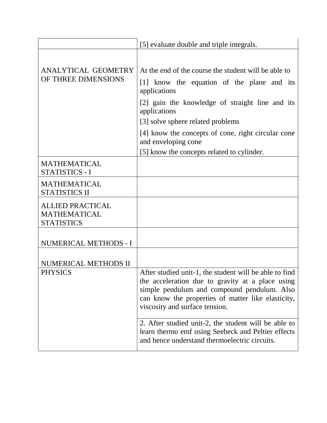|                                                                     | [5] evaluate double and triple integrals.                                                                                                                                                                                                                                        |
|---------------------------------------------------------------------|----------------------------------------------------------------------------------------------------------------------------------------------------------------------------------------------------------------------------------------------------------------------------------|
| ANALYTICAL GEOMETRY<br>OF THREE DIMENSIONS                          | At the end of the course the student will be able to<br>[1] know the equation of the plane and its<br>applications<br>[2] gain the knowledge of straight line and its<br>applications<br>[3] solve sphere related problems<br>[4] know the concepts of cone, right circular cone |
|                                                                     | and enveloping cone                                                                                                                                                                                                                                                              |
|                                                                     | [5] know the concepts related to cylinder.                                                                                                                                                                                                                                       |
| <b>MATHEMATICAL</b><br>STATISTICS - I                               |                                                                                                                                                                                                                                                                                  |
| <b>MATHEMATICAL</b><br><b>STATISTICS II</b>                         |                                                                                                                                                                                                                                                                                  |
| <b>ALLIED PRACTICAL</b><br><b>MATHEMATICAL</b><br><b>STATISTICS</b> |                                                                                                                                                                                                                                                                                  |
| NUMERICAL METHODS - I                                               |                                                                                                                                                                                                                                                                                  |
| NUMERICAL METHODS II                                                |                                                                                                                                                                                                                                                                                  |
| <b>PHYSICS</b>                                                      | After studied unit-1, the student will be able to find<br>the acceleration due to gravity at a place using<br>simple pendulum and compound pendulum. Also<br>can know the properties of matter like elasticity,<br>viscosity and surface tension.                                |
|                                                                     | 2. After studied unit-2, the student will be able to<br>learn thermo emf using Seebeck and Peltier effects<br>and hence understand thermoelectric circuits.                                                                                                                      |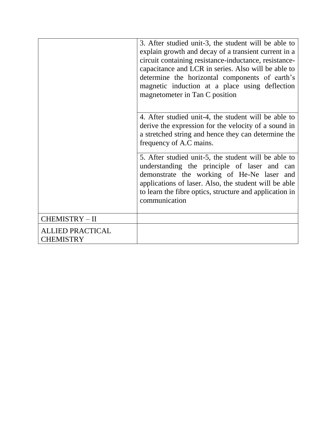|                                             | 3. After studied unit-3, the student will be able to<br>explain growth and decay of a transient current in a<br>circuit containing resistance-inductance, resistance-<br>capacitance and LCR in series. Also will be able to<br>determine the horizontal components of earth's<br>magnetic induction at a place using deflection<br>magnetometer in Tan C position |
|---------------------------------------------|--------------------------------------------------------------------------------------------------------------------------------------------------------------------------------------------------------------------------------------------------------------------------------------------------------------------------------------------------------------------|
|                                             | 4. After studied unit-4, the student will be able to<br>derive the expression for the velocity of a sound in<br>a stretched string and hence they can determine the<br>frequency of A.C mains.                                                                                                                                                                     |
|                                             | 5. After studied unit-5, the student will be able to<br>understanding the principle of laser and can<br>demonstrate the working of He-Ne laser and<br>applications of laser. Also, the student will be able<br>to learn the fibre optics, structure and application in<br>communication                                                                            |
| CHEMISTRY - II                              |                                                                                                                                                                                                                                                                                                                                                                    |
| <b>ALLIED PRACTICAL</b><br><b>CHEMISTRY</b> |                                                                                                                                                                                                                                                                                                                                                                    |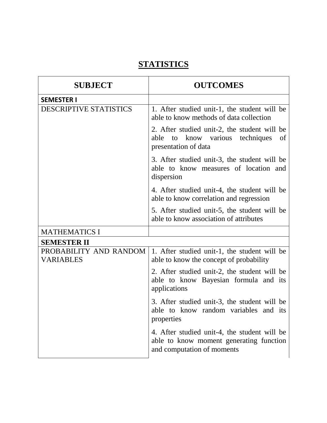## **STATISTICS**

| <b>SUBJECT</b>                                    | <b>OUTCOMES</b>                                                                                                        |
|---------------------------------------------------|------------------------------------------------------------------------------------------------------------------------|
| <b>SEMESTER I</b>                                 |                                                                                                                        |
| DESCRIPTIVE STATISTICS                            | 1. After studied unit-1, the student will be<br>able to know methods of data collection                                |
|                                                   | 2. After studied unit-2, the student will be<br>able<br>know various<br>techniques<br>to<br>of<br>presentation of data |
|                                                   | 3. After studied unit-3, the student will be<br>able to know measures of location and<br>dispersion                    |
|                                                   | 4. After studied unit-4, the student will be<br>able to know correlation and regression                                |
|                                                   | 5. After studied unit-5, the student will be<br>able to know association of attributes                                 |
| <b>MATHEMATICS I</b>                              |                                                                                                                        |
| <b>SEMESTER II</b>                                |                                                                                                                        |
| <b>PROBABILITY AND RANDOM</b><br><b>VARIABLES</b> | 1. After studied unit-1, the student will be<br>able to know the concept of probability                                |
|                                                   | 2. After studied unit-2, the student will be<br>able to know Bayesian formula and its<br>applications                  |
|                                                   | 3. After studied unit-3, the student will be<br>able to know random variables and its<br>properties                    |
|                                                   | 4. After studied unit-4, the student will be<br>able to know moment generating function<br>and computation of moments  |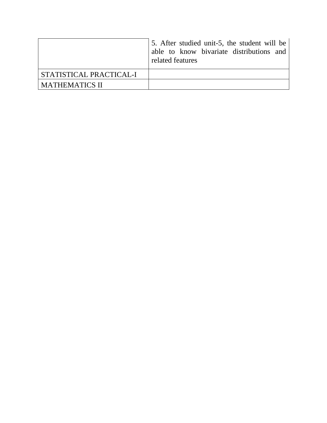|                         | 5. After studied unit-5, the student will be<br>able to know bivariate distributions and<br>related features |
|-------------------------|--------------------------------------------------------------------------------------------------------------|
| STATISTICAL PRACTICAL-I |                                                                                                              |
| <b>MATHEMATICS II</b>   |                                                                                                              |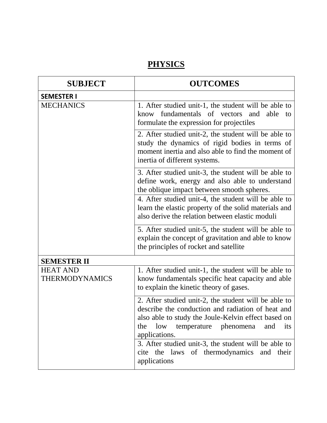### **PHYSICS**

| <b>SUBJECT</b>                           | <b>OUTCOMES</b>                                                                                                                                                                                                                                                                                                                                                |
|------------------------------------------|----------------------------------------------------------------------------------------------------------------------------------------------------------------------------------------------------------------------------------------------------------------------------------------------------------------------------------------------------------------|
| <b>SEMESTER I</b>                        |                                                                                                                                                                                                                                                                                                                                                                |
| <b>MECHANICS</b>                         | 1. After studied unit-1, the student will be able to<br>fundamentals of vectors<br>and<br>able<br>know<br>to<br>formulate the expression for projectiles                                                                                                                                                                                                       |
|                                          | 2. After studied unit-2, the student will be able to<br>study the dynamics of rigid bodies in terms of<br>moment inertia and also able to find the moment of<br>inertia of different systems.                                                                                                                                                                  |
|                                          | 3. After studied unit-3, the student will be able to<br>define work, energy and also able to understand<br>the oblique impact between smooth spheres.                                                                                                                                                                                                          |
|                                          | 4. After studied unit-4, the student will be able to<br>learn the elastic property of the solid materials and<br>also derive the relation between elastic moduli                                                                                                                                                                                               |
|                                          | 5. After studied unit-5, the student will be able to<br>explain the concept of gravitation and able to know<br>the principles of rocket and satellite                                                                                                                                                                                                          |
| <b>SEMESTER II</b>                       |                                                                                                                                                                                                                                                                                                                                                                |
| <b>HEAT AND</b><br><b>THERMODYNAMICS</b> | 1. After studied unit-1, the student will be able to<br>know fundamentals specific heat capacity and able<br>to explain the kinetic theory of gases.                                                                                                                                                                                                           |
|                                          | 2. After studied unit-2, the student will be able to<br>describe the conduction and radiation of heat and<br>also able to study the Joule-Kelvin effect based on<br>low<br>temperature<br>phenomena<br>and<br>the<br>its<br>applications.<br>3. After studied unit-3, the student will be able to<br>cite the laws of thermodynamics and their<br>applications |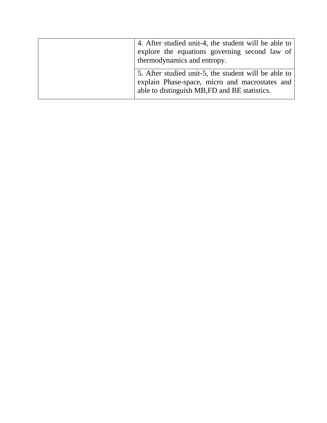| 4. After studied unit-4, the student will be able to<br>explore the equations governing second law of<br>thermodynamics and entropy.                    |
|---------------------------------------------------------------------------------------------------------------------------------------------------------|
| 5. After studied unit-5, the student will be able to<br>explain Phase-space, micro and macrostates and<br>able to distinguish MB, FD and BE statistics. |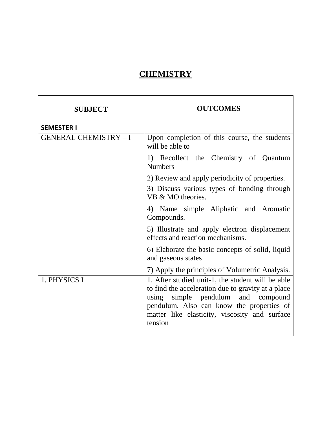## **CHEMISTRY**

| <b>SUBJECT</b>               | <b>OUTCOMES</b>                                                                                                                                                                                                                                           |
|------------------------------|-----------------------------------------------------------------------------------------------------------------------------------------------------------------------------------------------------------------------------------------------------------|
| <b>SEMESTER I</b>            |                                                                                                                                                                                                                                                           |
| <b>GENERAL CHEMISTRY - I</b> | Upon completion of this course, the students<br>will be able to                                                                                                                                                                                           |
|                              | 1) Recollect the Chemistry of Quantum<br><b>Numbers</b>                                                                                                                                                                                                   |
|                              | 2) Review and apply periodicity of properties.                                                                                                                                                                                                            |
|                              | 3) Discuss various types of bonding through<br>VB & MO theories.                                                                                                                                                                                          |
|                              | 4) Name simple Aliphatic and Aromatic<br>Compounds.                                                                                                                                                                                                       |
|                              | 5) Illustrate and apply electron displacement<br>effects and reaction mechanisms.                                                                                                                                                                         |
|                              | 6) Elaborate the basic concepts of solid, liquid<br>and gaseous states                                                                                                                                                                                    |
|                              | 7) Apply the principles of Volumetric Analysis.                                                                                                                                                                                                           |
| 1. PHYSICS I                 | 1. After studied unit-1, the student will be able<br>to find the acceleration due to gravity at a place<br>simple pendulum and compound<br>using<br>pendulum. Also can know the properties of<br>matter like elasticity, viscosity and surface<br>tension |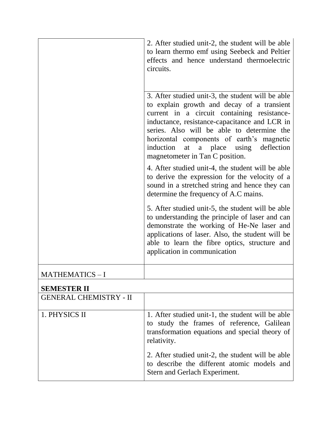|                               | 2. After studied unit-2, the student will be able<br>to learn thermo emf using Seebeck and Peltier<br>effects and hence understand thermoelectric<br>circuits.                                                                                                                                                                                                               |
|-------------------------------|------------------------------------------------------------------------------------------------------------------------------------------------------------------------------------------------------------------------------------------------------------------------------------------------------------------------------------------------------------------------------|
|                               | 3. After studied unit-3, the student will be able<br>to explain growth and decay of a transient<br>current in a circuit containing resistance-<br>inductance, resistance-capacitance and LCR in<br>series. Also will be able to determine the<br>horizontal components of earth's magnetic<br>induction<br>a place using deflection<br>at<br>magnetometer in Tan C position. |
|                               | 4. After studied unit-4, the student will be able<br>to derive the expression for the velocity of a<br>sound in a stretched string and hence they can<br>determine the frequency of A.C mains.                                                                                                                                                                               |
|                               | 5. After studied unit-5, the student will be able<br>to understanding the principle of laser and can<br>demonstrate the working of He-Ne laser and<br>applications of laser. Also, the student will be<br>able to learn the fibre optics, structure and<br>application in communication                                                                                      |
| MATHEMATICS-I                 |                                                                                                                                                                                                                                                                                                                                                                              |
| <b>SEMESTER II</b>            |                                                                                                                                                                                                                                                                                                                                                                              |
| <b>GENERAL CHEMISTRY - II</b> |                                                                                                                                                                                                                                                                                                                                                                              |
| 1. PHYSICS II                 | 1. After studied unit-1, the student will be able<br>to study the frames of reference, Galilean<br>transformation equations and special theory of<br>relativity.                                                                                                                                                                                                             |
|                               | 2. After studied unit-2, the student will be able<br>to describe the different atomic models and<br>Stern and Gerlach Experiment.                                                                                                                                                                                                                                            |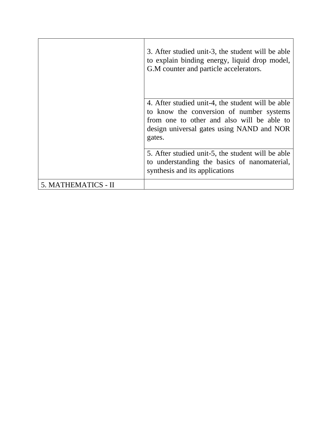|                     | 3. After studied unit-3, the student will be able<br>to explain binding energy, liquid drop model,<br>G.M counter and particle accelerators.                                                       |
|---------------------|----------------------------------------------------------------------------------------------------------------------------------------------------------------------------------------------------|
|                     | 4. After studied unit-4, the student will be able<br>to know the conversion of number systems<br>from one to other and also will be able to<br>design universal gates using NAND and NOR<br>gates. |
|                     | 5. After studied unit-5, the student will be able<br>to understanding the basics of nanomaterial,<br>synthesis and its applications                                                                |
| 5. MATHEMATICS - II |                                                                                                                                                                                                    |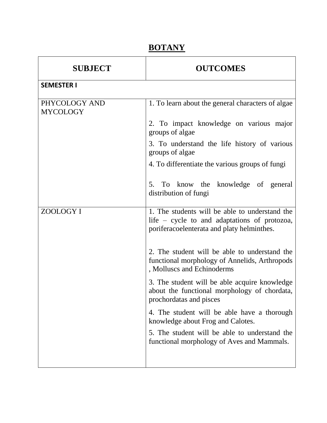## **BOTANY**

| <b>SUBJECT</b>                   | <b>OUTCOMES</b>                                                                                                                              |
|----------------------------------|----------------------------------------------------------------------------------------------------------------------------------------------|
| <b>SEMESTER I</b>                |                                                                                                                                              |
| PHYCOLOGY AND<br><b>MYCOLOGY</b> | 1. To learn about the general characters of algae                                                                                            |
|                                  | 2. To impact knowledge on various major<br>groups of algae                                                                                   |
|                                  | 3. To understand the life history of various<br>groups of algae                                                                              |
|                                  | 4. To differentiate the various groups of fungi                                                                                              |
|                                  | 5. To know the knowledge of general<br>distribution of fungi                                                                                 |
| ZOOLOGY I                        | 1. The students will be able to understand the<br>life – cycle to and adaptations of protozoa,<br>poriferacoelenterata and platy helminthes. |
|                                  | 2. The student will be able to understand the<br>functional morphology of Annelids, Arthropods<br>, Molluscs and Echinoderms                 |
|                                  | 3. The student will be able acquire knowledge<br>about the functional morphology of chordata,<br>prochordatas and pisces                     |
|                                  | 4. The student will be able have a thorough<br>knowledge about Frog and Calotes.                                                             |
|                                  | 5. The student will be able to understand the<br>functional morphology of Aves and Mammals.                                                  |
|                                  |                                                                                                                                              |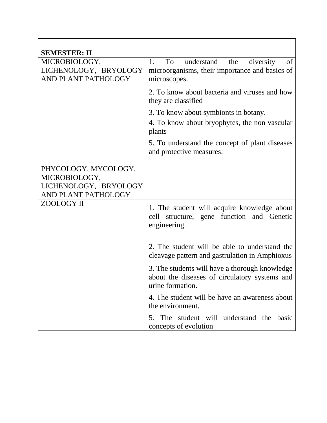| <b>SEMESTER: II</b>                                                                   |                                                                                                                     |
|---------------------------------------------------------------------------------------|---------------------------------------------------------------------------------------------------------------------|
| MICROBIOLOGY,<br>LICHENOLOGY, BRYOLOGY<br>AND PLANT PATHOLOGY                         | understand<br>1.<br>To<br>the<br>diversity<br>of<br>microorganisms, their importance and basics of<br>microscopes.  |
|                                                                                       | 2. To know about bacteria and viruses and how<br>they are classified                                                |
|                                                                                       | 3. To know about symbionts in botany.                                                                               |
|                                                                                       | 4. To know about bryophytes, the non vascular<br>plants                                                             |
|                                                                                       | 5. To understand the concept of plant diseases<br>and protective measures.                                          |
| PHYCOLOGY, MYCOLOGY,<br>MICROBIOLOGY,<br>LICHENOLOGY, BRYOLOGY<br>AND PLANT PATHOLOGY |                                                                                                                     |
| ZOOLOGY II                                                                            | 1. The student will acquire knowledge about<br>cell structure, gene function and Genetic<br>engineering.            |
|                                                                                       | 2. The student will be able to understand the<br>cleavage pattern and gastrulation in Amphioxus                     |
|                                                                                       | 3. The students will have a thorough knowledge<br>about the diseases of circulatory systems and<br>urine formation. |
|                                                                                       | 4. The student will be have an awareness about<br>the environment.                                                  |
|                                                                                       | The student will understand the basic<br>5.<br>concepts of evolution                                                |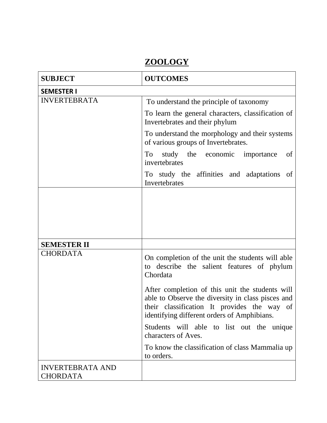# **ZOOLOGY**

| <b>SUBJECT</b>                             | <b>OUTCOMES</b>                                                                                                                                                                                    |
|--------------------------------------------|----------------------------------------------------------------------------------------------------------------------------------------------------------------------------------------------------|
| <b>SEMESTER I</b>                          |                                                                                                                                                                                                    |
| <b>INVERTEBRATA</b>                        | To understand the principle of taxonomy                                                                                                                                                            |
|                                            | To learn the general characters, classification of<br>Invertebrates and their phylum                                                                                                               |
|                                            | To understand the morphology and their systems<br>of various groups of Invertebrates.                                                                                                              |
|                                            | study the economic importance<br>To<br>of<br>invertebrates                                                                                                                                         |
|                                            | To study the affinities and adaptations<br>of<br>Invertebrates                                                                                                                                     |
|                                            |                                                                                                                                                                                                    |
| <b>SEMESTER II</b>                         |                                                                                                                                                                                                    |
| <b>CHORDATA</b>                            | On completion of the unit the students will able<br>to describe the salient features of phylum<br>Chordata                                                                                         |
|                                            | After completion of this unit the students will<br>able to Observe the diversity in class pisces and<br>their classification It provides the way of<br>identifying different orders of Amphibians. |
|                                            | Students will able to list out the unique<br>characters of Aves.                                                                                                                                   |
|                                            | To know the classification of class Mammalia up<br>to orders.                                                                                                                                      |
| <b>INVERTEBRATA AND</b><br><b>CHORDATA</b> |                                                                                                                                                                                                    |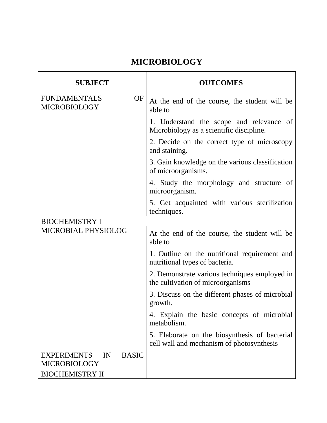## **MICROBIOLOGY**

| <b>SUBJECT</b>                                                  | <b>OUTCOMES</b>                                                                            |
|-----------------------------------------------------------------|--------------------------------------------------------------------------------------------|
| <b>FUNDAMENTALS</b><br>OF<br><b>MICROBIOLOGY</b>                | At the end of the course, the student will be<br>able to                                   |
|                                                                 | 1. Understand the scope and relevance of<br>Microbiology as a scientific discipline.       |
|                                                                 | 2. Decide on the correct type of microscopy<br>and staining.                               |
|                                                                 | 3. Gain knowledge on the various classification<br>of microorganisms.                      |
|                                                                 | 4. Study the morphology and structure of<br>microorganism.                                 |
|                                                                 | 5. Get acquainted with various sterilization<br>techniques.                                |
| <b>BIOCHEMISTRY I</b>                                           |                                                                                            |
| MICROBIAL PHYSIOLOG                                             | At the end of the course, the student will be<br>able to                                   |
|                                                                 | 1. Outline on the nutritional requirement and<br>nutritional types of bacteria.            |
|                                                                 | 2. Demonstrate various techniques employed in<br>the cultivation of microorganisms         |
|                                                                 | 3. Discuss on the different phases of microbial<br>growth.                                 |
|                                                                 | 4. Explain the basic concepts of microbial<br>metabolism.                                  |
|                                                                 | 5. Elaborate on the biosynthesis of bacterial<br>cell wall and mechanism of photosynthesis |
| IN<br><b>BASIC</b><br><b>EXPERIMENTS</b><br><b>MICROBIOLOGY</b> |                                                                                            |
| <b>BIOCHEMISTRY II</b>                                          |                                                                                            |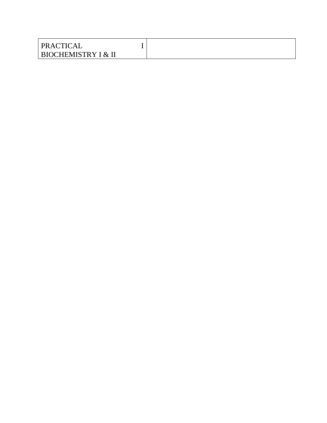| PRACTICAL                      |  |
|--------------------------------|--|
| <b>BIOCHEMISTRY I &amp; II</b> |  |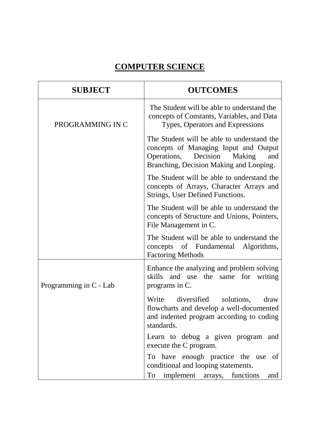## **COMPUTER SCIENCE**

| <b>SUBJECT</b>         | <b>OUTCOMES</b>                                                                                                                                                      |
|------------------------|----------------------------------------------------------------------------------------------------------------------------------------------------------------------|
| PROGRAMMING IN C       | The Student will be able to understand the<br>concepts of Constants, Variables, and Data<br>Types, Operators and Expressions                                         |
|                        | The Student will be able to understand the<br>concepts of Managing Input and Output<br>Operations, Decision Making<br>and<br>Branching, Decision Making and Looping. |
|                        | The Student will be able to understand the<br>concepts of Arrays, Character Arrays and<br>Strings, User Defined Functions.                                           |
|                        | The Student will be able to understand the<br>concepts of Structure and Unions, Pointers,<br>File Management in C.                                                   |
|                        | The Student will be able to understand the<br>concepts of Fundamental Algorithms,<br><b>Factoring Methods</b>                                                        |
| Programming in C - Lab | Enhance the analyzing and problem solving<br>skills<br>and use the<br>same for writing<br>programs in C.                                                             |
|                        | diversified solutions,<br>Write<br>draw<br>flowcharts and develop a well-documented<br>and indented program according to coding<br>standards.                        |
|                        | Learn to debug a given program and<br>execute the C program.                                                                                                         |
|                        | To have enough practice the use<br>of<br>conditional and looping statements.                                                                                         |
|                        | To<br>implement arrays,<br>functions<br>and                                                                                                                          |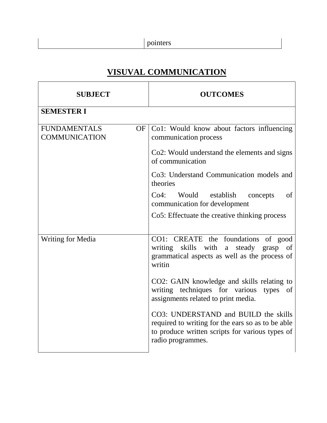# **VISUVAL COMMUNICATION**

| <b>SUBJECT</b>                                    | <b>OUTCOMES</b>                                                                                                                                                   |
|---------------------------------------------------|-------------------------------------------------------------------------------------------------------------------------------------------------------------------|
| <b>SEMESTER I</b>                                 |                                                                                                                                                                   |
| <b>FUNDAMENTALS</b><br>OF<br><b>COMMUNICATION</b> | Co1: Would know about factors influencing<br>communication process                                                                                                |
|                                                   | Co2: Would understand the elements and signs<br>of communication                                                                                                  |
|                                                   | Co3: Understand Communication models and<br>theories                                                                                                              |
|                                                   | Would establish<br>of<br>Co4:<br>concepts<br>communication for development                                                                                        |
|                                                   | Co5: Effectuate the creative thinking process                                                                                                                     |
| <b>Writing for Media</b>                          | CO1: CREATE the foundations<br>of good<br>writing skills with<br>a steady grasp<br>of<br>grammatical aspects as well as the process of<br>writin                  |
|                                                   | CO2: GAIN knowledge and skills relating to<br>writing techniques for various<br>types<br>of<br>assignments related to print media.                                |
|                                                   | CO3: UNDERSTAND and BUILD the skills<br>required to writing for the ears so as to be able<br>to produce written scripts for various types of<br>radio programmes. |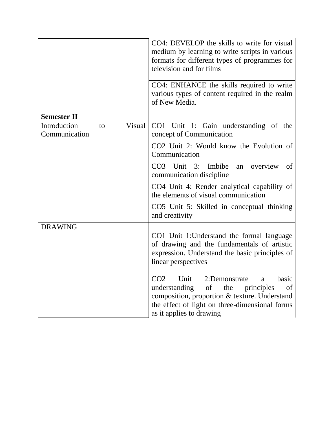|                               |    |        | CO4: DEVELOP the skills to write for visual<br>medium by learning to write scripts in various<br>formats for different types of programmes for<br>television and for films                                                                         |
|-------------------------------|----|--------|----------------------------------------------------------------------------------------------------------------------------------------------------------------------------------------------------------------------------------------------------|
|                               |    |        | CO4: ENHANCE the skills required to write<br>various types of content required in the realm<br>of New Media.                                                                                                                                       |
| <b>Semester II</b>            |    |        |                                                                                                                                                                                                                                                    |
| Introduction<br>Communication | to | Visual | CO1 Unit 1: Gain understanding of the<br>concept of Communication                                                                                                                                                                                  |
|                               |    |        | CO2 Unit 2: Would know the Evolution of<br>Communication                                                                                                                                                                                           |
|                               |    |        | CO3 Unit 3: Imbibe<br>overview<br>an<br>of<br>communication discipline                                                                                                                                                                             |
|                               |    |        | CO4 Unit 4: Render analytical capability of<br>the elements of visual communication                                                                                                                                                                |
|                               |    |        | CO5 Unit 5: Skilled in conceptual thinking<br>and creativity                                                                                                                                                                                       |
| <b>DRAWING</b>                |    |        |                                                                                                                                                                                                                                                    |
|                               |    |        | CO1 Unit 1: Understand the formal language<br>of drawing and the fundamentals of artistic<br>expression. Understand the basic principles of<br>linear perspectives                                                                                 |
|                               |    |        | Unit<br>CO <sub>2</sub><br>2:Demonstrate<br>basic<br>$\mathbf{a}$<br>understanding<br>of<br>the<br>principles<br>of<br>composition, proportion & texture. Understand<br>the effect of light on three-dimensional forms<br>as it applies to drawing |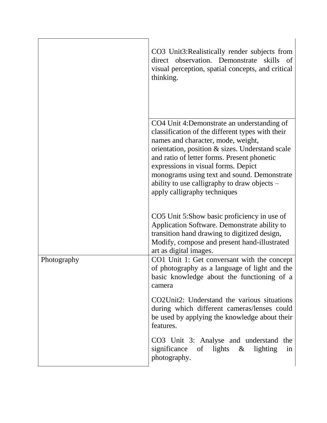|             | CO3 Unit3: Realistically render subjects from<br>direct observation. Demonstrate<br>skills of<br>visual perception, spatial concepts, and critical<br>thinking.                                                                                                                                                                                                                                               |
|-------------|---------------------------------------------------------------------------------------------------------------------------------------------------------------------------------------------------------------------------------------------------------------------------------------------------------------------------------------------------------------------------------------------------------------|
|             | CO4 Unit 4: Demonstrate an understanding of<br>classification of the different types with their<br>names and character, mode, weight,<br>orientation, position & sizes. Understand scale<br>and ratio of letter forms. Present phonetic<br>expressions in visual forms. Depict<br>monograms using text and sound. Demonstrate<br>ability to use calligraphy to draw objects –<br>apply calligraphy techniques |
|             | CO5 Unit 5:Show basic proficiency in use of<br>Application Software. Demonstrate ability to<br>transition hand drawing to digitized design,<br>Modify, compose and present hand-illustrated<br>art as digital images.                                                                                                                                                                                         |
| Photography | CO1 Unit 1: Get conversant with the concept<br>of photography as a language of light and the<br>basic knowledge about the functioning of a<br>camera                                                                                                                                                                                                                                                          |
|             | CO2Unit2: Understand the various situations<br>during which different cameras/lenses could<br>be used by applying the knowledge about their<br>features.                                                                                                                                                                                                                                                      |
|             | CO3 Unit 3: Analyse and understand<br>the<br>significance of lights $\&$ lighting<br>in<br>photography.                                                                                                                                                                                                                                                                                                       |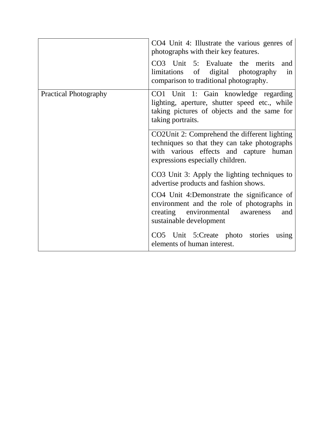|                              | CO4 Unit 4: Illustrate the various genres of<br>photographs with their key features.<br>CO3 Unit 5: Evaluate the merits<br>and<br>digital photography<br>limitations of<br>in<br>comparison to traditional photography. |
|------------------------------|-------------------------------------------------------------------------------------------------------------------------------------------------------------------------------------------------------------------------|
| <b>Practical Photography</b> | CO1 Unit 1: Gain knowledge regarding<br>lighting, aperture, shutter speed etc., while<br>taking pictures of objects and the same for<br>taking portraits.                                                               |
|                              | CO2Unit 2: Comprehend the different lighting<br>techniques so that they can take photographs<br>with various effects and capture human<br>expressions especially children.                                              |
|                              | CO3 Unit 3: Apply the lighting techniques to<br>advertise products and fashion shows.                                                                                                                                   |
|                              | CO4 Unit 4:Demonstrate the significance of<br>environment and the role of photographs in<br>creating environmental awareness<br>and<br>sustainable development                                                          |
|                              | CO5 Unit 5:Create photo stories<br>using<br>elements of human interest.                                                                                                                                                 |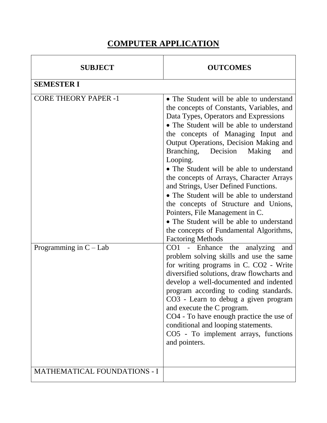### **COMPUTER APPLICATION**

| <b>SUBJECT</b>                      | <b>OUTCOMES</b>                                                                                                                                                                                                                                                                                                                                                                                                                                                                                                                                                                                                                                                                              |
|-------------------------------------|----------------------------------------------------------------------------------------------------------------------------------------------------------------------------------------------------------------------------------------------------------------------------------------------------------------------------------------------------------------------------------------------------------------------------------------------------------------------------------------------------------------------------------------------------------------------------------------------------------------------------------------------------------------------------------------------|
| <b>SEMESTER I</b>                   |                                                                                                                                                                                                                                                                                                                                                                                                                                                                                                                                                                                                                                                                                              |
| <b>CORE THEORY PAPER -1</b>         | • The Student will be able to understand<br>the concepts of Constants, Variables, and<br>Data Types, Operators and Expressions<br>• The Student will be able to understand<br>the concepts of Managing Input and<br>Output Operations, Decision Making and<br>Branching,<br>Decision<br>Making<br>and<br>Looping.<br>• The Student will be able to understand<br>the concepts of Arrays, Character Arrays<br>and Strings, User Defined Functions.<br>• The Student will be able to understand<br>the concepts of Structure and Unions,<br>Pointers, File Management in C.<br>• The Student will be able to understand<br>the concepts of Fundamental Algorithms,<br><b>Factoring Methods</b> |
| Programming in $C - Lab$            | $CO1 -$<br>Enhance the<br>analyzing<br>and<br>problem solving skills and use the same<br>for writing programs in C. CO2 - Write<br>diversified solutions, draw flowcharts and<br>develop a well-documented and indented<br>program according to coding standards.<br>CO3 - Learn to debug a given program<br>and execute the C program.<br>CO4 - To have enough practice the use of<br>conditional and looping statements.<br>CO5 - To implement arrays, functions<br>and pointers.                                                                                                                                                                                                          |
| <b>MATHEMATICAL FOUNDATIONS - I</b> |                                                                                                                                                                                                                                                                                                                                                                                                                                                                                                                                                                                                                                                                                              |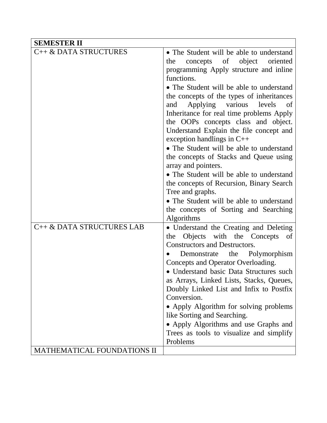| <b>SEMESTER II</b>                                       |                                                                                                                                                                                                                                                                                                                                                                                                                                                                                                                                                                                                                                                                                                               |
|----------------------------------------------------------|---------------------------------------------------------------------------------------------------------------------------------------------------------------------------------------------------------------------------------------------------------------------------------------------------------------------------------------------------------------------------------------------------------------------------------------------------------------------------------------------------------------------------------------------------------------------------------------------------------------------------------------------------------------------------------------------------------------|
| C++ & DATA STRUCTURES                                    | • The Student will be able to understand<br>concepts of object<br>oriented<br>the<br>programming Apply structure and inline<br>functions.<br>• The Student will be able to understand<br>the concepts of the types of inheritances<br>Applying various levels<br>and<br>of<br>Inheritance for real time problems Apply<br>the OOPs concepts class and object.<br>Understand Explain the file concept and<br>exception handlings in $C++$<br>• The Student will be able to understand<br>the concepts of Stacks and Queue using<br>array and pointers.<br>• The Student will be able to understand<br>the concepts of Recursion, Binary Search<br>Tree and graphs.<br>• The Student will be able to understand |
| C++ & DATA STRUCTURES LAB<br>MATHEMATICAL FOUNDATIONS II | the concepts of Sorting and Searching<br>Algorithms<br>• Understand the Creating and Deleting<br>Objects with the Concepts of<br>the<br>Constructors and Destructors.<br>Polymorphism<br>the<br>Demonstrate<br>Concepts and Operator Overloading.<br>• Understand basic Data Structures such<br>as Arrays, Linked Lists, Stacks, Queues,<br>Doubly Linked List and Infix to Postfix<br>Conversion.<br>• Apply Algorithm for solving problems<br>like Sorting and Searching.<br>• Apply Algorithms and use Graphs and<br>Trees as tools to visualize and simplify<br>Problems                                                                                                                                  |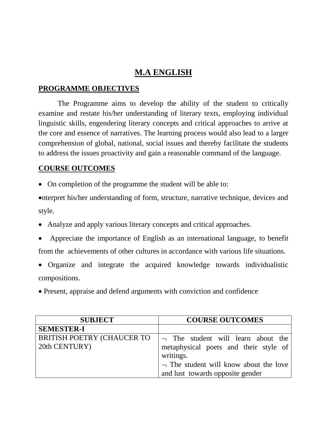### **M.A ENGLISH**

#### **PROGRAMME OBJECTIVES**

The Programme aims to develop the ability of the student to critically examine and restate his/her understanding of literary texts, employing individual linguistic skills, engendering literary concepts and critical approaches to arrive at the core and essence of narratives. The learning process would also lead to a larger comprehension of global, national, social issues and thereby facilitate the students to address the issues proactivity and gain a reasonable command of the language.

#### **COURSE OUTCOMES**

• On completion of the programme the student will be able to:

nterpret his/her understanding of form, structure, narrative technique, devices and style.

- Analyze and apply various literary concepts and critical approaches.
- Appreciate the importance of English as an international language, to benefit from the achievements of other cultures in accordance with various life situations.
- Organize and integrate the acquired knowledge towards individualistic compositions.
- Present, appraise and defend arguments with conviction and confidence

| <b>SUBJECT</b>                                     | <b>COURSE OUTCOMES</b>                                                                         |
|----------------------------------------------------|------------------------------------------------------------------------------------------------|
| <b>SEMESTER-I</b>                                  |                                                                                                |
| <b>BRITISH POETRY (CHAUCER TO</b><br>20th CENTURY) | $\lnot$ The student will learn about the<br>metaphysical poets and their style of<br>writings. |
|                                                    | $\lnot$ The student will know about the love<br>and lust towards opposite gender               |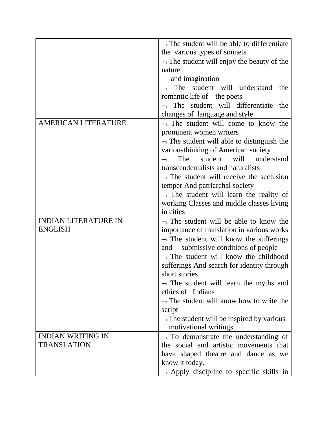|                                                | $\neg$ The student will be able to differentiate     |
|------------------------------------------------|------------------------------------------------------|
|                                                | the various types of sonnets                         |
|                                                | $\neg$ The student will enjoy the beauty of the      |
|                                                | nature                                               |
|                                                | and imagination                                      |
|                                                | The student will understand<br>the                   |
|                                                | romantic life of the poets                           |
|                                                | The student will differentiate<br>the                |
|                                                | changes of language and style.                       |
| <b>AMERICAN LITERATURE</b>                     | $\neg$ The student will come to know the             |
|                                                | prominent women writers                              |
|                                                | $\neg$ The student will able to distinguish the      |
|                                                | variousthinking of American society                  |
|                                                | The<br>will<br>understand<br>student                 |
|                                                | transcendentalists and naturalists                   |
|                                                | $\neg$ The student will receive the seclusion        |
|                                                | temper And patriarchal society                       |
|                                                | $\lnot$ The student will learn the reality of        |
|                                                | working Classes and middle classes living            |
|                                                | in cities                                            |
| <b>INDIAN LITERATURE IN</b>                    | $\neg$ The student will be able to know the          |
| <b>ENGLISH</b>                                 | importance of translation in various works           |
|                                                | $\lnot$ The student will know the sufferings         |
|                                                | submissive conditions of people<br>and               |
|                                                | $\neg$ The student will know the childhood           |
|                                                | sufferings And search for identity through           |
|                                                | short stories                                        |
|                                                | $\lnot$ The student will learn the myths and         |
|                                                | ethics of Indians                                    |
|                                                | $\neg$ The student will know how to write the        |
|                                                | script                                               |
|                                                | $\neg$ The student will be inspired by various       |
|                                                | motivational writings                                |
| <b>INDIAN WRITING IN</b><br><b>TRANSLATION</b> | $\lnot$ To demonstrate the understanding of          |
|                                                | the social and artistic movements that               |
|                                                | have shaped theatre and dance as we                  |
|                                                | know it today.                                       |
|                                                | $\rightarrow$ Apply discipline to specific skills in |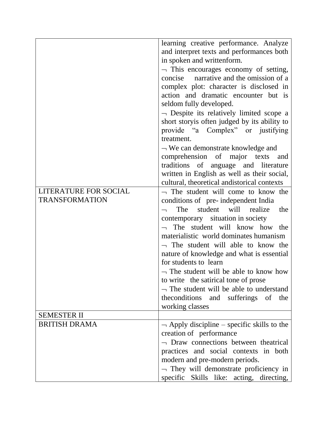|                              | learning creative performance. Analyze                                             |
|------------------------------|------------------------------------------------------------------------------------|
|                              | and interpret texts and performances both                                          |
|                              | in spoken and writtenform.                                                         |
|                              | $\neg$ This encourages economy of setting,                                         |
|                              | concise narrative and the omission of a                                            |
|                              | complex plot: character is disclosed in                                            |
|                              | action and dramatic encounter but is                                               |
|                              | seldom fully developed.                                                            |
|                              | $\neg$ Despite its relatively limited scope a                                      |
|                              | short storyis often judged by its ability to                                       |
|                              | provide "a Complex" or justifying                                                  |
|                              | treatment.                                                                         |
|                              | $\neg$ We can demonstrate knowledge and                                            |
|                              | comprehension of major texts<br>and                                                |
|                              | traditions of anguage and literature                                               |
|                              | written in English as well as their social,                                        |
|                              | cultural, theoretical andistorical contexts                                        |
| <b>LITERATURE FOR SOCIAL</b> | $\neg$ The student will come to know the                                           |
| <b>TRANSFORMATION</b>        | conditions of pre-independent India                                                |
|                              | The<br>student<br>will<br>realize<br>the                                           |
|                              | contemporary situation in society                                                  |
|                              | The student will know how the                                                      |
|                              | materialistic world dominates humanism                                             |
|                              | $\neg$ The student will able to know the                                           |
|                              | nature of knowledge and what is essential                                          |
|                              | for students to learn                                                              |
|                              | $\neg$ The student will be able to know how                                        |
|                              | to write the satirical tone of prose                                               |
|                              | $\neg$ The student will be able to understand                                      |
|                              | the conditions and sufferings of<br>the                                            |
|                              | working classes                                                                    |
| <b>SEMESTER II</b>           |                                                                                    |
| <b>BRITISH DRAMA</b>         |                                                                                    |
|                              | $\rightarrow$ Apply discipline – specific skills to the<br>creation of performance |
|                              | $\neg$ Draw connections between theatrical                                         |
|                              |                                                                                    |
|                              | practices and social contexts in both                                              |
|                              | modern and pre-modern periods.                                                     |
|                              | $\neg$ They will demonstrate proficiency in                                        |
|                              | specific Skills like: acting, directing,                                           |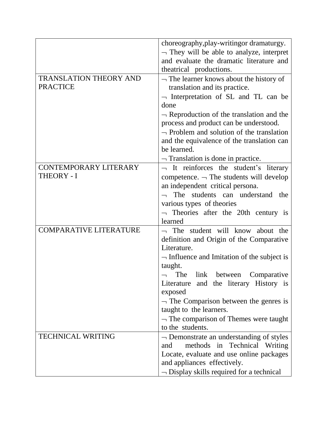| choreography, play-writingor dramaturgy.<br>$\neg$ They will be able to analyze, interpret<br>and evaluate the dramatic literature and<br>theatrical productions.<br><b>TRANSLATION THEORY AND</b><br>$\neg$ The learner knows about the history of<br><b>PRACTICE</b><br>translation and its practice.<br>$\neg$ Interpretation of SL and TL can be<br>done<br>$\neg$ Reproduction of the translation and the<br>process and product can be understood.<br>$\neg$ Problem and solution of the translation<br>and the equivalence of the translation can<br>be learned.<br>$\neg$ Translation is done in practice.<br><b>CONTEMPORARY LITERARY</b><br>$\lnot$ It reinforces the student's literary<br><b>THEORY - I</b><br>competence. $\neg$ The students will develop<br>an independent critical persona.<br>$\lnot$ The students can understand<br>the<br>various types of theories<br>$\lnot$ Theories after the 20th century is<br>learned<br><b>COMPARATIVE LITERATURE</b><br>The student will know about the<br>definition and Origin of the Comparative<br>Literature.<br>$\neg$ Influence and Imitation of the subject is<br>taught.<br>Comparative<br>link between<br>The<br>Literature and the literary History is<br>exposed<br>$\neg$ The Comparison between the genres is<br>taught to the learners.<br>$\neg$ The comparison of Themes were taught |                  |
|-------------------------------------------------------------------------------------------------------------------------------------------------------------------------------------------------------------------------------------------------------------------------------------------------------------------------------------------------------------------------------------------------------------------------------------------------------------------------------------------------------------------------------------------------------------------------------------------------------------------------------------------------------------------------------------------------------------------------------------------------------------------------------------------------------------------------------------------------------------------------------------------------------------------------------------------------------------------------------------------------------------------------------------------------------------------------------------------------------------------------------------------------------------------------------------------------------------------------------------------------------------------------------------------------------------------------------------------------------------------|------------------|
|                                                                                                                                                                                                                                                                                                                                                                                                                                                                                                                                                                                                                                                                                                                                                                                                                                                                                                                                                                                                                                                                                                                                                                                                                                                                                                                                                                   |                  |
|                                                                                                                                                                                                                                                                                                                                                                                                                                                                                                                                                                                                                                                                                                                                                                                                                                                                                                                                                                                                                                                                                                                                                                                                                                                                                                                                                                   |                  |
|                                                                                                                                                                                                                                                                                                                                                                                                                                                                                                                                                                                                                                                                                                                                                                                                                                                                                                                                                                                                                                                                                                                                                                                                                                                                                                                                                                   |                  |
|                                                                                                                                                                                                                                                                                                                                                                                                                                                                                                                                                                                                                                                                                                                                                                                                                                                                                                                                                                                                                                                                                                                                                                                                                                                                                                                                                                   |                  |
|                                                                                                                                                                                                                                                                                                                                                                                                                                                                                                                                                                                                                                                                                                                                                                                                                                                                                                                                                                                                                                                                                                                                                                                                                                                                                                                                                                   |                  |
|                                                                                                                                                                                                                                                                                                                                                                                                                                                                                                                                                                                                                                                                                                                                                                                                                                                                                                                                                                                                                                                                                                                                                                                                                                                                                                                                                                   |                  |
|                                                                                                                                                                                                                                                                                                                                                                                                                                                                                                                                                                                                                                                                                                                                                                                                                                                                                                                                                                                                                                                                                                                                                                                                                                                                                                                                                                   |                  |
|                                                                                                                                                                                                                                                                                                                                                                                                                                                                                                                                                                                                                                                                                                                                                                                                                                                                                                                                                                                                                                                                                                                                                                                                                                                                                                                                                                   |                  |
|                                                                                                                                                                                                                                                                                                                                                                                                                                                                                                                                                                                                                                                                                                                                                                                                                                                                                                                                                                                                                                                                                                                                                                                                                                                                                                                                                                   |                  |
|                                                                                                                                                                                                                                                                                                                                                                                                                                                                                                                                                                                                                                                                                                                                                                                                                                                                                                                                                                                                                                                                                                                                                                                                                                                                                                                                                                   |                  |
|                                                                                                                                                                                                                                                                                                                                                                                                                                                                                                                                                                                                                                                                                                                                                                                                                                                                                                                                                                                                                                                                                                                                                                                                                                                                                                                                                                   |                  |
|                                                                                                                                                                                                                                                                                                                                                                                                                                                                                                                                                                                                                                                                                                                                                                                                                                                                                                                                                                                                                                                                                                                                                                                                                                                                                                                                                                   |                  |
|                                                                                                                                                                                                                                                                                                                                                                                                                                                                                                                                                                                                                                                                                                                                                                                                                                                                                                                                                                                                                                                                                                                                                                                                                                                                                                                                                                   |                  |
|                                                                                                                                                                                                                                                                                                                                                                                                                                                                                                                                                                                                                                                                                                                                                                                                                                                                                                                                                                                                                                                                                                                                                                                                                                                                                                                                                                   |                  |
|                                                                                                                                                                                                                                                                                                                                                                                                                                                                                                                                                                                                                                                                                                                                                                                                                                                                                                                                                                                                                                                                                                                                                                                                                                                                                                                                                                   |                  |
|                                                                                                                                                                                                                                                                                                                                                                                                                                                                                                                                                                                                                                                                                                                                                                                                                                                                                                                                                                                                                                                                                                                                                                                                                                                                                                                                                                   |                  |
|                                                                                                                                                                                                                                                                                                                                                                                                                                                                                                                                                                                                                                                                                                                                                                                                                                                                                                                                                                                                                                                                                                                                                                                                                                                                                                                                                                   |                  |
|                                                                                                                                                                                                                                                                                                                                                                                                                                                                                                                                                                                                                                                                                                                                                                                                                                                                                                                                                                                                                                                                                                                                                                                                                                                                                                                                                                   |                  |
|                                                                                                                                                                                                                                                                                                                                                                                                                                                                                                                                                                                                                                                                                                                                                                                                                                                                                                                                                                                                                                                                                                                                                                                                                                                                                                                                                                   |                  |
|                                                                                                                                                                                                                                                                                                                                                                                                                                                                                                                                                                                                                                                                                                                                                                                                                                                                                                                                                                                                                                                                                                                                                                                                                                                                                                                                                                   |                  |
|                                                                                                                                                                                                                                                                                                                                                                                                                                                                                                                                                                                                                                                                                                                                                                                                                                                                                                                                                                                                                                                                                                                                                                                                                                                                                                                                                                   |                  |
|                                                                                                                                                                                                                                                                                                                                                                                                                                                                                                                                                                                                                                                                                                                                                                                                                                                                                                                                                                                                                                                                                                                                                                                                                                                                                                                                                                   |                  |
|                                                                                                                                                                                                                                                                                                                                                                                                                                                                                                                                                                                                                                                                                                                                                                                                                                                                                                                                                                                                                                                                                                                                                                                                                                                                                                                                                                   |                  |
|                                                                                                                                                                                                                                                                                                                                                                                                                                                                                                                                                                                                                                                                                                                                                                                                                                                                                                                                                                                                                                                                                                                                                                                                                                                                                                                                                                   |                  |
|                                                                                                                                                                                                                                                                                                                                                                                                                                                                                                                                                                                                                                                                                                                                                                                                                                                                                                                                                                                                                                                                                                                                                                                                                                                                                                                                                                   |                  |
|                                                                                                                                                                                                                                                                                                                                                                                                                                                                                                                                                                                                                                                                                                                                                                                                                                                                                                                                                                                                                                                                                                                                                                                                                                                                                                                                                                   |                  |
|                                                                                                                                                                                                                                                                                                                                                                                                                                                                                                                                                                                                                                                                                                                                                                                                                                                                                                                                                                                                                                                                                                                                                                                                                                                                                                                                                                   |                  |
|                                                                                                                                                                                                                                                                                                                                                                                                                                                                                                                                                                                                                                                                                                                                                                                                                                                                                                                                                                                                                                                                                                                                                                                                                                                                                                                                                                   |                  |
|                                                                                                                                                                                                                                                                                                                                                                                                                                                                                                                                                                                                                                                                                                                                                                                                                                                                                                                                                                                                                                                                                                                                                                                                                                                                                                                                                                   |                  |
|                                                                                                                                                                                                                                                                                                                                                                                                                                                                                                                                                                                                                                                                                                                                                                                                                                                                                                                                                                                                                                                                                                                                                                                                                                                                                                                                                                   |                  |
|                                                                                                                                                                                                                                                                                                                                                                                                                                                                                                                                                                                                                                                                                                                                                                                                                                                                                                                                                                                                                                                                                                                                                                                                                                                                                                                                                                   |                  |
|                                                                                                                                                                                                                                                                                                                                                                                                                                                                                                                                                                                                                                                                                                                                                                                                                                                                                                                                                                                                                                                                                                                                                                                                                                                                                                                                                                   |                  |
|                                                                                                                                                                                                                                                                                                                                                                                                                                                                                                                                                                                                                                                                                                                                                                                                                                                                                                                                                                                                                                                                                                                                                                                                                                                                                                                                                                   | to the students. |
| <b>TECHNICAL WRITING</b><br>$\neg$ Demonstrate an understanding of styles                                                                                                                                                                                                                                                                                                                                                                                                                                                                                                                                                                                                                                                                                                                                                                                                                                                                                                                                                                                                                                                                                                                                                                                                                                                                                         |                  |
| methods in Technical Writing<br>and                                                                                                                                                                                                                                                                                                                                                                                                                                                                                                                                                                                                                                                                                                                                                                                                                                                                                                                                                                                                                                                                                                                                                                                                                                                                                                                               |                  |
| Locate, evaluate and use online packages                                                                                                                                                                                                                                                                                                                                                                                                                                                                                                                                                                                                                                                                                                                                                                                                                                                                                                                                                                                                                                                                                                                                                                                                                                                                                                                          |                  |
| and appliances effectively.                                                                                                                                                                                                                                                                                                                                                                                                                                                                                                                                                                                                                                                                                                                                                                                                                                                                                                                                                                                                                                                                                                                                                                                                                                                                                                                                       |                  |
| $\neg$ Display skills required for a technical                                                                                                                                                                                                                                                                                                                                                                                                                                                                                                                                                                                                                                                                                                                                                                                                                                                                                                                                                                                                                                                                                                                                                                                                                                                                                                                    |                  |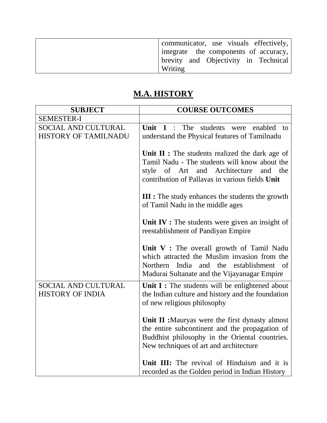| communicator, use visuals effectively,        |
|-----------------------------------------------|
| $ $ integrate the components of accuracy, $ $ |
| brevity and Objectivity in Technical          |
| Writing                                       |

## **M.A. HISTORY**

| <b>SUBJECT</b>                                            | <b>COURSE OUTCOMES</b>                                                                                                                                                                                             |
|-----------------------------------------------------------|--------------------------------------------------------------------------------------------------------------------------------------------------------------------------------------------------------------------|
| <b>SEMESTER-I</b>                                         |                                                                                                                                                                                                                    |
| <b>SOCIAL AND CULTURAL</b><br><b>HISTORY OF TAMILNADU</b> | Unit 1<br>The<br>students were enabled to<br>$\ddot{\phantom{a}}$<br>understand the Physical features of Tamilnadu                                                                                                 |
|                                                           | <b>Unit II :</b> The students realized the dark age of<br>Tamil Nadu - The students will know about the<br>and<br>Architecture<br>style<br>of Art<br>and<br>the<br>contribution of Pallavas in various fields Unit |
|                                                           | <b>III</b> : The study enhances the students the growth<br>of Tamil Nadu in the middle ages                                                                                                                        |
|                                                           | Unit $IV:$ The students were given an insight of<br>reestablishment of Pandiyan Empire                                                                                                                             |
|                                                           | Unit $V:$ The overall growth of Tamil Nadu<br>which attracted the Muslim invasion from the<br>Northern<br>India and the<br>establishment<br>- of<br>Madurai Sultanate and the Vijayanagar Empire                   |
| <b>SOCIAL AND CULTURAL</b><br><b>HISTORY OF INDIA</b>     | Unit I : The students will be enlightened about<br>the Indian culture and history and the foundation<br>of new religious philosophy                                                                                |
|                                                           | Unit II : Mauryas were the first dynasty almost<br>the entire subcontinent and the propagation of<br>Buddhist philosophy in the Oriental countries.<br>New techniques of art and architecture                      |
|                                                           | Unit III: The revival of Hinduism and it is<br>recorded as the Golden period in Indian History                                                                                                                     |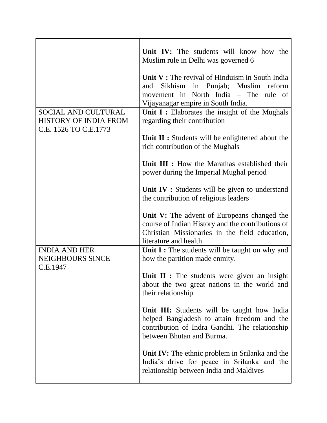|                                                                       | Unit IV: The students will know how the<br>Muslim rule in Delhi was governed 6                                                                                              |
|-----------------------------------------------------------------------|-----------------------------------------------------------------------------------------------------------------------------------------------------------------------------|
|                                                                       | Unit $V:$ The revival of Hinduism in South India<br>and Sikhism in Punjab; Muslim<br>reform<br>movement in North India - The rule of<br>Vijayanagar empire in South India.  |
| SOCIAL AND CULTURAL<br>HISTORY OF INDIA FROM<br>C.E. 1526 TO C.E.1773 | Unit $I:$ Elaborates the insight of the Mughals<br>regarding their contribution                                                                                             |
|                                                                       | Unit II : Students will be enlightened about the<br>rich contribution of the Mughals                                                                                        |
|                                                                       | Unit III : How the Marathas established their<br>power during the Imperial Mughal period                                                                                    |
|                                                                       | Unit IV : Students will be given to understand<br>the contribution of religious leaders                                                                                     |
|                                                                       | Unit V: The advent of Europeans changed the<br>course of Indian History and the contributions of<br>Christian Missionaries in the field education,<br>literature and health |
| <b>INDIA AND HER</b><br><b>NEIGHBOURS SINCE</b><br>C.E.1947           | Unit I : The students will be taught on why and<br>how the partition made enmity.                                                                                           |
|                                                                       | Unit II : The students were given an insight<br>about the two great nations in the world and<br>their relationship                                                          |
|                                                                       | Unit III: Students will be taught how India<br>helped Bangladesh to attain freedom and the<br>contribution of Indra Gandhi. The relationship<br>between Bhutan and Burma.   |
|                                                                       | <b>Unit IV:</b> The ethnic problem in Srilanka and the<br>India's drive for peace in Srilanka and the<br>relationship between India and Maldives                            |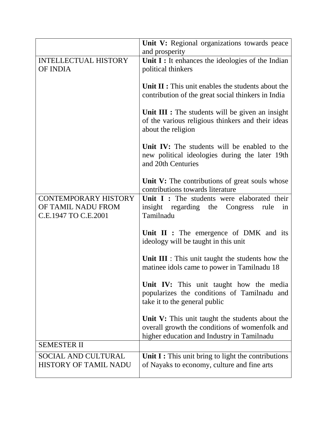|                                                                           | Unit V: Regional organizations towards peace<br>and prosperity                                                                                  |
|---------------------------------------------------------------------------|-------------------------------------------------------------------------------------------------------------------------------------------------|
| <b>INTELLECTUAL HISTORY</b><br>OF INDIA                                   | Unit I : It enhances the ideologies of the Indian<br>political thinkers                                                                         |
|                                                                           | Unit II : This unit enables the students about the<br>contribution of the great social thinkers in India                                        |
|                                                                           | Unit III : The students will be given an insight<br>of the various religious thinkers and their ideas<br>about the religion                     |
|                                                                           | Unit IV: The students will be enabled to the<br>new political ideologies during the later 19th<br>and 20th Centuries                            |
|                                                                           | Unit V: The contributions of great souls whose<br>contributions towards literature                                                              |
| <b>CONTEMPORARY HISTORY</b><br>OF TAMIL NADU FROM<br>C.E.1947 TO C.E.2001 | Unit I: The students were elaborated their<br>insight regarding the<br>Congress<br>rule<br>in<br>Tamilnadu                                      |
|                                                                           | Unit $II$ : The emergence of DMK and its<br>ideology will be taught in this unit                                                                |
|                                                                           | Unit III : This unit taught the students how the<br>matinee idols came to power in Tamilnadu 18                                                 |
|                                                                           | Unit IV: This unit taught how the media<br>popularizes the conditions of Tamilnadu and<br>take it to the general public                         |
|                                                                           | Unit V: This unit taught the students about the<br>overall growth the conditions of womenfolk and<br>higher education and Industry in Tamilnadu |
| <b>SEMESTER II</b>                                                        |                                                                                                                                                 |
| <b>SOCIAL AND CULTURAL</b><br><b>HISTORY OF TAMIL NADU</b>                | Unit $I:$ This unit bring to light the contributions<br>of Nayaks to economy, culture and fine arts                                             |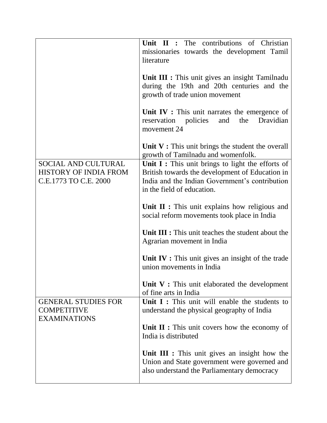|                                                                       | Unit II : The contributions of Christian<br>missionaries towards the development Tamil<br>literature                                                                                   |
|-----------------------------------------------------------------------|----------------------------------------------------------------------------------------------------------------------------------------------------------------------------------------|
|                                                                       | Unit III : This unit gives an insight Tamilnadu<br>during the 19th and 20th centuries and the<br>growth of trade union movement                                                        |
|                                                                       | Unit IV : This unit narrates the emergence of<br>the<br>Dravidian<br>policies<br>and<br>reservation<br>movement 24                                                                     |
|                                                                       | Unit $V:$ This unit brings the student the overall<br>growth of Tamilnadu and womenfolk.                                                                                               |
| SOCIAL AND CULTURAL<br>HISTORY OF INDIA FROM<br>C.E.1773 TO C.E. 2000 | Unit $I$ : This unit brings to light the efforts of<br>British towards the development of Education in<br>India and the Indian Government's contribution<br>in the field of education. |
|                                                                       | Unit $II$ : This unit explains how religious and<br>social reform movements took place in India                                                                                        |
|                                                                       | Unit III : This unit teaches the student about the<br>Agrarian movement in India                                                                                                       |
|                                                                       | Unit $IV:$ This unit gives an insight of the trade<br>union movements in India                                                                                                         |
|                                                                       | Unit V : This unit elaborated the development<br>of fine arts in India                                                                                                                 |
| <b>GENERAL STUDIES FOR</b><br><b>COMPETITIVE</b>                      | Unit $I:$ This unit will enable the students to<br>understand the physical geography of India                                                                                          |
| <b>EXAMINATIONS</b>                                                   | <b>Unit II:</b> This unit covers how the economy of<br>India is distributed                                                                                                            |
|                                                                       | Unit III : This unit gives an insight how the<br>Union and State government were governed and<br>also understand the Parliamentary democracy                                           |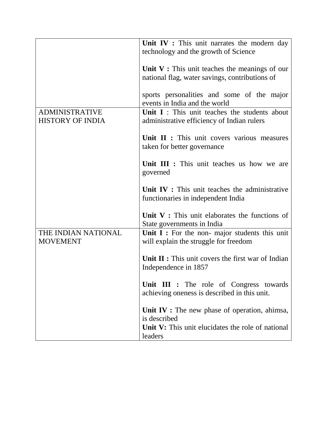|                                                  | Unit IV : This unit narrates the modern day<br>technology and the growth of Science               |
|--------------------------------------------------|---------------------------------------------------------------------------------------------------|
|                                                  | Unit $V:$ This unit teaches the meanings of our<br>national flag, water savings, contributions of |
|                                                  | sports personalities and some of the major<br>events in India and the world                       |
| <b>ADMINISTRATIVE</b><br><b>HISTORY OF INDIA</b> | Unit I: This unit teaches the students about<br>administrative efficiency of Indian rulers        |
|                                                  | Unit II : This unit covers various measures<br>taken for better governance                        |
|                                                  | Unit III : This unit teaches us how we are<br>governed                                            |
|                                                  | Unit IV : This unit teaches the administrative<br>functionaries in independent India              |
|                                                  | Unit $V:$ This unit elaborates the functions of<br>State governments in India                     |
| THE INDIAN NATIONAL<br><b>MOVEMENT</b>           | Unit $I:$ For the non- major students this unit<br>will explain the struggle for freedom          |
|                                                  | <b>Unit II:</b> This unit covers the first war of Indian<br>Independence in 1857                  |
|                                                  | Unit III : The role of Congress towards<br>achieving oneness is described in this unit.           |
|                                                  | Unit $IV:$ The new phase of operation, ahimsa,<br>is described                                    |
|                                                  | Unit V: This unit elucidates the role of national<br>leaders                                      |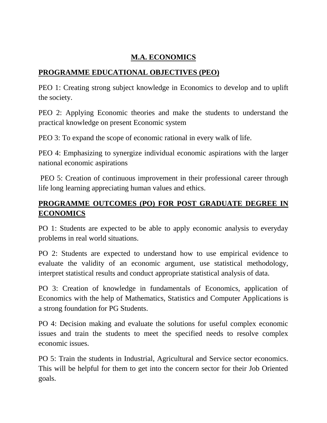#### **M.A. ECONOMICS**

#### **PROGRAMME EDUCATIONAL OBJECTIVES (PEO)**

PEO 1: Creating strong subject knowledge in Economics to develop and to uplift the society.

PEO 2: Applying Economic theories and make the students to understand the practical knowledge on present Economic system

PEO 3: To expand the scope of economic rational in every walk of life.

PEO 4: Emphasizing to synergize individual economic aspirations with the larger national economic aspirations

PEO 5: Creation of continuous improvement in their professional career through life long learning appreciating human values and ethics.

### **PROGRAMME OUTCOMES (PO) FOR POST GRADUATE DEGREE IN ECONOMICS**

PO 1: Students are expected to be able to apply economic analysis to everyday problems in real world situations.

PO 2: Students are expected to understand how to use empirical evidence to evaluate the validity of an economic argument, use statistical methodology, interpret statistical results and conduct appropriate statistical analysis of data.

PO 3: Creation of knowledge in fundamentals of Economics, application of Economics with the help of Mathematics, Statistics and Computer Applications is a strong foundation for PG Students.

PO 4: Decision making and evaluate the solutions for useful complex economic issues and train the students to meet the specified needs to resolve complex economic issues.

PO 5: Train the students in Industrial, Agricultural and Service sector economics. This will be helpful for them to get into the concern sector for their Job Oriented goals.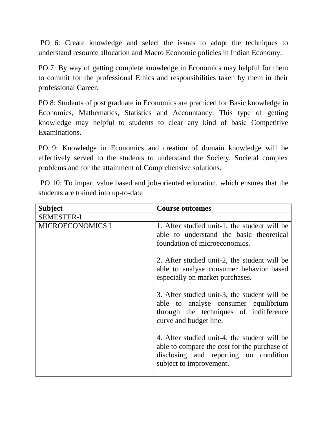PO 6: Create knowledge and select the issues to adopt the techniques to understand resource allocation and Macro Economic policies in Indian Economy.

PO 7: By way of getting complete knowledge in Economics may helpful for them to commit for the professional Ethics and responsibilities taken by them in their professional Career.

PO 8: Students of post graduate in Economics are practiced for Basic knowledge in Economics, Mathematics, Statistics and Accountancy. This type of getting knowledge may helpful to students to clear any kind of basic Competitive Examinations.

PO 9: Knowledge in Economics and creation of domain knowledge will be effectively served to the students to understand the Society, Societal complex problems and for the attainment of Comprehensive solutions.

PO 10: To impart value based and job-oriented education, which ensures that the students are trained into up-to-date

| <b>Subject</b>          | <b>Course outcomes</b>                                                                                                                                           |
|-------------------------|------------------------------------------------------------------------------------------------------------------------------------------------------------------|
| <b>SEMESTER-I</b>       |                                                                                                                                                                  |
| <b>MICROECONOMICS I</b> | 1. After studied unit-1, the student will be<br>able to understand the basic theoretical<br>foundation of microeconomics.                                        |
|                         | 2. After studied unit-2, the student will be<br>able to analyse consumer behavior based<br>especially on market purchases.                                       |
|                         | 3. After studied unit-3, the student will be<br>able to analyse consumer equilibrium<br>through the techniques of indifference<br>curve and budget line.         |
|                         | 4. After studied unit-4, the student will be<br>able to compare the cost for the purchase of<br>disclosing and reporting on condition<br>subject to improvement. |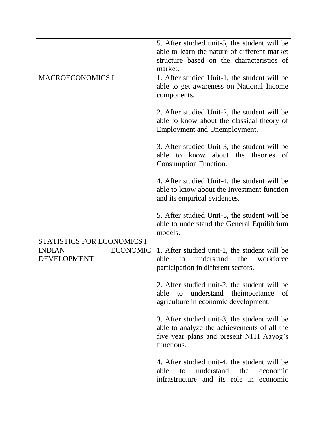|                                  | 5. After studied unit-5, the student will be |
|----------------------------------|----------------------------------------------|
|                                  | able to learn the nature of different market |
|                                  | structure based on the characteristics of    |
|                                  | market.                                      |
| <b>MACROECONOMICS I</b>          | 1. After studied Unit-1, the student will be |
|                                  | able to get awareness on National Income     |
|                                  | components.                                  |
|                                  |                                              |
|                                  | 2. After studied Unit-2, the student will be |
|                                  | able to know about the classical theory of   |
|                                  | <b>Employment and Unemployment.</b>          |
|                                  |                                              |
|                                  | 3. After studied Unit-3, the student will be |
|                                  | to know about the theories<br>able<br>of     |
|                                  | Consumption Function.                        |
|                                  |                                              |
|                                  | 4. After studied Unit-4, the student will be |
|                                  | able to know about the Investment function   |
|                                  | and its empirical evidences.                 |
|                                  |                                              |
|                                  | 5. After studied Unit-5, the student will be |
|                                  | able to understand the General Equilibrium   |
|                                  | models.                                      |
| STATISTICS FOR ECONOMICS I       |                                              |
| <b>INDIAN</b><br><b>ECONOMIC</b> | 1. After studied unit-1, the student will be |
| <b>DEVELOPMENT</b>               | understand<br>workforce<br>the<br>able<br>to |
|                                  | participation in different sectors.          |
|                                  |                                              |
|                                  | 2. After studied unit-2, the student will be |
|                                  | to understand the importance<br>able<br>of   |
|                                  | agriculture in economic development.         |
|                                  |                                              |
|                                  | 3. After studied unit-3, the student will be |
|                                  | able to analyze the achievements of all the  |
|                                  | five year plans and present NITI Aayog's     |
|                                  | functions.                                   |
|                                  |                                              |
|                                  | 4. After studied unit-4, the student will be |
|                                  | able<br>understand<br>the<br>to<br>economic  |
|                                  |                                              |
|                                  | infrastructure and its role in economic      |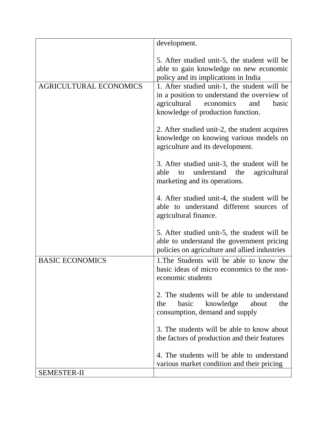|                               | development.                                                                                                                                                                  |
|-------------------------------|-------------------------------------------------------------------------------------------------------------------------------------------------------------------------------|
|                               | 5. After studied unit-5, the student will be<br>able to gain knowledge on new economic<br>policy and its implications in India                                                |
| <b>AGRICULTURAL ECONOMICS</b> | 1. After studied unit-1, the student will be<br>in a position to understand the overview of<br>agricultural<br>economics<br>basic<br>and<br>knowledge of production function. |
|                               | 2. After studied unit-2, the student acquires<br>knowledge on knowing various models on<br>agriculture and its development.                                                   |
|                               | 3. After studied unit-3, the student will be<br>understand the<br>agricultural<br>able<br>to<br>marketing and its operations.                                                 |
|                               | 4. After studied unit-4, the student will be<br>able to understand different sources of<br>agricultural finance.                                                              |
|                               | 5. After studied unit-5, the student will be<br>able to understand the government pricing<br>policies on agriculture and allied industries                                    |
| <b>BASIC ECONOMICS</b>        | 1. The Students will be able to know the<br>basic ideas of micro economics to the non-<br>economic students                                                                   |
|                               | 2. The students will be able to understand<br>basic<br>knowledge<br>about<br>the<br>the<br>consumption, demand and supply                                                     |
|                               | 3. The students will be able to know about<br>the factors of production and their features                                                                                    |
|                               | 4. The students will be able to understand<br>various market condition and their pricing                                                                                      |
| <b>SEMESTER-II</b>            |                                                                                                                                                                               |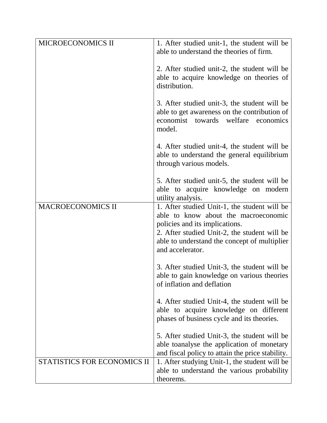| able to understand the theories of firm.<br>2. After studied unit-2, the student will be<br>distribution.<br>3. After studied unit-3, the student will be<br>able to get awareness on the contribution of<br>economist towards<br>welfare<br>economics<br>model.<br>4. After studied unit-4, the student will be<br>able to understand the general equilibrium<br>through various models.<br>5. After studied unit-5, the student will be<br>able to acquire knowledge on modern<br>utility analysis.<br><b>MACROECONOMICS II</b><br>1. After studied Unit-1, the student will be<br>able to know about the macroeconomic<br>policies and its implications.<br>2. After studied Unit-2, the student will be<br>able to understand the concept of multiplier<br>and accelerator.<br>3. After studied Unit-3, the student will be<br>able to gain knowledge on various theories<br>of inflation and deflation<br>4. After studied Unit-4, the student will be<br>able to acquire knowledge on different<br>phases of business cycle and its theories.<br>5. After studied Unit-3, the student will be<br>able to analyse the application of monetary<br>and fiscal policy to attain the price stability.<br>STATISTICS FOR ECONOMICS II<br>1. After studying Unit-1, the student will be<br>able to understand the various probability | MICROECONOMICS II | 1. After studied unit-1, the student will be |
|--------------------------------------------------------------------------------------------------------------------------------------------------------------------------------------------------------------------------------------------------------------------------------------------------------------------------------------------------------------------------------------------------------------------------------------------------------------------------------------------------------------------------------------------------------------------------------------------------------------------------------------------------------------------------------------------------------------------------------------------------------------------------------------------------------------------------------------------------------------------------------------------------------------------------------------------------------------------------------------------------------------------------------------------------------------------------------------------------------------------------------------------------------------------------------------------------------------------------------------------------------------------------------------------------------------------------------------|-------------------|----------------------------------------------|
|                                                                                                                                                                                                                                                                                                                                                                                                                                                                                                                                                                                                                                                                                                                                                                                                                                                                                                                                                                                                                                                                                                                                                                                                                                                                                                                                      |                   |                                              |
|                                                                                                                                                                                                                                                                                                                                                                                                                                                                                                                                                                                                                                                                                                                                                                                                                                                                                                                                                                                                                                                                                                                                                                                                                                                                                                                                      |                   | able to acquire knowledge on theories of     |
|                                                                                                                                                                                                                                                                                                                                                                                                                                                                                                                                                                                                                                                                                                                                                                                                                                                                                                                                                                                                                                                                                                                                                                                                                                                                                                                                      |                   |                                              |
|                                                                                                                                                                                                                                                                                                                                                                                                                                                                                                                                                                                                                                                                                                                                                                                                                                                                                                                                                                                                                                                                                                                                                                                                                                                                                                                                      |                   |                                              |
|                                                                                                                                                                                                                                                                                                                                                                                                                                                                                                                                                                                                                                                                                                                                                                                                                                                                                                                                                                                                                                                                                                                                                                                                                                                                                                                                      |                   |                                              |
|                                                                                                                                                                                                                                                                                                                                                                                                                                                                                                                                                                                                                                                                                                                                                                                                                                                                                                                                                                                                                                                                                                                                                                                                                                                                                                                                      |                   |                                              |
|                                                                                                                                                                                                                                                                                                                                                                                                                                                                                                                                                                                                                                                                                                                                                                                                                                                                                                                                                                                                                                                                                                                                                                                                                                                                                                                                      |                   |                                              |
|                                                                                                                                                                                                                                                                                                                                                                                                                                                                                                                                                                                                                                                                                                                                                                                                                                                                                                                                                                                                                                                                                                                                                                                                                                                                                                                                      |                   |                                              |
|                                                                                                                                                                                                                                                                                                                                                                                                                                                                                                                                                                                                                                                                                                                                                                                                                                                                                                                                                                                                                                                                                                                                                                                                                                                                                                                                      |                   |                                              |
|                                                                                                                                                                                                                                                                                                                                                                                                                                                                                                                                                                                                                                                                                                                                                                                                                                                                                                                                                                                                                                                                                                                                                                                                                                                                                                                                      |                   | theorems.                                    |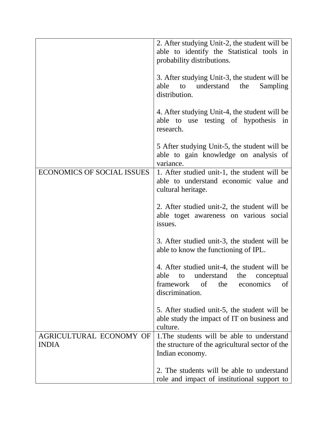|                                         | 2. After studying Unit-2, the student will be<br>able to identify the Statistical tools in<br>probability distributions.                             |
|-----------------------------------------|------------------------------------------------------------------------------------------------------------------------------------------------------|
|                                         | 3. After studying Unit-3, the student will be<br>able<br>to understand<br>the<br>Sampling<br>distribution.                                           |
|                                         | 4. After studying Unit-4, the student will be<br>able to use testing of hypothesis in<br>research.                                                   |
|                                         | 5 After studying Unit-5, the student will be<br>able to gain knowledge on analysis of<br>variance.                                                   |
| <b>ECONOMICS OF SOCIAL ISSUES</b>       | 1. After studied unit-1, the student will be<br>able to understand economic value and<br>cultural heritage.                                          |
|                                         | 2. After studied unit-2, the student will be<br>able toget awareness on various social<br>issues.                                                    |
|                                         | 3. After studied unit-3, the student will be<br>able to know the functioning of IPL.                                                                 |
|                                         | 4. After studied unit-4, the student will be<br>able<br>to understand the conceptual<br>of<br>the<br>framework<br>economics<br>of<br>discrimination. |
|                                         | 5. After studied unit-5, the student will be<br>able study the impact of IT on business and<br>culture.                                              |
| AGRICULTURAL ECONOMY OF<br><b>INDIA</b> | 1. The students will be able to understand<br>the structure of the agricultural sector of the<br>Indian economy.                                     |
|                                         | 2. The students will be able to understand<br>role and impact of institutional support to                                                            |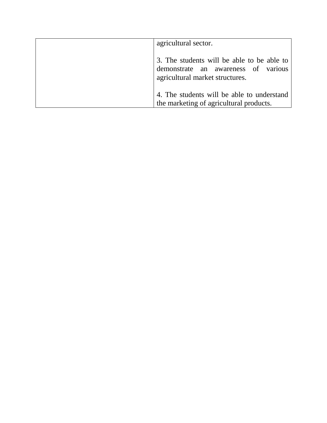| agricultural sector.                                                                                                 |
|----------------------------------------------------------------------------------------------------------------------|
| 3. The students will be able to be able to<br>demonstrate an awareness of various<br>agricultural market structures. |
| 4. The students will be able to understand<br>the marketing of agricultural products.                                |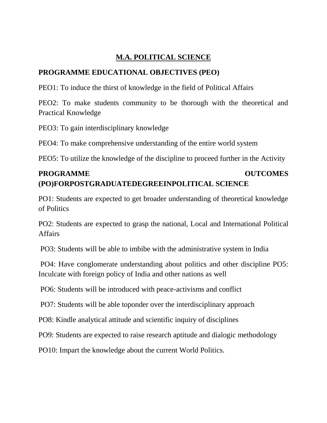#### **M.A. POLITICAL SCIENCE**

#### **PROGRAMME EDUCATIONAL OBJECTIVES (PEO)**

PEO1: To induce the thirst of knowledge in the field of Political Affairs

PEO2: To make students community to be thorough with the theoretical and Practical Knowledge

PEO3: To gain interdisciplinary knowledge

PEO4: To make comprehensive understanding of the entire world system

PEO5: To utilize the knowledge of the discipline to proceed further in the Activity

### **PROGRAMME OUTCOMES (PO)FORPOSTGRADUATEDEGREEINPOLITICAL SCIENCE**

PO1: Students are expected to get broader understanding of theoretical knowledge of Politics

PO2: Students are expected to grasp the national, Local and International Political Affairs

PO3: Students will be able to imbibe with the administrative system in India

PO4: Have conglomerate understanding about politics and other discipline PO5: Inculcate with foreign policy of India and other nations as well

PO6: Students will be introduced with peace-activisms and conflict

PO7: Students will be able toponder over the interdisciplinary approach

PO8: Kindle analytical attitude and scientific inquiry of disciplines

PO9: Students are expected to raise research aptitude and dialogic methodology

PO10: Impart the knowledge about the current World Politics.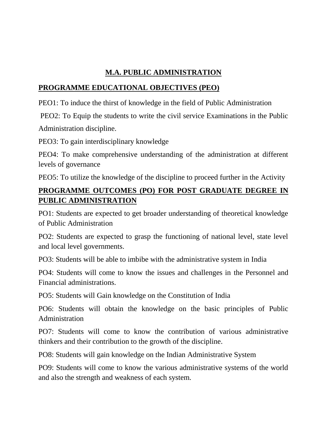#### **M.A. PUBLIC ADMINISTRATION**

#### **PROGRAMME EDUCATIONAL OBJECTIVES (PEO)**

PEO1: To induce the thirst of knowledge in the field of Public Administration

PEO2: To Equip the students to write the civil service Examinations in the Public Administration discipline.

PEO3: To gain interdisciplinary knowledge

PEO4: To make comprehensive understanding of the administration at different levels of governance

PEO5: To utilize the knowledge of the discipline to proceed further in the Activity

#### **PROGRAMME OUTCOMES (PO) FOR POST GRADUATE DEGREE IN PUBLIC ADMINISTRATION**

PO1: Students are expected to get broader understanding of theoretical knowledge of Public Administration

PO2: Students are expected to grasp the functioning of national level, state level and local level governments.

PO3: Students will be able to imbibe with the administrative system in India

PO4: Students will come to know the issues and challenges in the Personnel and Financial administrations.

PO5: Students will Gain knowledge on the Constitution of India

PO6: Students will obtain the knowledge on the basic principles of Public Administration

PO7: Students will come to know the contribution of various administrative thinkers and their contribution to the growth of the discipline.

PO8: Students will gain knowledge on the Indian Administrative System

PO9: Students will come to know the various administrative systems of the world and also the strength and weakness of each system.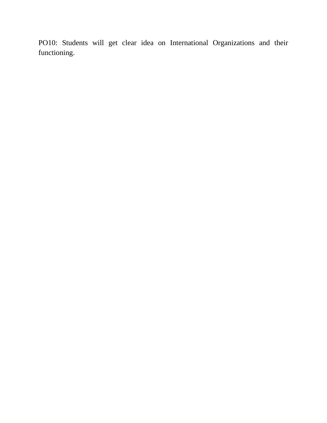PO10: Students will get clear idea on International Organizations and their functioning.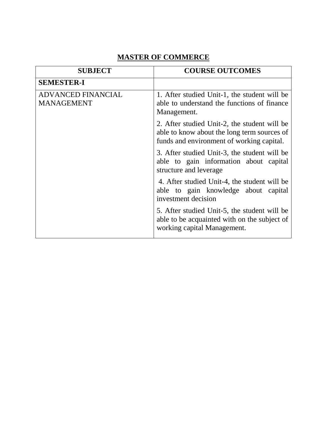### **MASTER OF COMMERCE**

| <b>SUBJECT</b>                                 | <b>COURSE OUTCOMES</b>                                                                                                                   |
|------------------------------------------------|------------------------------------------------------------------------------------------------------------------------------------------|
| <b>SEMESTER-I</b>                              |                                                                                                                                          |
| <b>ADVANCED FINANCIAL</b><br><b>MANAGEMENT</b> | 1. After studied Unit-1, the student will be<br>able to understand the functions of finance<br>Management.                               |
|                                                | 2. After studied Unit-2, the student will be<br>able to know about the long term sources of<br>funds and environment of working capital. |
|                                                | 3. After studied Unit-3, the student will be<br>able to gain information about capital<br>structure and leverage                         |
|                                                | 4. After studied Unit-4, the student will be<br>able to gain knowledge about capital<br>investment decision                              |
|                                                | 5. After studied Unit-5, the student will be<br>able to be acquainted with on the subject of<br>working capital Management.              |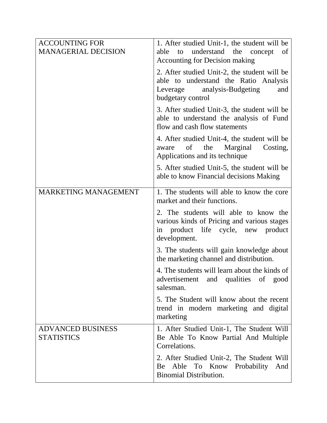| <b>ACCOUNTING FOR</b><br><b>MANAGERIAL DECISION</b> | 1. After studied Unit-1, the student will be<br>understand the<br>able<br>to<br>concept<br>of                                                                                             |
|-----------------------------------------------------|-------------------------------------------------------------------------------------------------------------------------------------------------------------------------------------------|
|                                                     | <b>Accounting for Decision making</b><br>2. After studied Unit-2, the student will be<br>able to understand the Ratio Analysis<br>Leverage analysis-Budgeting<br>and<br>budgetary control |
|                                                     | 3. After studied Unit-3, the student will be<br>able to understand the analysis of Fund<br>flow and cash flow statements                                                                  |
|                                                     | 4. After studied Unit-4, the student will be<br>of<br>the<br>Marginal<br>Costing,<br>aware<br>Applications and its technique                                                              |
|                                                     | 5. After studied Unit-5, the student will be<br>able to know Financial decisions Making                                                                                                   |
| <b>MARKETING MANAGEMENT</b>                         | 1. The students will able to know the core<br>market and their functions.                                                                                                                 |
|                                                     | 2. The students will able to know the<br>various kinds of Pricing and various stages<br>in product life cycle, new product<br>development.                                                |
|                                                     | 3. The students will gain knowledge about<br>the marketing channel and distribution.                                                                                                      |
|                                                     | 4. The students will learn about the kinds of<br>and qualities of<br>advertisement<br>good<br>salesman.                                                                                   |
|                                                     | 5. The Student will know about the recent<br>trend in modern marketing and digital<br>marketing                                                                                           |
| <b>ADVANCED BUSINESS</b><br><b>STATISTICS</b>       | 1. After Studied Unit-1, The Student Will<br>Be Able To Know Partial And Multiple<br>Correlations.                                                                                        |
|                                                     | 2. After Studied Unit-2, The Student Will<br>Be Able To Know Probability<br>And<br><b>Binomial Distribution.</b>                                                                          |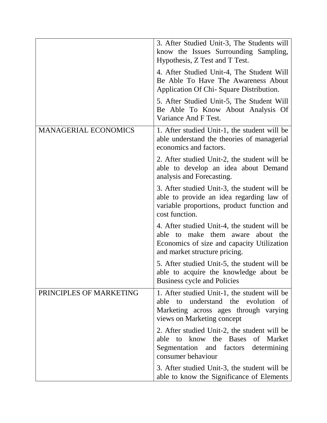|                             | 3. After Studied Unit-3, The Students will<br>know the Issues Surrounding Sampling,<br>Hypothesis, Z Test and T Test.                                                 |
|-----------------------------|-----------------------------------------------------------------------------------------------------------------------------------------------------------------------|
|                             | 4. After Studied Unit-4, The Student Will<br>Be Able To Have The Awareness About<br>Application Of Chi-Square Distribution.                                           |
|                             | 5. After Studied Unit-5, The Student Will<br>Be Able To Know About Analysis Of<br>Variance And F Test.                                                                |
| <b>MANAGERIAL ECONOMICS</b> | 1. After studied Unit-1, the student will be<br>able understand the theories of managerial<br>economics and factors.                                                  |
|                             | 2. After studied Unit-2, the student will be<br>able to develop an idea about Demand<br>analysis and Forecasting.                                                     |
|                             | 3. After studied Unit-3, the student will be<br>able to provide an idea regarding law of<br>variable proportions, product function and<br>cost function.              |
|                             | 4. After studied Unit-4, the student will be<br>able to make them aware about the<br>Economics of size and capacity Utilization<br>and market structure pricing.      |
|                             | 5. After studied Unit-5, the student will be<br>able to acquire the knowledge about be<br>Business cycle and Policies                                                 |
| PRINCIPLES OF MARKETING     | 1. After studied Unit-1, the student will be<br>understand the evolution<br>to<br>able<br>- of<br>Marketing across ages through varying<br>views on Marketing concept |
|                             | 2. After studied Unit-2, the student will be<br>to know the Bases of Market<br>able<br>Segmentation and factors<br>determining<br>consumer behaviour                  |
|                             | 3. After studied Unit-3, the student will be<br>able to know the Significance of Elements                                                                             |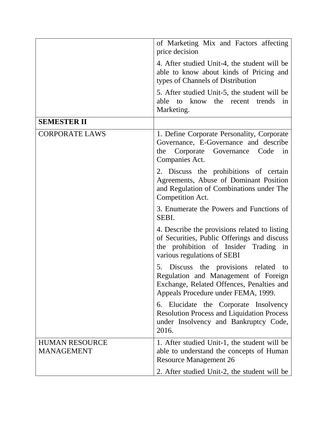|                                            | of Marketing Mix and Factors affecting<br>price decision                                                                                                             |
|--------------------------------------------|----------------------------------------------------------------------------------------------------------------------------------------------------------------------|
|                                            | 4. After studied Unit-4, the student will be<br>able to know about kinds of Pricing and<br>types of Channels of Distribution                                         |
|                                            | 5. After studied Unit-5, the student will be<br>to know the recent trends<br>able<br>in<br>Marketing.                                                                |
| <b>SEMESTER II</b>                         |                                                                                                                                                                      |
| <b>CORPORATE LAWS</b>                      | 1. Define Corporate Personality, Corporate<br>Governance, E-Governance and describe<br>Corporate Governance Code<br>the<br>in<br>Companies Act.                      |
|                                            | 2. Discuss the prohibitions of certain<br>Agreements, Abuse of Dominant Position<br>and Regulation of Combinations under The<br>Competition Act.                     |
|                                            | 3. Enumerate the Powers and Functions of<br>SEBI.                                                                                                                    |
|                                            | 4. Describe the provisions related to listing<br>of Securities, Public Offerings and discuss<br>the prohibition of Insider Trading in<br>various regulations of SEBI |
|                                            | 5. Discuss the provisions related to<br>Regulation and Management of Foreign<br>Exchange, Related Offences, Penalties and<br>Appeals Procedure under FEMA, 1999.     |
|                                            | 6. Elucidate the Corporate Insolvency<br><b>Resolution Process and Liquidation Process</b><br>under Insolvency and Bankruptcy Code,<br>2016.                         |
| <b>HUMAN RESOURCE</b><br><b>MANAGEMENT</b> | 1. After studied Unit-1, the student will be<br>able to understand the concepts of Human<br><b>Resource Management 26</b>                                            |
|                                            | 2. After studied Unit-2, the student will be                                                                                                                         |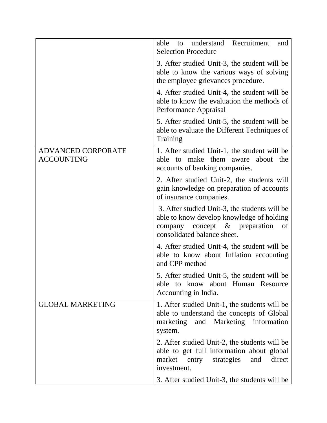|                                                | Recruitment<br>able<br>understand<br>to<br>and<br><b>Selection Procedure</b>                                                                                        |
|------------------------------------------------|---------------------------------------------------------------------------------------------------------------------------------------------------------------------|
|                                                | 3. After studied Unit-3, the student will be<br>able to know the various ways of solving<br>the employee grievances procedure.                                      |
|                                                | 4. After studied Unit-4, the student will be<br>able to know the evaluation the methods of<br>Performance Appraisal                                                 |
|                                                | 5. After studied Unit-5, the student will be<br>able to evaluate the Different Techniques of<br>Training                                                            |
| <b>ADVANCED CORPORATE</b><br><b>ACCOUNTING</b> | 1. After studied Unit-1, the student will be<br>make them aware about the<br>to<br>able<br>accounts of banking companies.                                           |
|                                                | 2. After studied Unit-2, the students will<br>gain knowledge on preparation of accounts<br>of insurance companies.                                                  |
|                                                | 3. After studied Unit-3, the students will be<br>able to know develop knowledge of holding<br>company concept $\&$ preparation<br>of<br>consolidated balance sheet. |
|                                                | 4. After studied Unit-4, the student will be<br>able to know about Inflation accounting<br>and CPP method                                                           |
|                                                | 5. After studied Unit-5, the student will be<br>able to know about Human Resource<br>Accounting in India.                                                           |
| <b>GLOBAL MARKETING</b>                        | 1. After studied Unit-1, the students will be<br>able to understand the concepts of Global<br>marketing and Marketing information<br>system.                        |
|                                                | 2. After studied Unit-2, the students will be<br>able to get full information about global<br>strategies<br>market entry<br>and<br>direct<br>investment.            |
|                                                | 3. After studied Unit-3, the students will be                                                                                                                       |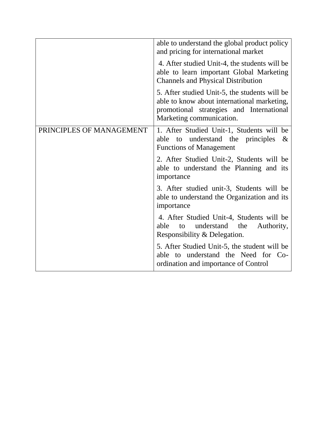|                          | able to understand the global product policy<br>and pricing for international market                                                                                 |
|--------------------------|----------------------------------------------------------------------------------------------------------------------------------------------------------------------|
|                          | 4. After studied Unit-4, the students will be<br>able to learn important Global Marketing<br><b>Channels and Physical Distribution</b>                               |
|                          | 5. After studied Unit-5, the students will be<br>able to know about international marketing,<br>promotional strategies and International<br>Marketing communication. |
| PRINCIPLES OF MANAGEMENT | 1. After Studied Unit-1, Students will be<br>able to understand the principles<br>&<br><b>Functions of Management</b>                                                |
|                          | 2. After Studied Unit-2, Students will be<br>able to understand the Planning and its<br>importance                                                                   |
|                          | 3. After studied unit-3, Students will be<br>able to understand the Organization and its<br>importance                                                               |
|                          | 4. After Studied Unit-4, Students will be<br>able<br>understand the<br>Authority,<br>to<br>Responsibility & Delegation.                                              |
|                          | 5. After Studied Unit-5, the student will be<br>able to understand the Need for Co-<br>ordination and importance of Control                                          |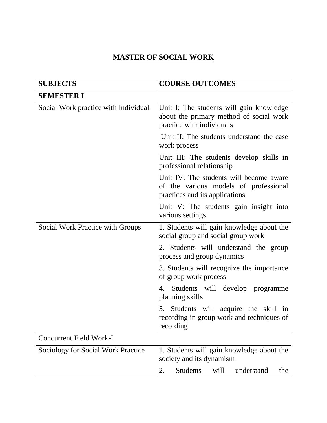### **MASTER OF SOCIAL WORK**

| <b>SUBJECTS</b>                           | <b>COURSE OUTCOMES</b>                                                                                             |
|-------------------------------------------|--------------------------------------------------------------------------------------------------------------------|
| <b>SEMESTER I</b>                         |                                                                                                                    |
| Social Work practice with Individual      | Unit I: The students will gain knowledge<br>about the primary method of social work<br>practice with individuals   |
|                                           | Unit II: The students understand the case<br>work process                                                          |
|                                           | Unit III: The students develop skills in<br>professional relationship                                              |
|                                           | Unit IV: The students will become aware<br>of the various models of professional<br>practices and its applications |
|                                           | Unit V: The students gain insight into<br>various settings                                                         |
| Social Work Practice with Groups          | 1. Students will gain knowledge about the<br>social group and social group work                                    |
|                                           | 2. Students will understand the group<br>process and group dynamics                                                |
|                                           | 3. Students will recognize the importance<br>of group work process                                                 |
|                                           | 4. Students will develop programme<br>planning skills                                                              |
|                                           | 5. Students will acquire the skill in<br>recording in group work and techniques of<br>recording                    |
| <b>Concurrent Field Work-I</b>            |                                                                                                                    |
| <b>Sociology for Social Work Practice</b> | 1. Students will gain knowledge about the<br>society and its dynamism                                              |
|                                           | <b>Students</b><br>2.<br>will<br>understand<br>the                                                                 |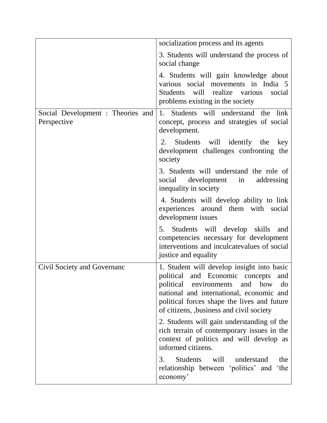|                                                  | socialization process and its agents                                                                                                                                                                                                                            |
|--------------------------------------------------|-----------------------------------------------------------------------------------------------------------------------------------------------------------------------------------------------------------------------------------------------------------------|
|                                                  | 3. Students will understand the process of<br>social change                                                                                                                                                                                                     |
|                                                  | 4. Students will gain knowledge about<br>various social movements in India 5<br>will realize various<br>Students<br>social<br>problems existing in the society                                                                                                  |
| Social Development : Theories and<br>Perspective | 1. Students will understand the link<br>concept, process and strategies of social<br>development.                                                                                                                                                               |
|                                                  | Students will identify the<br>2.<br>key<br>development challenges confronting the<br>society                                                                                                                                                                    |
|                                                  | 3. Students will understand the role of<br>social development in<br>addressing<br>inequality in society                                                                                                                                                         |
|                                                  | 4. Students will develop ability to link<br>experiences around them with social<br>development issues                                                                                                                                                           |
|                                                  | 5. Students will develop skills<br>and<br>competencies necessary for development<br>interventions and inculcatevalues of social<br>justice and equality                                                                                                         |
| Civil Society and Governanc                      | 1. Student will develop insight into basic<br>political and Economic concepts and<br>environments and how do<br>political<br>national and international, economic and<br>political forces shape the lives and future<br>of citizens, business and civil society |
|                                                  | 2. Students will gain understanding of the<br>rich terrain of contemporary issues in the<br>context of politics and will develop as<br>informed citizens.                                                                                                       |
|                                                  | <b>Students</b><br>will<br>3.<br>understand<br>the<br>relationship between 'politics' and<br>'the<br>economy'                                                                                                                                                   |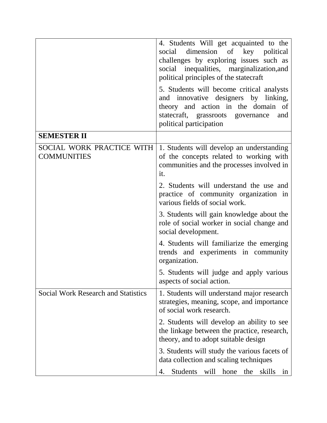|                                                 | 4. Students Will get acquainted to the<br>dimension of key political<br>social<br>challenges by exploring issues such as<br>social inequalities, marginalization, and<br>political principles of the statecraft<br>5. Students will become critical analysts |
|-------------------------------------------------|--------------------------------------------------------------------------------------------------------------------------------------------------------------------------------------------------------------------------------------------------------------|
|                                                 | and innovative designers by linking,<br>theory and action in the domain of<br>statecraft, grassroots governance<br>and<br>political participation                                                                                                            |
| <b>SEMESTER II</b>                              |                                                                                                                                                                                                                                                              |
| SOCIAL WORK PRACTICE WITH<br><b>COMMUNITIES</b> | 1. Students will develop an understanding<br>of the concepts related to working with<br>communities and the processes involved in<br>it.                                                                                                                     |
|                                                 | 2. Students will understand the use and<br>practice of community organization in<br>various fields of social work.                                                                                                                                           |
|                                                 | 3. Students will gain knowledge about the<br>role of social worker in social change and<br>social development.                                                                                                                                               |
|                                                 | 4. Students will familiarize the emerging<br>trends and experiments in community<br>organization.                                                                                                                                                            |
|                                                 | 5. Students will judge and apply various<br>aspects of social action.                                                                                                                                                                                        |
| <b>Social Work Research and Statistics</b>      | 1. Students will understand major research<br>strategies, meaning, scope, and importance<br>of social work research.                                                                                                                                         |
|                                                 | 2. Students will develop an ability to see<br>the linkage between the practice, research,<br>theory, and to adopt suitable design                                                                                                                            |
|                                                 | 3. Students will study the various facets of<br>data collection and scaling techniques                                                                                                                                                                       |
|                                                 | <b>Students</b><br>will<br>hone<br>the<br>skills<br>in<br>4.                                                                                                                                                                                                 |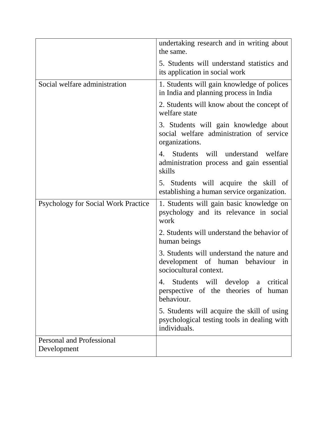|                                                 | undertaking research and in writing about<br>the same.                                                       |
|-------------------------------------------------|--------------------------------------------------------------------------------------------------------------|
|                                                 | 5. Students will understand statistics and<br>its application in social work                                 |
| Social welfare administration                   | 1. Students will gain knowledge of polices<br>in India and planning process in India                         |
|                                                 | 2. Students will know about the concept of<br>welfare state                                                  |
|                                                 | 3. Students will gain knowledge about<br>social welfare administration of service<br>organizations.          |
|                                                 | 4. Students will understand welfare<br>administration process and gain essential<br>skills                   |
|                                                 | 5. Students will acquire the skill of<br>establishing a human service organization.                          |
| <b>Psychology for Social Work Practice</b>      | 1. Students will gain basic knowledge on<br>psychology and its relevance in social<br>work                   |
|                                                 | 2. Students will understand the behavior of<br>human beings                                                  |
|                                                 | 3. Students will understand the nature and<br>development of human behaviour<br>in<br>sociocultural context. |
|                                                 | Students will develop<br>critical<br>4.<br>a<br>perspective of the theories of<br>human<br>behaviour.        |
|                                                 | 5. Students will acquire the skill of using<br>psychological testing tools in dealing with<br>individuals.   |
| <b>Personal and Professional</b><br>Development |                                                                                                              |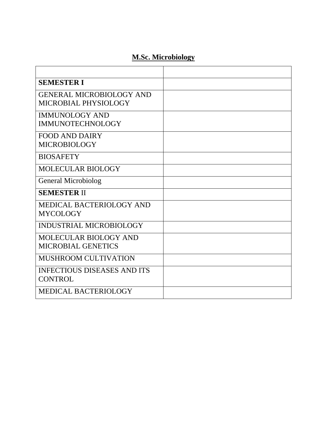#### **M.Sc. Microbiology**

| <b>SEMESTER I</b>                                       |  |
|---------------------------------------------------------|--|
| <b>GENERAL MICROBIOLOGY AND</b><br>MICROBIAL PHYSIOLOGY |  |
| <b>IMMUNOLOGY AND</b><br><b>IMMUNOTECHNOLOGY</b>        |  |
| <b>FOOD AND DAIRY</b><br><b>MICROBIOLOGY</b>            |  |
| <b>BIOSAFETY</b>                                        |  |
| MOLECULAR BIOLOGY                                       |  |
| <b>General Microbiolog</b>                              |  |
| <b>SEMESTER II</b>                                      |  |
| MEDICAL BACTERIOLOGY AND<br><b>MYCOLOGY</b>             |  |
| INDUSTRIAL MICROBIOLOGY                                 |  |
| <b>MOLECULAR BIOLOGY AND</b><br>MICROBIAL GENETICS      |  |
| <b>MUSHROOM CULTIVATION</b>                             |  |
| <b>INFECTIOUS DISEASES AND ITS</b><br><b>CONTROL</b>    |  |
| <b>MEDICAL BACTERIOLOGY</b>                             |  |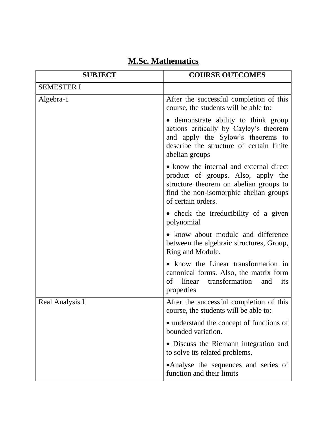| <b>SUBJECT</b>    | <b>COURSE OUTCOMES</b>                                                                                                                                                                  |
|-------------------|-----------------------------------------------------------------------------------------------------------------------------------------------------------------------------------------|
| <b>SEMESTER I</b> |                                                                                                                                                                                         |
| Algebra-1         | After the successful completion of this<br>course, the students will be able to:                                                                                                        |
|                   | • demonstrate ability to think group<br>actions critically by Cayley's theorem<br>and apply the Sylow's theorems to<br>describe the structure of certain finite<br>abelian groups       |
|                   | • know the internal and external direct<br>product of groups. Also, apply the<br>structure theorem on abelian groups to<br>find the non-isomorphic abelian groups<br>of certain orders. |
|                   | • check the irreducibility of a given<br>polynomial                                                                                                                                     |
|                   | • know about module and difference<br>between the algebraic structures, Group,<br>Ring and Module.                                                                                      |
|                   | • know the Linear transformation in<br>canonical forms. Also, the matrix form<br>linear<br>of<br>transformation<br>and<br>its<br>properties                                             |
| Real Analysis I   | After the successful completion of this<br>course, the students will be able to:                                                                                                        |
|                   | • understand the concept of functions of<br>bounded variation.                                                                                                                          |
|                   | • Discuss the Riemann integration and<br>to solve its related problems.                                                                                                                 |
|                   | •Analyse the sequences and series of<br>function and their limits                                                                                                                       |

## **M.Sc. Mathematics**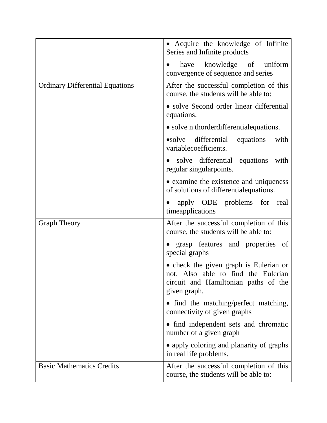|                                        | • Acquire the knowledge of Infinite<br>Series and Infinite products                                                                   |
|----------------------------------------|---------------------------------------------------------------------------------------------------------------------------------------|
|                                        | have knowledge of uniform<br>$\bullet$<br>convergence of sequence and series                                                          |
| <b>Ordinary Differential Equations</b> | After the successful completion of this<br>course, the students will be able to:                                                      |
|                                        | • solve Second order linear differential<br>equations.                                                                                |
|                                        | • solve n thorder differential equations.                                                                                             |
|                                        | •solve differential<br>equations<br>with<br>variablecoefficients.                                                                     |
|                                        | solve differential equations<br>with<br>$\bullet$<br>regular singular<br>points.                                                      |
|                                        | • examine the existence and uniqueness<br>of solutions of differential equations.                                                     |
|                                        | apply ODE problems for real<br>timeapplications                                                                                       |
| <b>Graph Theory</b>                    | After the successful completion of this<br>course, the students will be able to:                                                      |
|                                        | • grasp features and properties of<br>special graphs                                                                                  |
|                                        | • check the given graph is Eulerian or<br>not. Also able to find the Eulerian<br>circuit and Hamiltonian paths of the<br>given graph. |
|                                        | • find the matching/perfect matching,<br>connectivity of given graphs                                                                 |
|                                        | • find independent sets and chromatic<br>number of a given graph                                                                      |
|                                        | • apply coloring and planarity of graphs<br>in real life problems.                                                                    |
| <b>Basic Mathematics Credits</b>       | After the successful completion of this<br>course, the students will be able to:                                                      |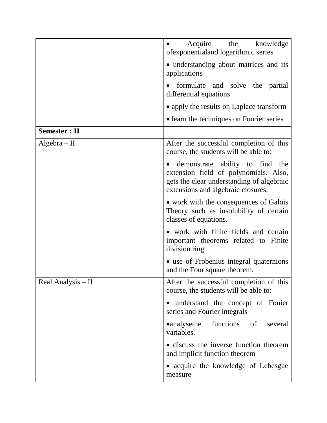|                      | Acquire the<br>knowledge<br>ofexponentialand logarithmic series                                                                                             |
|----------------------|-------------------------------------------------------------------------------------------------------------------------------------------------------------|
|                      | • understanding about matrices and its<br>applications                                                                                                      |
|                      | formulate and solve the partial<br>differential equations                                                                                                   |
|                      | • apply the results on Laplace transform                                                                                                                    |
|                      | • learn the techniques on Fourier series                                                                                                                    |
| <b>Semester : II</b> |                                                                                                                                                             |
| $Algebra - II$       | After the successful completion of this<br>course, the students will be able to:                                                                            |
|                      | demonstrate ability to find the<br>extension field of polynomials. Also,<br>gets the clear understanding of algebraic<br>extensions and algebraic closures. |
|                      | • work with the consequences of Galois<br>Theory such as insolubility of certain<br>classes of equations.                                                   |
|                      | • work with finite fields and certain<br>important theorems related to Finite<br>division ring                                                              |
|                      | • use of Frobenius integral quaternions<br>and the Four square theorem.                                                                                     |
| Real Analysis $-$ II | After the successful completion of this<br>course, the students will be able to:                                                                            |
|                      | • understand the concept of Fouier<br>series and Fourier integrals                                                                                          |
|                      | functions of<br>•analysethe<br>several<br>variables.                                                                                                        |
|                      | • discuss the inverse function theorem<br>and implicit function theorem                                                                                     |
|                      | • acquire the knowledge of Lebesgue<br>measure                                                                                                              |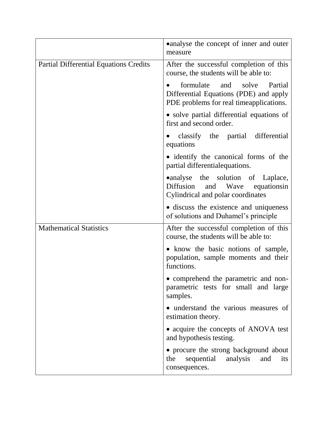|                                               | • analyse the concept of inner and outer<br>measure                                                                    |
|-----------------------------------------------|------------------------------------------------------------------------------------------------------------------------|
| <b>Partial Differential Equations Credits</b> | After the successful completion of this<br>course, the students will be able to:                                       |
|                                               | formulate<br>and solve<br>Partial<br>Differential Equations (PDE) and apply<br>PDE problems for real timeapplications. |
|                                               | • solve partial differential equations of<br>first and second order.                                                   |
|                                               | classify the partial differential<br>equations                                                                         |
|                                               | • identify the canonical forms of the<br>partial differential equations.                                               |
|                                               | •analyse the solution of Laplace,<br>Diffusion and Wave equationsin<br>Cylindrical and polar coordinates               |
|                                               | • discuss the existence and uniqueness<br>of solutions and Duhamel's principle                                         |
| <b>Mathematical Statistics</b>                | After the successful completion of this<br>course, the students will be able to:                                       |
|                                               | • know the basic notions of sample,<br>population, sample moments and their<br>functions.                              |
|                                               | • comprehend the parametric and non-<br>parametric tests for small and large<br>samples.                               |
|                                               | • understand the various measures of<br>estimation theory.                                                             |
|                                               | • acquire the concepts of ANOVA test<br>and hypothesis testing.                                                        |
|                                               | • procure the strong background about<br>analysis<br>the<br>sequential<br>and<br>its<br>consequences.                  |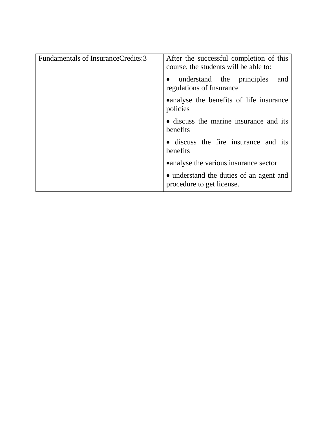| Fundamentals of InsuranceCredits:3 | After the successful completion of this<br>course, the students will be able to: |
|------------------------------------|----------------------------------------------------------------------------------|
|                                    | understand the principles<br>and<br>$\bullet$<br>regulations of Insurance        |
|                                    | • analyse the benefits of life insurance<br>policies                             |
|                                    | • discuss the marine insurance and its<br>benefits                               |
|                                    | • discuss the fire insurance and its<br>benefits                                 |
|                                    | • analyse the various insurance sector                                           |
|                                    | • understand the duties of an agent and<br>procedure to get license.             |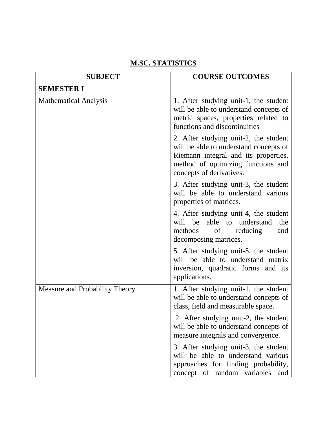#### **M.SC. STATISTICS**

| <b>SUBJECT</b>                 | <b>COURSE OUTCOMES</b>                                                                                                                                                                    |
|--------------------------------|-------------------------------------------------------------------------------------------------------------------------------------------------------------------------------------------|
| <b>SEMESTER I</b>              |                                                                                                                                                                                           |
| <b>Mathematical Analysis</b>   | 1. After studying unit-1, the student<br>will be able to understand concepts of<br>metric spaces, properties related to<br>functions and discontinuities                                  |
|                                | 2. After studying unit-2, the student<br>will be able to understand concepts of<br>Riemann integral and its properties,<br>method of optimizing functions and<br>concepts of derivatives. |
|                                | 3. After studying unit-3, the student<br>will be able to understand various<br>properties of matrices.                                                                                    |
|                                | 4. After studying unit-4, the student<br>will be<br>able to understand<br>the<br>methods<br>of<br>reducing<br>and<br>decomposing matrices.                                                |
|                                | 5. After studying unit-5, the student<br>will be able to understand matrix<br>inversion, quadratic forms and its<br>applications.                                                         |
| Measure and Probability Theory | 1. After studying unit-1, the student<br>will be able to understand concepts of<br>class, field and measurable space.                                                                     |
|                                | 2. After studying unit-2, the student<br>will be able to understand concepts of<br>measure integrals and convergence.                                                                     |
|                                | 3. After studying unit-3, the student<br>will be able to understand various<br>approaches for finding probability,<br>concept of random variables<br>and                                  |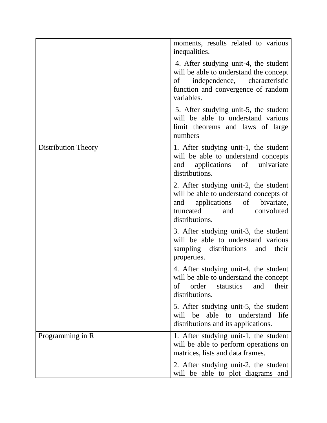|                     | moments, results related to various<br>inequalities.                                                                                                                     |
|---------------------|--------------------------------------------------------------------------------------------------------------------------------------------------------------------------|
|                     | 4. After studying unit-4, the student<br>will be able to understand the concept<br>of independence, characteristic<br>function and convergence of random<br>variables.   |
|                     | 5. After studying unit-5, the student<br>will be able to understand various<br>limit theorems and laws of large<br>numbers                                               |
| Distribution Theory | 1. After studying unit-1, the student<br>will be able to understand concepts<br>and applications of univariate<br>distributions.                                         |
|                     | 2. After studying unit-2, the student<br>will be able to understand concepts of<br>and applications of<br>bivariate,<br>convoluted<br>truncated<br>and<br>distributions. |
|                     | 3. After studying unit-3, the student<br>will be able to understand various<br>sampling distributions and<br>their<br>properties.                                        |
|                     | 4. After studying unit-4, the student<br>will be able to understand the concept<br>order<br>statistics<br>their<br>of<br>and<br>distributions.                           |
|                     | 5. After studying unit-5, the student<br>will be able to<br>understand<br>life<br>distributions and its applications.                                                    |
| Programming in R    | 1. After studying unit-1, the student<br>will be able to perform operations on<br>matrices, lists and data frames.                                                       |
|                     | 2. After studying unit-2, the student<br>will be able to plot diagrams and                                                                                               |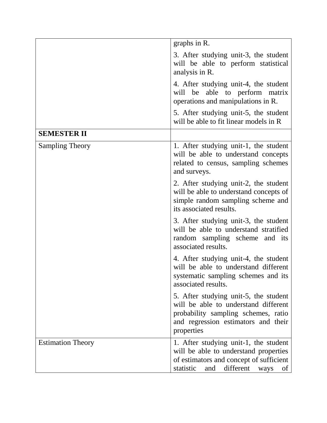|                          | graphs in R.                                                                                                                                                              |
|--------------------------|---------------------------------------------------------------------------------------------------------------------------------------------------------------------------|
|                          | 3. After studying unit-3, the student<br>will be able to perform statistical<br>analysis in R.                                                                            |
|                          | 4. After studying unit-4, the student<br>able to perform matrix<br>will be<br>operations and manipulations in R.                                                          |
|                          | 5. After studying unit-5, the student<br>will be able to fit linear models in R                                                                                           |
| <b>SEMESTER II</b>       |                                                                                                                                                                           |
| <b>Sampling Theory</b>   | 1. After studying unit-1, the student<br>will be able to understand concepts<br>related to census, sampling schemes<br>and surveys.                                       |
|                          | 2. After studying unit-2, the student<br>will be able to understand concepts of<br>simple random sampling scheme and<br>its associated results.                           |
|                          | 3. After studying unit-3, the student<br>will be able to understand stratified<br>random sampling scheme and its<br>associated results.                                   |
|                          | 4. After studying unit-4, the student<br>will be able to understand different<br>systematic sampling schemes and its<br>associated results.                               |
|                          | 5. After studying unit-5, the student<br>will be able to understand different<br>probability sampling schemes, ratio<br>and regression estimators and their<br>properties |
| <b>Estimation Theory</b> | 1. After studying unit-1, the student<br>will be able to understand properties<br>of estimators and concept of sufficient<br>different<br>statistic<br>and<br>ways<br>of  |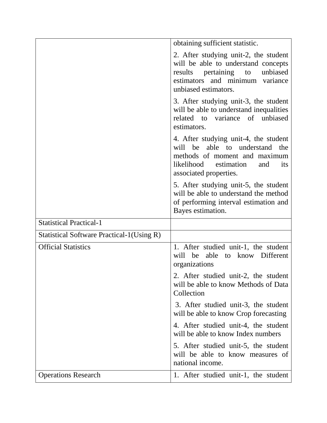|                                                  | obtaining sufficient statistic.                                                                                                                                              |
|--------------------------------------------------|------------------------------------------------------------------------------------------------------------------------------------------------------------------------------|
|                                                  | 2. After studying unit-2, the student<br>will be able to understand concepts<br>results pertaining to<br>unbiased<br>estimators and minimum variance<br>unbiased estimators. |
|                                                  | 3. After studying unit-3, the student<br>will be able to understand inequalities<br>related to variance of unbiased<br>estimators.                                           |
|                                                  | 4. After studying unit-4, the student<br>will be able to understand the<br>methods of moment and maximum<br>likelihood estimation<br>and<br>its<br>associated properties.    |
|                                                  | 5. After studying unit-5, the student<br>will be able to understand the method<br>of performing interval estimation and<br>Bayes estimation.                                 |
| <b>Statistical Practical-1</b>                   |                                                                                                                                                                              |
| <b>Statistical Software Practical-1(Using R)</b> |                                                                                                                                                                              |
| <b>Official Statistics</b>                       | 1. After studied unit-1, the student<br>be able<br>know Different<br>will<br>to<br>organizations                                                                             |
|                                                  | 2. After studied unit-2, the student<br>will be able to know Methods of Data<br>Collection                                                                                   |
|                                                  | 3. After studied unit-3, the student<br>will be able to know Crop forecasting                                                                                                |
|                                                  | 4. After studied unit-4, the student<br>will be able to know Index numbers                                                                                                   |
|                                                  | 5. After studied unit-5, the student<br>will be able to know measures of<br>national income.                                                                                 |
| <b>Operations Research</b>                       | 1. After studied unit-1, the student                                                                                                                                         |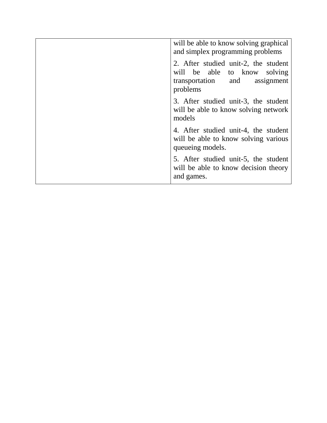| will be able to know solving graphical<br>and simplex programming problems                                              |
|-------------------------------------------------------------------------------------------------------------------------|
| 2. After studied unit-2, the student<br>will be able to know<br>solving<br>assignment<br>transportation and<br>problems |
| 3. After studied unit-3, the student<br>will be able to know solving network<br>models                                  |
| 4. After studied unit-4, the student<br>will be able to know solving various<br>queueing models.                        |
| 5. After studied unit-5, the student<br>will be able to know decision theory<br>and games.                              |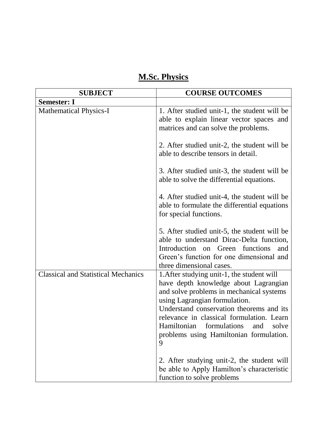## **M.Sc. Physics**

| <b>SUBJECT</b>                             | <b>COURSE OUTCOMES</b>                                                                                                                                                                                                                                                                                                                             |
|--------------------------------------------|----------------------------------------------------------------------------------------------------------------------------------------------------------------------------------------------------------------------------------------------------------------------------------------------------------------------------------------------------|
| <b>Semester: I</b>                         |                                                                                                                                                                                                                                                                                                                                                    |
| <b>Mathematical Physics-I</b>              | 1. After studied unit-1, the student will be<br>able to explain linear vector spaces and<br>matrices and can solve the problems.                                                                                                                                                                                                                   |
|                                            | 2. After studied unit-2, the student will be<br>able to describe tensors in detail.                                                                                                                                                                                                                                                                |
|                                            | 3. After studied unit-3, the student will be<br>able to solve the differential equations.                                                                                                                                                                                                                                                          |
|                                            | 4. After studied unit-4, the student will be<br>able to formulate the differential equations<br>for special functions.                                                                                                                                                                                                                             |
|                                            | 5. After studied unit-5, the student will be<br>able to understand Dirac-Delta function,<br>Introduction<br>Green<br>functions<br>on<br>and<br>Green's function for one dimensional and<br>three dimensional cases.                                                                                                                                |
| <b>Classical and Statistical Mechanics</b> | 1. After studying unit-1, the student will<br>have depth knowledge about Lagrangian<br>and solve problems in mechanical systems<br>using Lagrangian formulation.<br>Understand conservation theorems and its<br>relevance in classical formulation. Learn<br>Hamiltonian formulations and<br>solve<br>problems using Hamiltonian formulation.<br>9 |
|                                            | 2. After studying unit-2, the student will<br>be able to Apply Hamilton's characteristic<br>function to solve problems                                                                                                                                                                                                                             |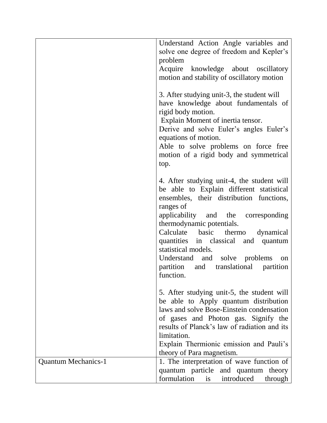|                            | Understand Action Angle variables and                                                                                                                                                                                                                                                                      |
|----------------------------|------------------------------------------------------------------------------------------------------------------------------------------------------------------------------------------------------------------------------------------------------------------------------------------------------------|
|                            | solve one degree of freedom and Kepler's<br>problem                                                                                                                                                                                                                                                        |
|                            | Acquire knowledge about oscillatory                                                                                                                                                                                                                                                                        |
|                            | motion and stability of oscillatory motion                                                                                                                                                                                                                                                                 |
|                            | 3. After studying unit-3, the student will<br>have knowledge about fundamentals of<br>rigid body motion.<br>Explain Moment of inertia tensor.<br>Derive and solve Euler's angles Euler's<br>equations of motion.<br>Able to solve problems on force free<br>motion of a rigid body and symmetrical<br>top. |
|                            | 4. After studying unit-4, the student will<br>be able to Explain different statistical<br>ensembles, their distribution functions,<br>ranges of                                                                                                                                                            |
|                            | applicability and the corresponding<br>thermodynamic potentials.<br>Calculate basic thermo dynamical                                                                                                                                                                                                       |
|                            | quantities in classical and<br>quantum<br>statistical models.                                                                                                                                                                                                                                              |
|                            | Understand and solve problems<br>on<br>partition and translational partition<br>function.                                                                                                                                                                                                                  |
|                            | 5. After studying unit-5, the student will<br>be able to Apply quantum distribution<br>laws and solve Bose-Einstein condensation                                                                                                                                                                           |
|                            | of gases and Photon gas. Signify the<br>results of Planck's law of radiation and its                                                                                                                                                                                                                       |
|                            | limitation.                                                                                                                                                                                                                                                                                                |
|                            | Explain Thermionic emission and Pauli's<br>theory of Para magnetism.                                                                                                                                                                                                                                       |
| <b>Quantum Mechanics-1</b> | 1. The interpretation of wave function of                                                                                                                                                                                                                                                                  |
|                            | quantum particle and quantum theory<br>formulation is introduced<br>through                                                                                                                                                                                                                                |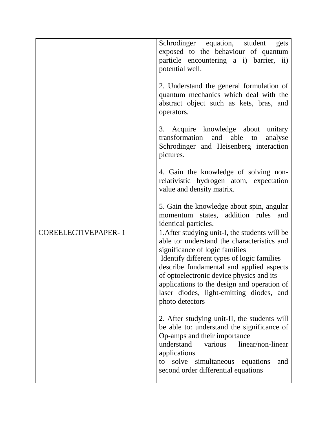|                            | Schrodinger equation, student<br>gets<br>exposed to the behaviour of quantum<br>particle encountering a i) barrier, ii)<br>potential well.                                                                                                                                                                                                                                          |
|----------------------------|-------------------------------------------------------------------------------------------------------------------------------------------------------------------------------------------------------------------------------------------------------------------------------------------------------------------------------------------------------------------------------------|
|                            | 2. Understand the general formulation of<br>quantum mechanics which deal with the<br>abstract object such as kets, bras, and<br>operators.                                                                                                                                                                                                                                          |
|                            | 3. Acquire knowledge about unitary<br>transformation and able<br>to<br>analyse<br>Schrodinger and Heisenberg interaction<br>pictures.                                                                                                                                                                                                                                               |
|                            | 4. Gain the knowledge of solving non-<br>relativistic hydrogen atom, expectation<br>value and density matrix.                                                                                                                                                                                                                                                                       |
|                            | 5. Gain the knowledge about spin, angular<br>momentum states, addition rules and<br>identical particles.                                                                                                                                                                                                                                                                            |
| <b>COREELECTIVEPAPER-1</b> | 1. After studying unit-I, the students will be<br>able to: understand the characteristics and<br>significance of logic families<br>Identify different types of logic families<br>describe fundamental and applied aspects<br>of optoelectronic device physics and its<br>applications to the design and operation of<br>laser diodes, light-emitting diodes, and<br>photo detectors |
|                            | 2. After studying unit-II, the students will<br>be able to: understand the significance of<br>Op-amps and their importance<br>understand<br>various<br>linear/non-linear<br>applications<br>solve<br>simultaneous<br>equations<br>to<br>and<br>second order differential equations                                                                                                  |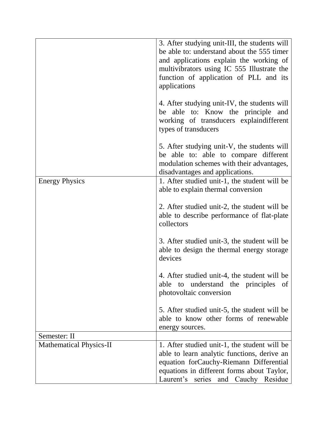|                                | 3. After studying unit-III, the students will<br>be able to: understand about the 555 timer<br>and applications explain the working of<br>multivibrators using IC 555 Illustrate the<br>function of application of PLL and its<br>applications |
|--------------------------------|------------------------------------------------------------------------------------------------------------------------------------------------------------------------------------------------------------------------------------------------|
|                                | 4. After studying unit-IV, the students will<br>be able to: Know the principle<br>and<br>working of transducers explaindifferent<br>types of transducers                                                                                       |
|                                | 5. After studying unit-V, the students will<br>be able to: able to compare different<br>modulation schemes with their advantages,<br>disadvantages and applications.                                                                           |
| <b>Energy Physics</b>          | 1. After studied unit-1, the student will be<br>able to explain thermal conversion                                                                                                                                                             |
|                                | 2. After studied unit-2, the student will be<br>able to describe performance of flat-plate<br>collectors                                                                                                                                       |
|                                | 3. After studied unit-3, the student will be<br>able to design the thermal energy storage<br>devices                                                                                                                                           |
|                                | 4. After studied unit-4, the student will be<br>able to understand the principles of<br>photovoltaic conversion                                                                                                                                |
|                                | 5. After studied unit-5, the student will be<br>able to know other forms of renewable<br>energy sources.                                                                                                                                       |
| Semester: II                   |                                                                                                                                                                                                                                                |
| <b>Mathematical Physics-II</b> | 1. After studied unit-1, the student will be<br>able to learn analytic functions, derive an<br>equation forCauchy-Riemann Differential<br>equations in different forms about Taylor,<br>Laurent's series and Cauchy Residue                    |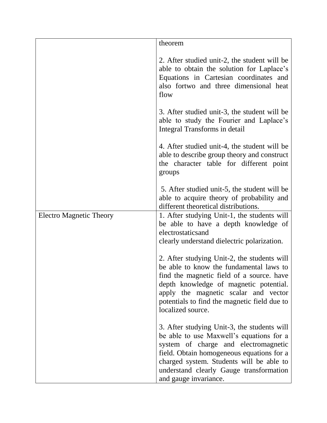|                                | theorem                                                                                                                                                                                                                                                                                      |
|--------------------------------|----------------------------------------------------------------------------------------------------------------------------------------------------------------------------------------------------------------------------------------------------------------------------------------------|
|                                | 2. After studied unit-2, the student will be<br>able to obtain the solution for Laplace's<br>Equations in Cartesian coordinates and<br>also fortwo and three dimensional heat<br>flow                                                                                                        |
|                                | 3. After studied unit-3, the student will be<br>able to study the Fourier and Laplace's<br>Integral Transforms in detail                                                                                                                                                                     |
|                                | 4. After studied unit-4, the student will be<br>able to describe group theory and construct<br>the character table for different point<br>groups                                                                                                                                             |
|                                | 5. After studied unit-5, the student will be<br>able to acquire theory of probability and<br>different theoretical distributions.                                                                                                                                                            |
| <b>Electro Magnetic Theory</b> | 1. After studying Unit-1, the students will<br>be able to have a depth knowledge of<br>electrostaticsand<br>clearly understand dielectric polarization.                                                                                                                                      |
|                                | 2. After studying Unit-2, the students will<br>be able to know the fundamental laws to<br>find the magnetic field of a source, have<br>depth knowledge of magnetic potential.<br>apply the magnetic scalar and vector<br>potentials to find the magnetic field due to<br>localized source.   |
|                                | 3. After studying Unit-3, the students will<br>be able to use Maxwell's equations for a<br>system of charge and electromagnetic<br>field. Obtain homogeneous equations for a<br>charged system. Students will be able to<br>understand clearly Gauge transformation<br>and gauge invariance. |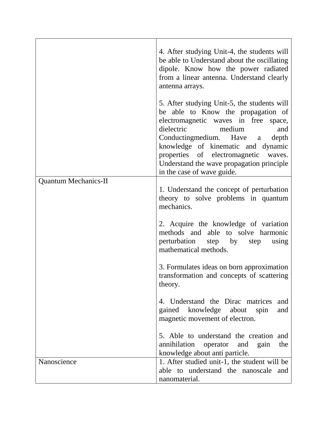|                             | 4. After studying Unit-4, the students will<br>be able to Understand about the oscillating<br>dipole. Know how the power radiated<br>from a linear antenna. Understand clearly<br>antenna arrays.<br>5. After studying Unit-5, the students will<br>be able to Know the propagation of<br>electromagnetic waves in free space,<br>dielectric<br>medium<br>and<br>Conductingmedium. Have a<br>depth<br>knowledge of kinematic and dynamic |
|-----------------------------|------------------------------------------------------------------------------------------------------------------------------------------------------------------------------------------------------------------------------------------------------------------------------------------------------------------------------------------------------------------------------------------------------------------------------------------|
|                             | properties of electromagnetic<br>waves.<br>Understand the wave propagation principle<br>in the case of wave guide.                                                                                                                                                                                                                                                                                                                       |
| <b>Quantum Mechanics-II</b> | 1. Understand the concept of perturbation<br>theory to solve problems in quantum<br>mechanics.                                                                                                                                                                                                                                                                                                                                           |
|                             | 2. Acquire the knowledge of variation<br>methods and able to solve harmonic<br>perturbation step by<br>step<br>using<br>mathematical methods.                                                                                                                                                                                                                                                                                            |
|                             | 3. Formulates ideas on born approximation<br>transformation and concepts of scattering<br>theory.                                                                                                                                                                                                                                                                                                                                        |
|                             | 4. Understand the Dirac matrices<br>and<br>gained knowledge about<br>spin<br>and<br>magnetic movement of electron.                                                                                                                                                                                                                                                                                                                       |
|                             | 5. Able to understand the creation and<br>annihilation<br>the<br>operator<br>and<br>gain<br>knowledge about anti particle.                                                                                                                                                                                                                                                                                                               |
| Nanoscience                 | 1. After studied unit-1, the student will be<br>able to understand the nanoscale and<br>nanomaterial.                                                                                                                                                                                                                                                                                                                                    |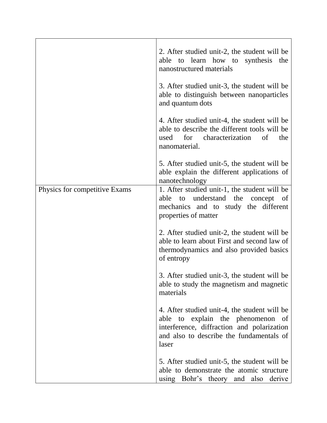|                               | 2. After studied unit-2, the student will be<br>able to learn how to synthesis<br>the<br>nanostructured materials                                                                         |
|-------------------------------|-------------------------------------------------------------------------------------------------------------------------------------------------------------------------------------------|
|                               | 3. After studied unit-3, the student will be<br>able to distinguish between nanoparticles<br>and quantum dots                                                                             |
|                               | 4. After studied unit-4, the student will be<br>able to describe the different tools will be<br>for characterization<br>of<br>the<br>used<br>nanomaterial.                                |
|                               | 5. After studied unit-5, the student will be<br>able explain the different applications of<br>nanotechnology                                                                              |
| Physics for competitive Exams | 1. After studied unit-1, the student will be<br>able to understand the<br>concept<br>- of<br>mechanics and to study the different<br>properties of matter                                 |
|                               | 2. After studied unit-2, the student will be<br>able to learn about First and second law of<br>thermodynamics and also provided basics<br>of entropy                                      |
|                               | 3. After studied unit-3, the student will be<br>able to study the magnetism and magnetic<br>materials                                                                                     |
|                               | 4. After studied unit-4, the student will be<br>able to explain the phenomenon<br>- of<br>interference, diffraction and polarization<br>and also to describe the fundamentals of<br>laser |
|                               | 5. After studied unit-5, the student will be<br>able to demonstrate the atomic structure<br>using Bohr's theory and also derive                                                           |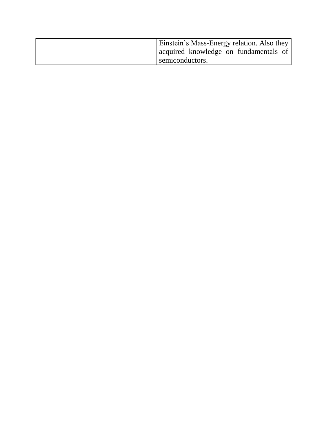| Einstein's Mass-Energy relation. Also they |
|--------------------------------------------|
| acquired knowledge on fundamentals of      |
| semiconductors.                            |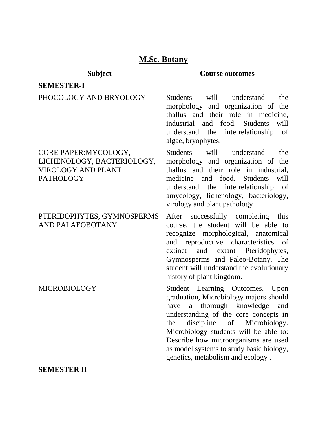## **M.Sc. Botany**

| <b>Subject</b>                                                                                       | <b>Course outcomes</b>                                                                                                                                                                                                                                                                                                                                                   |
|------------------------------------------------------------------------------------------------------|--------------------------------------------------------------------------------------------------------------------------------------------------------------------------------------------------------------------------------------------------------------------------------------------------------------------------------------------------------------------------|
| <b>SEMESTER-I</b>                                                                                    |                                                                                                                                                                                                                                                                                                                                                                          |
| PHOCOLOGY AND BRYOLOGY                                                                               | will<br>Students<br>understand<br>the<br>morphology and organization of the<br>thallus and their role in medicine,<br>industrial and food. Students<br>will<br>understand the interrelationship<br>of<br>algae, bryophytes.                                                                                                                                              |
| CORE PAPER: MYCOLOGY,<br>LICHENOLOGY, BACTERIOLOGY,<br><b>VIROLOGY AND PLANT</b><br><b>PATHOLOGY</b> | Students<br>will<br>understand<br>the<br>morphology and organization of the<br>thallus and their role in industrial,<br>medicine<br>and food.<br><b>Students</b><br>will<br>understand the interrelationship<br><sub>of</sub><br>amycology, lichenology, bacteriology,<br>virology and plant pathology                                                                   |
| PTERIDOPHYTES, GYMNOSPERMS<br><b>AND PALAEOBOTANY</b>                                                | After successfully completing<br>this<br>course, the student will be able to<br>recognize morphological, anatomical<br>and reproductive<br>characteristics<br>- of<br>extinct and extant Pteridophytes,<br>Gymnosperms and Paleo-Botany. The<br>student will understand the evolutionary<br>history of plant kingdom.                                                    |
| <b>MICROBIOLOGY</b>                                                                                  | Student Learning Outcomes.<br>Upon<br>graduation, Microbiology majors should<br>thorough knowledge<br>have<br>a<br>and<br>understanding of the core concepts in<br>discipline of Microbiology.<br>the<br>Microbiology students will be able to:<br>Describe how microorganisms are used<br>as model systems to study basic biology,<br>genetics, metabolism and ecology. |
| <b>SEMESTER II</b>                                                                                   |                                                                                                                                                                                                                                                                                                                                                                          |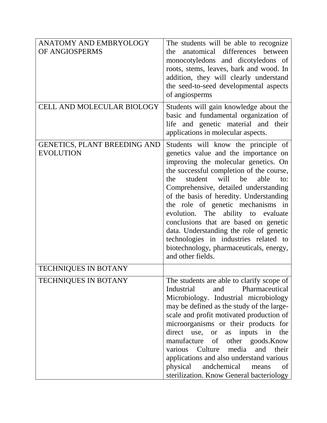| <b>ANATOMY AND EMBRYOLOGY</b><br>OF ANGIOSPERMS         | The students will be able to recognize<br>differences<br>anatomical<br>between<br>the<br>monocotyledons and dicotyledons of<br>roots, stems, leaves, bark and wood. In<br>addition, they will clearly understand<br>the seed-to-seed developmental aspects<br>of angiosperms                                                                                                                                                                                                                                                                                               |
|---------------------------------------------------------|----------------------------------------------------------------------------------------------------------------------------------------------------------------------------------------------------------------------------------------------------------------------------------------------------------------------------------------------------------------------------------------------------------------------------------------------------------------------------------------------------------------------------------------------------------------------------|
| <b>CELL AND MOLECULAR BIOLOGY</b>                       | Students will gain knowledge about the<br>basic and fundamental organization of<br>life and genetic material and their<br>applications in molecular aspects.                                                                                                                                                                                                                                                                                                                                                                                                               |
| <b>GENETICS, PLANT BREEDING AND</b><br><b>EVOLUTION</b> | Students will know the principle of<br>genetics value and the importance on<br>improving the molecular genetics. On<br>the successful completion of the course,<br>student<br>will<br>be<br>able<br>the<br>to:<br>Comprehensive, detailed understanding<br>of the basis of heredity. Understanding<br>the role of genetic mechanisms in<br>evolution. The ability to evaluate<br>conclusions that are based on genetic<br>data. Understanding the role of genetic<br>technologies in industries related to<br>biotechnology, pharmaceuticals, energy,<br>and other fields. |
| <b>TECHNIQUES IN BOTANY</b>                             |                                                                                                                                                                                                                                                                                                                                                                                                                                                                                                                                                                            |
| <b>TECHNIQUES IN BOTANY</b>                             | The students are able to clarify scope of<br>Industrial<br>Pharmaceutical<br>and<br>Microbiology. Industrial microbiology<br>may be defined as the study of the large-<br>scale and profit motivated production of<br>microorganisms or their products for<br>direct use, or<br>as inputs in<br>the<br>manufacture of other goods. Know<br>Culture<br>media<br>various<br>and<br>their<br>applications and also understand various<br>physical<br>andchemical<br>means<br><sub>of</sub><br>sterilization. Know General bacteriology                                        |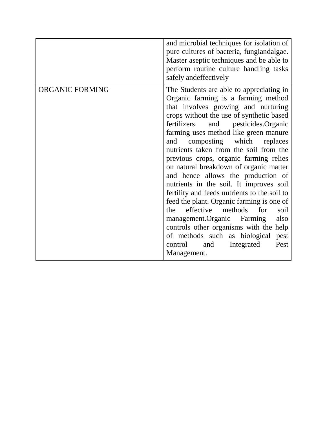|                        | and microbial techniques for isolation of<br>pure cultures of bacteria, fungiandalgae.<br>Master aseptic techniques and be able to<br>perform routine culture handling tasks<br>safely andeffectively                                                                                                                                                                                                                                                                                                                                                                                                                                                                                                                                                                                                                                    |
|------------------------|------------------------------------------------------------------------------------------------------------------------------------------------------------------------------------------------------------------------------------------------------------------------------------------------------------------------------------------------------------------------------------------------------------------------------------------------------------------------------------------------------------------------------------------------------------------------------------------------------------------------------------------------------------------------------------------------------------------------------------------------------------------------------------------------------------------------------------------|
| <b>ORGANIC FORMING</b> | The Students are able to appreciating in<br>Organic farming is a farming method<br>that involves growing and nurturing<br>crops without the use of synthetic based<br>fertilizers<br>and pesticides.Organic<br>farming uses method like green manure<br>composting which<br>and<br>replaces<br>nutrients taken from the soil from the<br>previous crops, organic farming relies<br>on natural breakdown of organic matter<br>and hence allows the production of<br>nutrients in the soil. It improves soil<br>fertility and feeds nutrients to the soil to<br>feed the plant. Organic farming is one of<br>effective<br>for<br>methods<br>the<br>soil<br>management.Organic<br>Farming<br>also<br>controls other organisms with the help<br>of methods such as biological<br>pest<br>Pest<br>control<br>and<br>Integrated<br>Management. |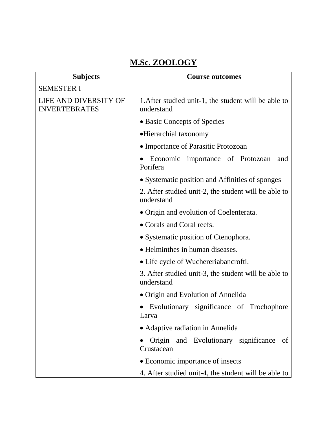# **M.Sc. ZOOLOGY**

| <b>Subjects</b>                               | <b>Course outcomes</b>                                             |
|-----------------------------------------------|--------------------------------------------------------------------|
| <b>SEMESTER I</b>                             |                                                                    |
| LIFE AND DIVERSITY OF<br><b>INVERTEBRATES</b> | 1. After studied unit-1, the student will be able to<br>understand |
|                                               | • Basic Concepts of Species                                        |
|                                               | • Hierarchial taxonomy                                             |
|                                               | • Importance of Parasitic Protozoan                                |
|                                               | Economic importance of Protozoan<br>and<br>Porifera                |
|                                               | • Systematic position and Affinities of sponges                    |
|                                               | 2. After studied unit-2, the student will be able to<br>understand |
|                                               | • Origin and evolution of Coelenterata.                            |
|                                               | • Corals and Coral reefs.                                          |
|                                               | • Systematic position of Ctenophora.                               |
|                                               | • Helminthes in human diseases.                                    |
|                                               | • Life cycle of Wuchereriabancrofti.                               |
|                                               | 3. After studied unit-3, the student will be able to<br>understand |
|                                               | • Origin and Evolution of Annelida                                 |
|                                               | Evolutionary significance of Trochophore<br>Larva                  |
|                                               | • Adaptive radiation in Annelida                                   |
|                                               | Origin and Evolutionary significance<br>of<br>Crustacean           |
|                                               | • Economic importance of insects                                   |
|                                               | 4. After studied unit-4, the student will be able to               |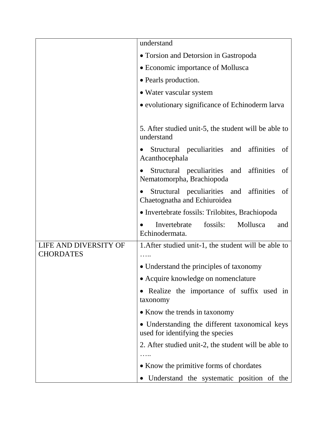|                                           | understand                                                                         |
|-------------------------------------------|------------------------------------------------------------------------------------|
|                                           | • Torsion and Detorsion in Gastropoda                                              |
|                                           | • Economic importance of Mollusca                                                  |
|                                           | • Pearls production.                                                               |
|                                           | • Water vascular system                                                            |
|                                           | • evolutionary significance of Echinoderm larva                                    |
|                                           |                                                                                    |
|                                           | 5. After studied unit-5, the student will be able to<br>understand                 |
|                                           | Structural peculiarities and affinities<br>of<br>Acanthocephala                    |
|                                           | Structural peculiarities and<br>affinities<br>of<br>Nematomorpha, Brachiopoda      |
|                                           | Structural peculiarities and affinities<br>of<br>Chaetognatha and Echiuroidea      |
|                                           | • Invertebrate fossils: Trilobites, Brachiopoda                                    |
|                                           | fossils:<br>Mollusca<br>Invertebrate<br>and<br>Echinodermata.                      |
| LIFE AND DIVERSITY OF<br><b>CHORDATES</b> | 1. After studied unit-1, the student will be able to<br>.                          |
|                                           | • Understand the principles of taxonomy                                            |
|                                           | • Acquire knowledge on nomenclature                                                |
|                                           | • Realize the importance of suffix used in<br>taxonomy                             |
|                                           | • Know the trends in taxonomy                                                      |
|                                           | • Understanding the different taxonomical keys<br>used for identifying the species |
|                                           | 2. After studied unit-2, the student will be able to                               |
|                                           |                                                                                    |
|                                           | • Know the primitive forms of chordates                                            |
|                                           | Understand the systematic position of the                                          |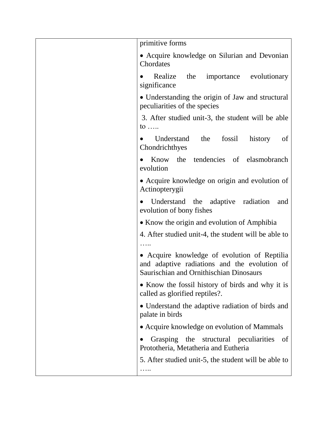| primitive forms                                                                                                                         |
|-----------------------------------------------------------------------------------------------------------------------------------------|
| • Acquire knowledge on Silurian and Devonian<br>Chordates                                                                               |
| Realize<br>the<br>importance evolutionary<br>significance                                                                               |
| • Understanding the origin of Jaw and structural<br>peculiarities of the species                                                        |
| 3. After studied unit-3, the student will be able<br>to $\ldots$                                                                        |
| fossil<br>Understand<br>the<br>history<br>of<br>Chondrichthyes                                                                          |
| the tendencies of elasmobranch<br>Know<br>evolution                                                                                     |
| • Acquire knowledge on origin and evolution of<br>Actinopterygii                                                                        |
| Understand the<br>adaptive<br>radiation<br>and<br>evolution of bony fishes                                                              |
| • Know the origin and evolution of Amphibia                                                                                             |
| 4. After studied unit-4, the student will be able to                                                                                    |
| • Acquire knowledge of evolution of Reptilia<br>and adaptive radiations and the evolution of<br>Saurischian and Ornithischian Dinosaurs |
| • Know the fossil history of birds and why it is<br>called as glorified reptiles?.                                                      |
| • Understand the adaptive radiation of birds and<br>palate in birds                                                                     |
| • Acquire knowledge on evolution of Mammals                                                                                             |
| Grasping the structural peculiarities<br>of<br>Prototheria, Metatheria and Eutheria                                                     |
| 5. After studied unit-5, the student will be able to                                                                                    |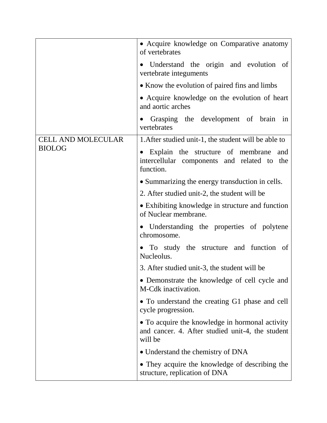|                           | • Acquire knowledge on Comparative anatomy<br>of vertebrates                                                   |
|---------------------------|----------------------------------------------------------------------------------------------------------------|
|                           | • Understand the origin and evolution of<br>vertebrate integuments                                             |
|                           | • Know the evolution of paired fins and limbs                                                                  |
|                           | • Acquire knowledge on the evolution of heart<br>and aortic arches                                             |
|                           | Grasping the development of brain in<br>vertebrates                                                            |
| <b>CELL AND MOLECULAR</b> | 1. After studied unit-1, the student will be able to                                                           |
| <b>BIOLOG</b>             | Explain the structure of membrane<br>and<br>intercellular components and related to the<br>function.           |
|                           | • Summarizing the energy transduction in cells.                                                                |
|                           | 2. After studied unit-2, the student will be                                                                   |
|                           | • Exhibiting knowledge in structure and function<br>of Nuclear membrane.                                       |
|                           | • Understanding the properties of polytene<br>chromosome.                                                      |
|                           | • To study the structure and function of<br>Nucleolus.                                                         |
|                           | 3. After studied unit-3, the student will be                                                                   |
|                           | • Demonstrate the knowledge of cell cycle and<br>M-Cdk inactivation.                                           |
|                           | • To understand the creating G1 phase and cell<br>cycle progression.                                           |
|                           | • To acquire the knowledge in hormonal activity<br>and cancer. 4. After studied unit-4, the student<br>will be |
|                           | • Understand the chemistry of DNA                                                                              |
|                           | • They acquire the knowledge of describing the<br>structure, replication of DNA                                |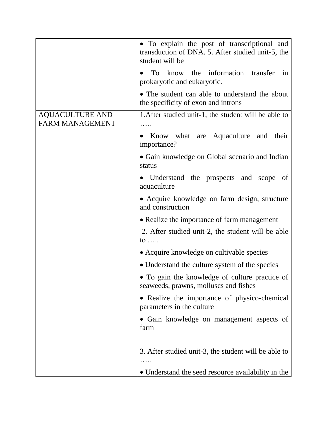|                                                  | • To explain the post of transcriptional and<br>transduction of DNA. 5. After studied unit-5, the<br>student will be |
|--------------------------------------------------|----------------------------------------------------------------------------------------------------------------------|
|                                                  | To know the information transfer<br>in<br>prokaryotic and eukaryotic.                                                |
|                                                  | • The student can able to understand the about<br>the specificity of exon and introns                                |
| <b>AQUACULTURE AND</b><br><b>FARM MANAGEMENT</b> | 1. After studied unit-1, the student will be able to                                                                 |
|                                                  | Know what are Aquaculture and their<br>importance?                                                                   |
|                                                  | • Gain knowledge on Global scenario and Indian<br>status                                                             |
|                                                  | Understand the prospects and scope of<br>aquaculture                                                                 |
|                                                  | • Acquire knowledge on farm design, structure<br>and construction                                                    |
|                                                  | • Realize the importance of farm management                                                                          |
|                                                  | 2. After studied unit-2, the student will be able<br>to $\ldots$                                                     |
|                                                  | • Acquire knowledge on cultivable species                                                                            |
|                                                  | • Understand the culture system of the species                                                                       |
|                                                  | • To gain the knowledge of culture practice of<br>seaweeds, prawns, molluscs and fishes                              |
|                                                  | • Realize the importance of physico-chemical<br>parameters in the culture                                            |
|                                                  | · Gain knowledge on management aspects of<br>farm                                                                    |
|                                                  | 3. After studied unit-3, the student will be able to                                                                 |
|                                                  | • Understand the seed resource availability in the                                                                   |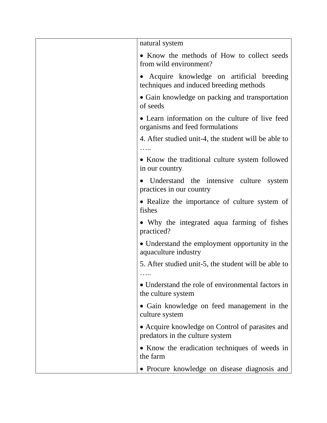| natural system                                                                      |
|-------------------------------------------------------------------------------------|
| • Know the methods of How to collect seeds<br>from wild environment?                |
| Acquire knowledge on artificial breeding<br>techniques and induced breeding methods |
| • Gain knowledge on packing and transportation<br>of seeds                          |
| • Learn information on the culture of live feed<br>organisms and feed formulations  |
| 4. After studied unit-4, the student will be able to                                |
| • Know the traditional culture system followed<br>in our country                    |
| Understand the intensive culture<br>system<br>$\bullet$<br>practices in our country |
| • Realize the importance of culture system of<br>fishes                             |
| • Why the integrated aqua farming of fishes<br>practiced?                           |
| • Understand the employment opportunity in the<br>aquaculture industry              |
| 5. After studied unit-5, the student will be able to<br>.                           |
| • Understand the role of environmental factors in<br>the culture system             |
| • Gain knowledge on feed management in the<br>culture system                        |
| • Acquire knowledge on Control of parasites and<br>predators in the culture system  |
| • Know the eradication techniques of weeds in<br>the farm                           |
| • Procure knowledge on disease diagnosis and                                        |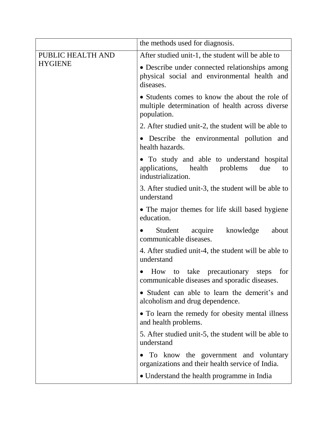|                                     | the methods used for diagnosis.                                                                                   |
|-------------------------------------|-------------------------------------------------------------------------------------------------------------------|
| PUBLIC HEALTH AND<br><b>HYGIENE</b> | After studied unit-1, the student will be able to                                                                 |
|                                     | • Describe under connected relationships among<br>physical social and environmental health and<br>diseases.       |
|                                     | • Students comes to know the about the role of<br>multiple determination of health across diverse<br>population.  |
|                                     | 2. After studied unit-2, the student will be able to                                                              |
|                                     | • Describe the environmental pollution and<br>health hazards.                                                     |
|                                     | • To study and able to understand hospital<br>applications, health<br>problems<br>due<br>to<br>industrialization. |
|                                     | 3. After studied unit-3, the student will be able to<br>understand                                                |
|                                     | • The major themes for life skill based hygiene<br>education.                                                     |
|                                     | acquire knowledge<br>Student<br>about<br>communicable diseases.                                                   |
|                                     | 4. After studied unit-4, the student will be able to<br>understand                                                |
|                                     | How<br>take precautionary<br>steps<br>for<br>to<br>communicable diseases and sporadic diseases.                   |
|                                     | • Student can able to learn the demerit's and<br>alcoholism and drug dependence.                                  |
|                                     | • To learn the remedy for obesity mental illness<br>and health problems.                                          |
|                                     | 5. After studied unit-5, the student will be able to<br>understand                                                |
|                                     | To know the government and voluntary<br>organizations and their health service of India.                          |
|                                     | • Understand the health programme in India                                                                        |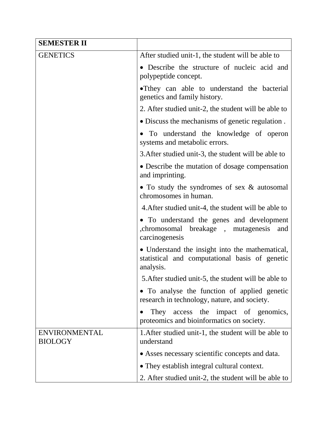| <b>SEMESTER II</b>                     |                                                                                                                |
|----------------------------------------|----------------------------------------------------------------------------------------------------------------|
| <b>GENETICS</b>                        | After studied unit-1, the student will be able to                                                              |
|                                        | • Describe the structure of nucleic acid and<br>polypeptide concept.                                           |
|                                        | • They can able to understand the bacterial<br>genetics and family history.                                    |
|                                        | 2. After studied unit-2, the student will be able to                                                           |
|                                        | • Discuss the mechanisms of genetic regulation.                                                                |
|                                        | To understand the knowledge of operon<br>systems and metabolic errors.                                         |
|                                        | 3. After studied unit-3, the student will be able to                                                           |
|                                        | • Describe the mutation of dosage compensation<br>and imprinting.                                              |
|                                        | • To study the syndromes of sex & autosomal<br>chromosomes in human.                                           |
|                                        | 4. After studied unit-4, the student will be able to                                                           |
|                                        | • To understand the genes and development<br>chromosomal breakage, mutagenesis<br>and<br>carcinogenesis        |
|                                        | • Understand the insight into the mathematical,<br>statistical and computational basis of genetic<br>analysis. |
|                                        | 5. After studied unit-5, the student will be able to                                                           |
|                                        | To analyse the function of applied genetic<br>research in technology, nature, and society.                     |
|                                        | access the<br>impact of genomics,<br>They<br>proteomics and bioinformatics on society.                         |
| <b>ENVIRONMENTAL</b><br><b>BIOLOGY</b> | 1. After studied unit-1, the student will be able to<br>understand                                             |
|                                        | • Asses necessary scientific concepts and data.                                                                |
|                                        | • They establish integral cultural context.                                                                    |
|                                        | 2. After studied unit-2, the student will be able to                                                           |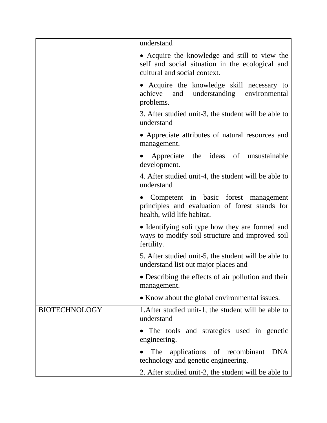|                      | understand                                                                                                                        |
|----------------------|-----------------------------------------------------------------------------------------------------------------------------------|
|                      | • Acquire the knowledge and still to view the<br>self and social situation in the ecological and<br>cultural and social context.  |
|                      | • Acquire the knowledge skill necessary to<br>achieve and understanding environmental<br>problems.                                |
|                      | 3. After studied unit-3, the student will be able to<br>understand                                                                |
|                      | • Appreciate attributes of natural resources and<br>management.                                                                   |
|                      | Appreciate the ideas of unsustainable<br>development.                                                                             |
|                      | 4. After studied unit-4, the student will be able to<br>understand                                                                |
|                      | Competent in basic forest management<br>$\bullet$<br>principles and evaluation of forest stands for<br>health, wild life habitat. |
|                      | • Identifying soli type how they are formed and<br>ways to modify soil structure and improved soil<br>fertility.                  |
|                      | 5. After studied unit-5, the student will be able to<br>understand list out major places and                                      |
|                      | • Describing the effects of air pollution and their<br>management.                                                                |
|                      | • Know about the global environmental issues.                                                                                     |
| <b>BIOTECHNOLOGY</b> | 1. After studied unit-1, the student will be able to<br>understand                                                                |
|                      | The tools and strategies used in genetic<br>engineering.                                                                          |
|                      | applications of recombinant<br><b>DNA</b><br><b>The</b><br>technology and genetic engineering.                                    |
|                      | 2. After studied unit-2, the student will be able to                                                                              |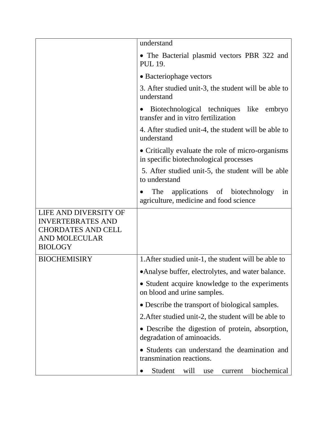|                                                                                                                          | understand                                                                                  |
|--------------------------------------------------------------------------------------------------------------------------|---------------------------------------------------------------------------------------------|
|                                                                                                                          | • The Bacterial plasmid vectors PBR 322 and<br><b>PUL 19.</b>                               |
|                                                                                                                          | • Bacteriophage vectors                                                                     |
|                                                                                                                          | 3. After studied unit-3, the student will be able to<br>understand                          |
|                                                                                                                          | Biotechnological techniques like embryo<br>$\bullet$<br>transfer and in vitro fertilization |
|                                                                                                                          | 4. After studied unit-4, the student will be able to<br>understand                          |
|                                                                                                                          | • Critically evaluate the role of micro-organisms<br>in specific biotechnological processes |
|                                                                                                                          | 5. After studied unit-5, the student will be able<br>to understand                          |
|                                                                                                                          | The<br>applications of biotechnology<br>in<br>agriculture, medicine and food science        |
| LIFE AND DIVERSITY OF<br><b>INVERTEBRATES AND</b><br><b>CHORDATES AND CELL</b><br><b>AND MOLECULAR</b><br><b>BIOLOGY</b> |                                                                                             |
| <b>BIOCHEMISIRY</b>                                                                                                      | 1. After studied unit-1, the student will be able to                                        |
|                                                                                                                          | • Analyse buffer, electrolytes, and water balance.                                          |
|                                                                                                                          | • Student acquire knowledge to the experiments<br>on blood and urine samples.               |
|                                                                                                                          | • Describe the transport of biological samples.                                             |
|                                                                                                                          | 2. After studied unit-2, the student will be able to                                        |
|                                                                                                                          | • Describe the digestion of protein, absorption,<br>degradation of aminoacids.              |
|                                                                                                                          | • Students can understand the deamination and<br>transmination reactions.                   |
|                                                                                                                          | Student<br>biochemical<br>will<br>current<br>use                                            |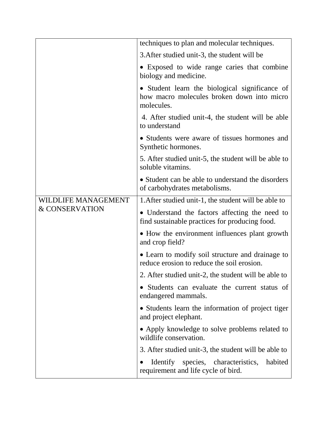|                            | techniques to plan and molecular techniques.                                                               |
|----------------------------|------------------------------------------------------------------------------------------------------------|
|                            | 3. After studied unit-3, the student will be                                                               |
|                            | • Exposed to wide range caries that combine<br>biology and medicine.                                       |
|                            | • Student learn the biological significance of<br>how macro molecules broken down into micro<br>molecules. |
|                            | 4. After studied unit-4, the student will be able<br>to understand                                         |
|                            | • Students were aware of tissues hormones and<br>Synthetic hormones.                                       |
|                            | 5. After studied unit-5, the student will be able to<br>soluble vitamins.                                  |
|                            | • Student can be able to understand the disorders<br>of carbohydrates metabolisms.                         |
| <b>WILDLIFE MANAGEMENT</b> | 1. After studied unit-1, the student will be able to                                                       |
| & CONSERVATION             | • Understand the factors affecting the need to<br>find sustainable practices for producing food.           |
|                            | • How the environment influences plant growth<br>and crop field?                                           |
|                            | • Learn to modify soil structure and drainage to<br>reduce erosion to reduce the soil erosion.             |
|                            | 2. After studied unit-2, the student will be able to                                                       |
|                            | Students can evaluate the current status of<br>endangered mammals.                                         |
|                            | • Students learn the information of project tiger<br>and project elephant.                                 |
|                            | • Apply knowledge to solve problems related to<br>wildlife conservation.                                   |
|                            | 3. After studied unit-3, the student will be able to                                                       |
|                            | Identify species, characteristics, habited<br>requirement and life cycle of bird.                          |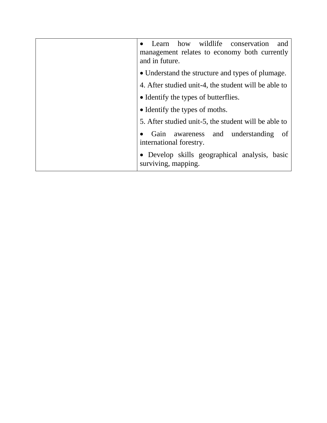| Learn how wildlife conservation<br>and<br>management relates to economy both currently<br>and in future. |
|----------------------------------------------------------------------------------------------------------|
| • Understand the structure and types of plumage.                                                         |
| 4. After studied unit-4, the student will be able to                                                     |
| • Identify the types of butterflies.                                                                     |
| • Identify the types of moths.                                                                           |
| 5. After studied unit-5, the student will be able to                                                     |
| Gain awareness and understanding<br>-of<br>international forestry.                                       |
| • Develop skills geographical analysis, basic<br>surviving, mapping.                                     |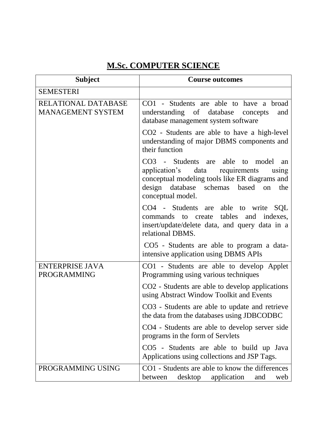## **M.Sc. COMPUTER SCIENCE**

| <b>Subject</b>                                  | <b>Course outcomes</b>                                                                                                                                                                               |
|-------------------------------------------------|------------------------------------------------------------------------------------------------------------------------------------------------------------------------------------------------------|
| <b>SEMESTERI</b>                                |                                                                                                                                                                                                      |
| RELATIONAL DATABASE<br><b>MANAGEMENT SYSTEM</b> | CO1 - Students are able to have a broad<br>understanding of database<br>concepts<br>and<br>database management system software                                                                       |
|                                                 | CO2 - Students are able to have a high-level<br>understanding of major DBMS components and<br>their function                                                                                         |
|                                                 | CO3 - Students are able to model<br>an<br>application's data requirements<br>using<br>conceptual modeling tools like ER diagrams and<br>design database schemas based on<br>the<br>conceptual model. |
|                                                 | CO4 - Students are able to write SQL<br>commands to create tables and indexes,<br>insert/update/delete data, and query data in a<br>relational DBMS.                                                 |
|                                                 | CO5 - Students are able to program a data-<br>intensive application using DBMS APIs                                                                                                                  |
| <b>ENTERPRISE JAVA</b><br><b>PROGRAMMING</b>    | CO1 - Students are able to develop Applet<br>Programming using various techniques                                                                                                                    |
|                                                 | CO <sub>2</sub> - Students are able to develop applications<br>using Abstract Window Toolkit and Events                                                                                              |
|                                                 | CO3 - Students are able to update and retrieve<br>the data from the databases using JDBCODBC                                                                                                         |
|                                                 | CO4 - Students are able to develop server side<br>programs in the form of Servlets                                                                                                                   |
|                                                 | CO5 - Students are able to build up Java<br>Applications using collections and JSP Tags.                                                                                                             |
| PROGRAMMING USING                               | CO1 - Students are able to know the differences<br>desktop application<br>between<br>and<br>web                                                                                                      |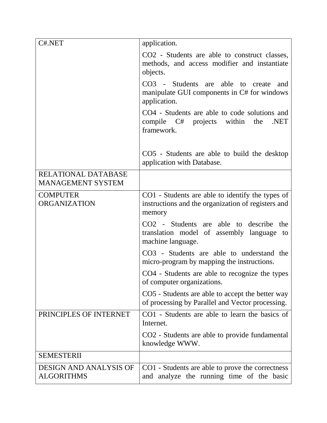| C#.NET                                             | application.                                                                                                          |
|----------------------------------------------------|-----------------------------------------------------------------------------------------------------------------------|
|                                                    | CO2 - Students are able to construct classes,<br>methods, and access modifier and instantiate<br>objects.             |
|                                                    | CO3 - Students are<br>able<br>to<br>create<br>and<br>manipulate GUI components in C# for windows<br>application.      |
|                                                    | CO4 - Students are able to code solutions and<br>.NET<br>compile C# projects within<br>the<br>framework.              |
|                                                    | CO5 - Students are able to build the desktop<br>application with Database.                                            |
| RELATIONAL DATABASE<br><b>MANAGEMENT SYSTEM</b>    |                                                                                                                       |
| <b>COMPUTER</b><br><b>ORGANIZATION</b>             | CO1 - Students are able to identify the types of<br>instructions and the organization of registers and<br>memory      |
|                                                    | CO <sub>2</sub> - Students are able to describe the<br>translation model of assembly language to<br>machine language. |
|                                                    | CO3 - Students are able to understand the<br>micro-program by mapping the instructions.                               |
|                                                    | CO4 - Students are able to recognize the types<br>of computer organizations.                                          |
|                                                    | CO5 - Students are able to accept the better way<br>of processing by Parallel and Vector processing.                  |
| PRINCIPLES OF INTERNET                             | CO1 - Students are able to learn the basics of<br>Internet.                                                           |
|                                                    | CO2 - Students are able to provide fundamental<br>knowledge WWW.                                                      |
| <b>SEMESTERII</b>                                  |                                                                                                                       |
| <b>DESIGN AND ANALYSIS OF</b><br><b>ALGORITHMS</b> | CO1 - Students are able to prove the correctness<br>and analyze the running time of the basic                         |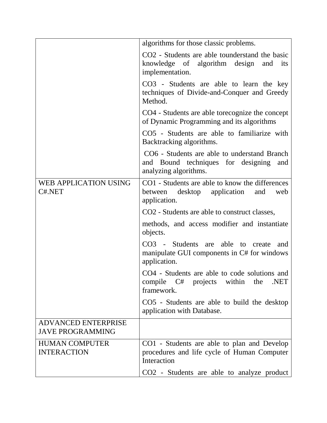|                                                       | algorithms for those classic problems.                                                                                       |
|-------------------------------------------------------|------------------------------------------------------------------------------------------------------------------------------|
|                                                       | CO <sub>2</sub> - Students are able tounderstand the basic<br>knowledge of algorithm design<br>and<br>its<br>implementation. |
|                                                       | CO3 - Students are able to learn the key<br>techniques of Divide-and-Conquer and Greedy<br>Method.                           |
|                                                       | CO4 - Students are able torecognize the concept<br>of Dynamic Programming and its algorithms                                 |
|                                                       | CO5 - Students are able to familiarize with<br>Backtracking algorithms.                                                      |
|                                                       | CO6 - Students are able to understand Branch<br>and Bound techniques for designing<br>and<br>analyzing algorithms.           |
| WEB APPLICATION USING<br>C#.NET                       | CO1 - Students are able to know the differences<br>between<br>desktop application<br>and<br>web<br>application.              |
|                                                       | CO <sub>2</sub> - Students are able to construct classes,                                                                    |
|                                                       | methods, and access modifier and instantiate<br>objects.                                                                     |
|                                                       | CO3 - Students are able to create<br>and<br>manipulate GUI components in C# for windows<br>application.                      |
|                                                       | CO4 - Students are able to code solutions and<br>compile C# projects within the<br>.NET<br>framework.                        |
|                                                       | CO5 - Students are able to build the desktop<br>application with Database.                                                   |
| <b>ADVANCED ENTERPRISE</b><br><b>JAVE PROGRAMMING</b> |                                                                                                                              |
| <b>HUMAN COMPUTER</b><br><b>INTERACTION</b>           | CO1 - Students are able to plan and Develop<br>procedures and life cycle of Human Computer<br>Interaction                    |
|                                                       | CO2 - Students are able to analyze product                                                                                   |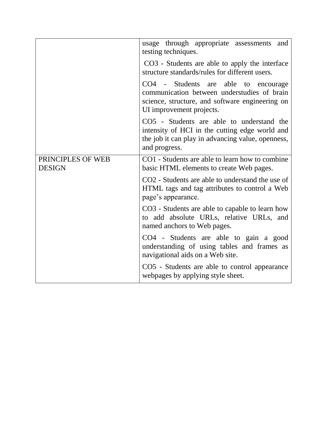|                                    | usage through appropriate assessments<br>and<br>testing techniques.                                                                                                   |
|------------------------------------|-----------------------------------------------------------------------------------------------------------------------------------------------------------------------|
|                                    | CO3 - Students are able to apply the interface<br>structure standards/rules for different users.                                                                      |
|                                    | CO4 - Students are able<br>to encourage<br>communication between understudies of brain<br>science, structure, and software engineering on<br>UI improvement projects. |
|                                    | CO5 - Students are able to understand the<br>intensity of HCI in the cutting edge world and<br>the job it can play in advancing value, openness,<br>and progress.     |
| PRINCIPLES OF WEB<br><b>DESIGN</b> | CO1 - Students are able to learn how to combine<br>basic HTML elements to create Web pages.                                                                           |
|                                    | CO <sub>2</sub> - Students are able to understand the use of<br>HTML tags and tag attributes to control a Web<br>page's appearance.                                   |
|                                    | CO3 - Students are able to capable to learn how<br>to add absolute URLs, relative URLs, and<br>named anchors to Web pages.                                            |
|                                    | CO4 - Students are able to gain a good<br>understanding of using tables and frames as<br>navigational aids on a Web site.                                             |
|                                    | CO5 - Students are able to control appearance<br>webpages by applying style sheet.                                                                                    |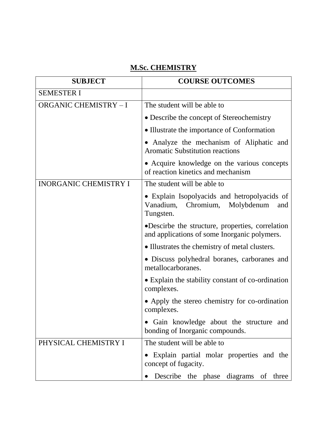## **M.Sc. CHEMISTRY**

| <b>SUBJECT</b>               | <b>COURSE OUTCOMES</b>                                                                                   |
|------------------------------|----------------------------------------------------------------------------------------------------------|
| <b>SEMESTER I</b>            |                                                                                                          |
| <b>ORGANIC CHEMISTRY - I</b> | The student will be able to                                                                              |
|                              | • Describe the concept of Stereochemistry                                                                |
|                              | • Illustrate the importance of Conformation                                                              |
|                              | • Analyze the mechanism of Aliphatic and<br><b>Aromatic Substitution reactions</b>                       |
|                              | • Acquire knowledge on the various concepts<br>of reaction kinetics and mechanism                        |
| <b>INORGANIC CHEMISTRY I</b> | The student will be able to                                                                              |
|                              | • Explain Isopolyacids and hetropolyacids of<br>Vanadium,<br>Chromium,<br>Molybdenum<br>and<br>Tungsten. |
|                              | •Descirbe the structure, properties, correlation<br>and applications of some Inorganic polymers.         |
|                              | • Illustrates the chemistry of metal clusters.                                                           |
|                              | • Discuss polyhedral boranes, carboranes and<br>metallocarboranes.                                       |
|                              | • Explain the stability constant of co-ordination<br>complexes.                                          |
|                              | • Apply the stereo chemistry for co-ordination<br>complexes.                                             |
|                              | Gain knowledge about the structure and<br>bonding of Inorganic compounds.                                |
| PHYSICAL CHEMISTRY I         | The student will be able to                                                                              |
|                              | Explain partial molar properties and the<br>concept of fugacity.                                         |
|                              | Describe the phase diagrams of three                                                                     |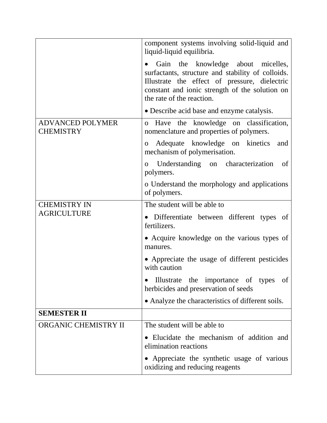|                                             | component systems involving solid-liquid and<br>liquid-liquid equilibria.                                                                                                                                               |
|---------------------------------------------|-------------------------------------------------------------------------------------------------------------------------------------------------------------------------------------------------------------------------|
|                                             | Gain the knowledge about micelles,<br>surfactants, structure and stability of colloids.<br>Illustrate the effect of pressure, dielectric<br>constant and ionic strength of the solution on<br>the rate of the reaction. |
|                                             | • Describe acid base and enzyme catalysis.                                                                                                                                                                              |
| <b>ADVANCED POLYMER</b><br><b>CHEMISTRY</b> | o Have the knowledge on classification,<br>nomenclature and properties of polymers.                                                                                                                                     |
|                                             | Adequate knowledge on kinetics<br>and<br>$\overline{O}$<br>mechanism of polymerisation.                                                                                                                                 |
|                                             | Understanding on characterization<br>of<br>$\overline{O}$<br>polymers.                                                                                                                                                  |
|                                             | o Understand the morphology and applications<br>of polymers.                                                                                                                                                            |
| <b>CHEMISTRY IN</b>                         | The student will be able to                                                                                                                                                                                             |
| <b>AGRICULTURE</b>                          | Differentiate between different types of<br>fertilizers.                                                                                                                                                                |
|                                             | • Acquire knowledge on the various types of<br>manures.                                                                                                                                                                 |
|                                             | • Appreciate the usage of different pesticides<br>with caution                                                                                                                                                          |
|                                             | Illustrate the importance of types<br>of<br>herbicides and preservation of seeds                                                                                                                                        |
|                                             | • Analyze the characteristics of different soils.                                                                                                                                                                       |
| <b>SEMESTER II</b>                          |                                                                                                                                                                                                                         |
| ORGANIC CHEMISTRY II                        | The student will be able to                                                                                                                                                                                             |
|                                             | • Elucidate the mechanism of addition and<br>elimination reactions                                                                                                                                                      |
|                                             | Appreciate the synthetic usage of various<br>oxidizing and reducing reagents                                                                                                                                            |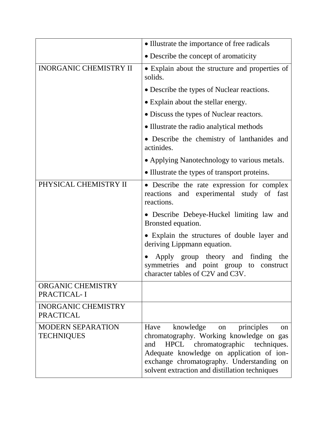|                                                | • Illustrate the importance of free radicals                                                                                                                                                                                                                                        |
|------------------------------------------------|-------------------------------------------------------------------------------------------------------------------------------------------------------------------------------------------------------------------------------------------------------------------------------------|
|                                                | • Describe the concept of aromaticity                                                                                                                                                                                                                                               |
| <b>INORGANIC CHEMISTRY II</b>                  | • Explain about the structure and properties of<br>solids.                                                                                                                                                                                                                          |
|                                                | • Describe the types of Nuclear reactions.                                                                                                                                                                                                                                          |
|                                                | • Explain about the stellar energy.                                                                                                                                                                                                                                                 |
|                                                | • Discuss the types of Nuclear reactors.                                                                                                                                                                                                                                            |
|                                                | • Illustrate the radio analytical methods                                                                                                                                                                                                                                           |
|                                                | • Describe the chemistry of lanthanides and<br>actinides.                                                                                                                                                                                                                           |
|                                                | • Applying Nanotechnology to various metals.                                                                                                                                                                                                                                        |
|                                                | • Illustrate the types of transport proteins.                                                                                                                                                                                                                                       |
| PHYSICAL CHEMISTRY II                          | • Describe the rate expression for complex<br>and experimental study of fast<br>reactions<br>reactions.                                                                                                                                                                             |
|                                                | • Describe Debeye-Huckel limiting law and<br>Bronsted equation.                                                                                                                                                                                                                     |
|                                                | • Explain the structures of double layer and<br>deriving Lippmann equation.                                                                                                                                                                                                         |
|                                                | Apply group theory and<br>finding<br>the<br>symmetries and point group<br>to<br>construct<br>character tables of C2V and C3V.                                                                                                                                                       |
| <b>ORGANIC CHEMISTRY</b><br>PRACTICAL-I        |                                                                                                                                                                                                                                                                                     |
| <b>INORGANIC CHEMISTRY</b><br><b>PRACTICAL</b> |                                                                                                                                                                                                                                                                                     |
| <b>MODERN SEPARATION</b><br><b>TECHNIQUES</b>  | knowledge<br>principles<br>Have<br>on<br>$^{on}$<br>chromatography. Working knowledge on gas<br>HPCL chromatographic techniques.<br>and<br>Adequate knowledge on application of ion-<br>exchange chromatography. Understanding on<br>solvent extraction and distillation techniques |